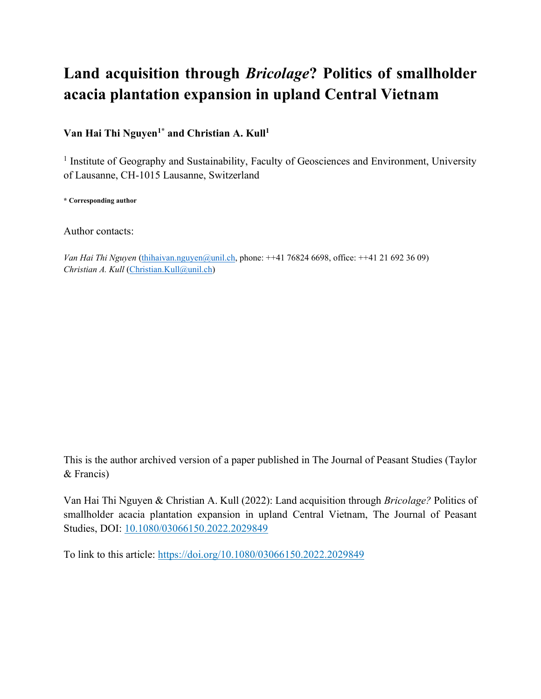# **Land acquisition through** *Bricolage***? Politics of smallholder acacia plantation expansion in upland Central Vietnam**

**Van Hai Thi Nguyen1\* and Christian A. Kull<sup>1</sup>**

<sup>1</sup> Institute of Geography and Sustainability, Faculty of Geosciences and Environment, University of Lausanne, CH-1015 Lausanne, Switzerland

**\* Corresponding author** 

Author contacts:

*Van Hai Thi Nguyen* [\(thihaivan.nguyen@unil.ch,](mailto:thihaivan.nguyen@unil.ch) phone: ++41 76824 6698, office: ++41 21 692 36 09) *Christian A. Kull* [\(Christian.Kull@unil.ch\)](mailto:Christian.Kull@unil.ch)

This is the author archived version of a paper published in The Journal of Peasant Studies (Taylor & Francis)

Van Hai Thi Nguyen & Christian A. Kull (2022): Land acquisition through *Bricolage?* Politics of smallholder acacia plantation expansion in upland Central Vietnam, The Journal of Peasant Studies, DOI: [10.1080/03066150.2022.2029849](https://doi.org/10.1080/03066150.2022.2029849)

To link to this article:<https://doi.org/10.1080/03066150.2022.2029849>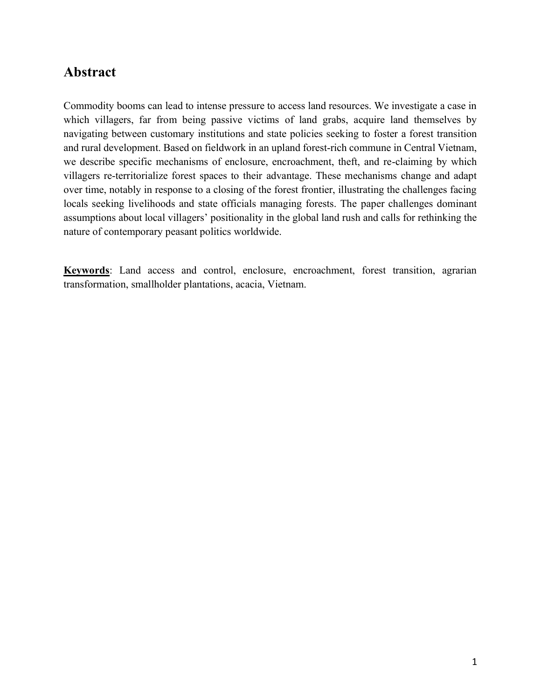### **Abstract**

Commodity booms can lead to intense pressure to access land resources. We investigate a case in which villagers, far from being passive victims of land grabs, acquire land themselves by navigating between customary institutions and state policies seeking to foster a forest transition and rural development. Based on fieldwork in an upland forest-rich commune in Central Vietnam, we describe specific mechanisms of enclosure, encroachment, theft, and re-claiming by which villagers re-territorialize forest spaces to their advantage. These mechanisms change and adapt over time, notably in response to a closing of the forest frontier, illustrating the challenges facing locals seeking livelihoods and state officials managing forests. The paper challenges dominant assumptions about local villagers' positionality in the global land rush and calls for rethinking the nature of contemporary peasant politics worldwide.

**Keywords**: Land access and control, enclosure, encroachment, forest transition, agrarian transformation, smallholder plantations, acacia, Vietnam.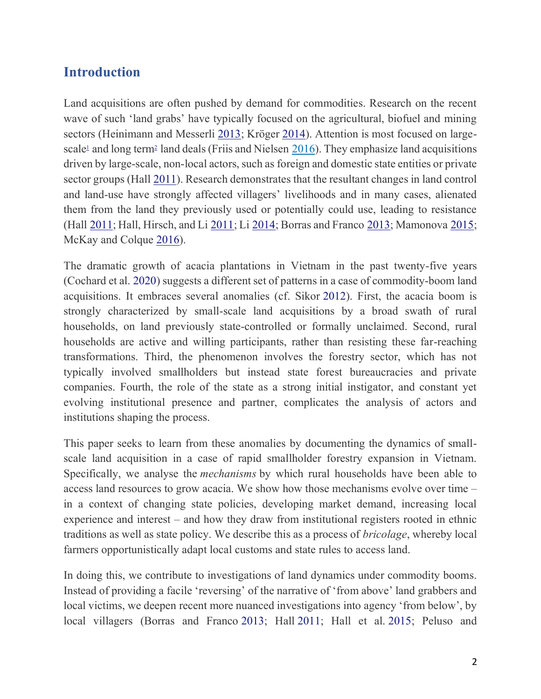### **Introduction**

Land acquisitions are often pushed by demand for commodities. Research on the recent wave of such 'land grabs' have typically focused on the agricultural, biofuel and mining sectors (Heinimann and Messerli [2013;](https://www.tandfonline.com/doi/full/10.1080/03066150.2022.2029849) Kröger [2014\)](https://www.tandfonline.com/doi/full/10.1080/03066150.2022.2029849). Attention is most focused on largescal[e](https://www.tandfonline.com/doi/full/10.1080/03066150.2022.2029849)<sup>1</sup> and long ter[m](https://www.tandfonline.com/doi/full/10.1080/03066150.2022.2029849)<sup>2</sup> land deals (Friis and Nielsen  $\frac{2016}{10}$ ). They emphasize land acquisitions driven by large-scale, non-local actors, such as foreign and domestic state entities or private sector groups (Hall [2011\)](https://www.tandfonline.com/doi/full/10.1080/03066150.2022.2029849). Research demonstrates that the resultant changes in land control and land-use have strongly affected villagers' livelihoods and in many cases, alienated them from the land they previously used or potentially could use, leading to resistance (Hall [2011;](https://www.tandfonline.com/doi/full/10.1080/03066150.2022.2029849) Hall, Hirsch, and Li [2011;](https://www.tandfonline.com/doi/full/10.1080/03066150.2022.2029849) Li [2014;](https://www.tandfonline.com/doi/full/10.1080/03066150.2022.2029849) Borras and Franco [2013;](https://www.tandfonline.com/doi/full/10.1080/03066150.2022.2029849) Mamonova [2015;](https://www.tandfonline.com/doi/full/10.1080/03066150.2022.2029849) McKay and Colque [2016\)](https://www.tandfonline.com/doi/full/10.1080/03066150.2022.2029849).

The dramatic growth of acacia plantations in Vietnam in the past twenty-five years (Cochard et al. [2020\)](https://www.tandfonline.com/doi/full/10.1080/03066150.2022.2029849) suggests a different set of patterns in a case of commodity-boom land acquisitions. It embraces several anomalies (cf. Sikor [2012\)](https://www.tandfonline.com/doi/full/10.1080/03066150.2022.2029849). First, the acacia boom is strongly characterized by small-scale land acquisitions by a broad swath of rural households, on land previously state-controlled or formally unclaimed. Second, rural households are active and willing participants, rather than resisting these far-reaching transformations. Third, the phenomenon involves the forestry sector, which has not typically involved smallholders but instead state forest bureaucracies and private companies. Fourth, the role of the state as a strong initial instigator, and constant yet evolving institutional presence and partner, complicates the analysis of actors and institutions shaping the process.

This paper seeks to learn from these anomalies by documenting the dynamics of smallscale land acquisition in a case of rapid smallholder forestry expansion in Vietnam. Specifically, we analyse the *mechanisms* by which rural households have been able to access land resources to grow acacia. We show how those mechanisms evolve over time – in a context of changing state policies, developing market demand, increasing local experience and interest – and how they draw from institutional registers rooted in ethnic traditions as well as state policy. We describe this as a process of *bricolage*, whereby local farmers opportunistically adapt local customs and state rules to access land.

In doing this, we contribute to investigations of land dynamics under commodity booms. Instead of providing a facile 'reversing' of the narrative of 'from above' land grabbers and local victims, we deepen recent more nuanced investigations into agency 'from below', by local villagers (Borras and Franco [2013;](https://www.tandfonline.com/doi/full/10.1080/03066150.2022.2029849) Hall [2011;](https://www.tandfonline.com/doi/full/10.1080/03066150.2022.2029849) Hall et al. [2015;](https://www.tandfonline.com/doi/full/10.1080/03066150.2022.2029849) Peluso and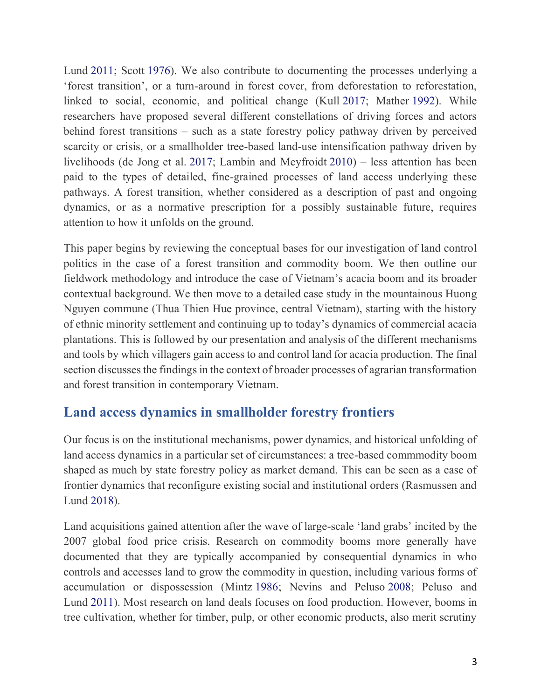Lund [2011;](https://www.tandfonline.com/doi/full/10.1080/03066150.2022.2029849) Scott [1976\)](https://www.tandfonline.com/doi/full/10.1080/03066150.2022.2029849). We also contribute to documenting the processes underlying a 'forest transition', or a turn-around in forest cover, from deforestation to reforestation, linked to social, economic, and political change (Kull [2017;](https://www.tandfonline.com/doi/full/10.1080/03066150.2022.2029849) Mather [1992\)](https://www.tandfonline.com/doi/full/10.1080/03066150.2022.2029849). While researchers have proposed several different constellations of driving forces and actors behind forest transitions – such as a state forestry policy pathway driven by perceived scarcity or crisis, or a smallholder tree-based land-use intensification pathway driven by livelihoods (de Jong et al. [2017;](https://www.tandfonline.com/doi/full/10.1080/03066150.2022.2029849) Lambin and Meyfroidt [2010\)](https://www.tandfonline.com/doi/full/10.1080/03066150.2022.2029849) – less attention has been paid to the types of detailed, fine-grained processes of land access underlying these pathways. A forest transition, whether considered as a description of past and ongoing dynamics, or as a normative prescription for a possibly sustainable future, requires attention to how it unfolds on the ground.

This paper begins by reviewing the conceptual bases for our investigation of land control politics in the case of a forest transition and commodity boom. We then outline our fieldwork methodology and introduce the case of Vietnam's acacia boom and its broader contextual background. We then move to a detailed case study in the mountainous Huong Nguyen commune (Thua Thien Hue province, central Vietnam), starting with the history of ethnic minority settlement and continuing up to today's dynamics of commercial acacia plantations. This is followed by our presentation and analysis of the different mechanisms and tools by which villagers gain access to and control land for acacia production. The final section discusses the findings in the context of broader processes of agrarian transformation and forest transition in contemporary Vietnam.

### **Land access dynamics in smallholder forestry frontiers**

Our focus is on the institutional mechanisms, power dynamics, and historical unfolding of land access dynamics in a particular set of circumstances: a tree-based commmodity boom shaped as much by state forestry policy as market demand. This can be seen as a case of frontier dynamics that reconfigure existing social and institutional orders (Rasmussen and Lund [2018\)](https://www.tandfonline.com/doi/full/10.1080/03066150.2022.2029849).

Land acquisitions gained attention after the wave of large-scale 'land grabs' incited by the 2007 global food price crisis. Research on commodity booms more generally have documented that they are typically accompanied by consequential dynamics in who controls and accesses land to grow the commodity in question, including various forms of accumulation or dispossession (Mintz [1986;](https://www.tandfonline.com/doi/full/10.1080/03066150.2022.2029849) Nevins and Peluso [2008;](https://www.tandfonline.com/doi/full/10.1080/03066150.2022.2029849) Peluso and Lund [2011\)](https://www.tandfonline.com/doi/full/10.1080/03066150.2022.2029849). Most research on land deals focuses on food production. However, booms in tree cultivation, whether for timber, pulp, or other economic products, also merit scrutiny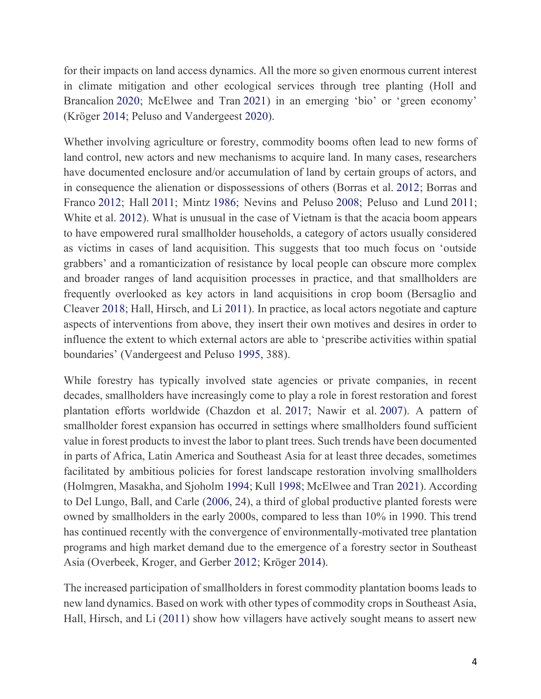for their impacts on land access dynamics. All the more so given enormous current interest in climate mitigation and other ecological services through tree planting (Holl and Brancalion [2020;](https://www.tandfonline.com/doi/full/10.1080/03066150.2022.2029849) McElwee and Tran [2021](https://www.tandfonline.com/doi/full/10.1080/03066150.2022.2029849)) in an emerging 'bio' or 'green economy' (Kröger [2014;](https://www.tandfonline.com/doi/full/10.1080/03066150.2022.2029849) Peluso and Vandergeest [2020\)](https://www.tandfonline.com/doi/full/10.1080/03066150.2022.2029849).

Whether involving agriculture or forestry, commodity booms often lead to new forms of land control, new actors and new mechanisms to acquire land. In many cases, researchers have documented enclosure and/or accumulation of land by certain groups of actors, and in consequence the alienation or dispossessions of others (Borras et al. [2012;](https://www.tandfonline.com/doi/full/10.1080/03066150.2022.2029849) Borras and Franco [2012;](https://www.tandfonline.com/doi/full/10.1080/03066150.2022.2029849) Hall [2011;](https://www.tandfonline.com/doi/full/10.1080/03066150.2022.2029849) Mintz [1986;](https://www.tandfonline.com/doi/full/10.1080/03066150.2022.2029849) Nevins and Peluso [2008;](https://www.tandfonline.com/doi/full/10.1080/03066150.2022.2029849) Peluso and Lund [2011;](https://www.tandfonline.com/doi/full/10.1080/03066150.2022.2029849) White et al. [2012\)](https://www.tandfonline.com/doi/full/10.1080/03066150.2022.2029849). What is unusual in the case of Vietnam is that the acacia boom appears to have empowered rural smallholder households, a category of actors usually considered as victims in cases of land acquisition. This suggests that too much focus on 'outside grabbers' and a romanticization of resistance by local people can obscure more complex and broader ranges of land acquisition processes in practice, and that smallholders are frequently overlooked as key actors in land acquisitions in crop boom (Bersaglio and Cleaver [2018;](https://www.tandfonline.com/doi/full/10.1080/03066150.2022.2029849) Hall, Hirsch, and Li [2011\)](https://www.tandfonline.com/doi/full/10.1080/03066150.2022.2029849). In practice, as local actors negotiate and capture aspects of interventions from above, they insert their own motives and desires in order to influence the extent to which external actors are able to 'prescribe activities within spatial boundaries' (Vandergeest and Peluso [1995,](https://www.tandfonline.com/doi/full/10.1080/03066150.2022.2029849) 388).

While forestry has typically involved state agencies or private companies, in recent decades, smallholders have increasingly come to play a role in forest restoration and forest plantation efforts worldwide (Chazdon et al. [2017;](https://www.tandfonline.com/doi/full/10.1080/03066150.2022.2029849) Nawir et al. [2007\)](https://www.tandfonline.com/doi/full/10.1080/03066150.2022.2029849). A pattern of smallholder forest expansion has occurred in settings where smallholders found sufficient value in forest products to invest the labor to plant trees. Such trends have been documented in parts of Africa, Latin America and Southeast Asia for at least three decades, sometimes facilitated by ambitious policies for forest landscape restoration involving smallholders (Holmgren, Masakha, and Sjoholm [1994;](https://www.tandfonline.com/doi/full/10.1080/03066150.2022.2029849) Kull [1998;](https://www.tandfonline.com/doi/full/10.1080/03066150.2022.2029849) McElwee and Tran [2021\)](https://www.tandfonline.com/doi/full/10.1080/03066150.2022.2029849). According to Del Lungo, Ball, and Carle [\(2006,](https://www.tandfonline.com/doi/full/10.1080/03066150.2022.2029849) 24), a third of global productive planted forests were owned by smallholders in the early 2000s, compared to less than 10% in 1990. This trend has continued recently with the convergence of environmentally-motivated tree plantation programs and high market demand due to the emergence of a forestry sector in Southeast Asia (Overbeek, Kroger, and Gerber [2012;](https://www.tandfonline.com/doi/full/10.1080/03066150.2022.2029849) Kröger [2014\)](https://www.tandfonline.com/doi/full/10.1080/03066150.2022.2029849).

The increased participation of smallholders in forest commodity plantation booms leads to new land dynamics. Based on work with other types of commodity crops in Southeast Asia, Hall, Hirsch, and Li [\(2011\)](https://www.tandfonline.com/doi/full/10.1080/03066150.2022.2029849) show how villagers have actively sought means to assert new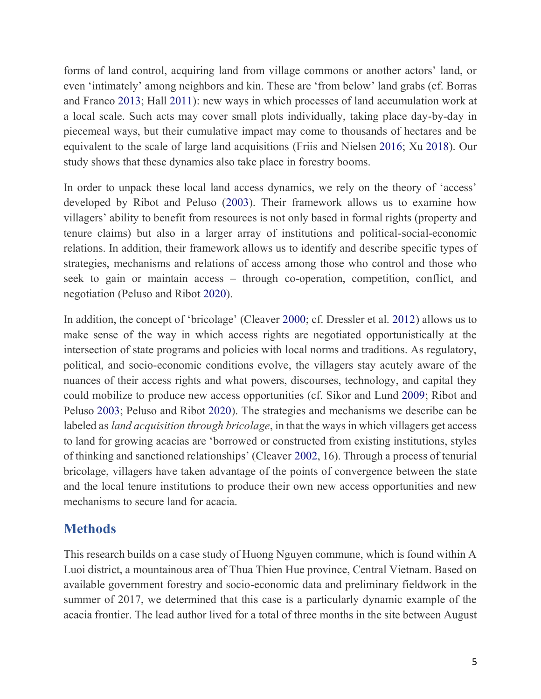forms of land control, acquiring land from village commons or another actors' land, or even 'intimately' among neighbors and kin. These are 'from below' land grabs (cf. Borras and Franco [2013;](https://www.tandfonline.com/doi/full/10.1080/03066150.2022.2029849) Hall [2011\)](https://www.tandfonline.com/doi/full/10.1080/03066150.2022.2029849): new ways in which processes of land accumulation work at a local scale. Such acts may cover small plots individually, taking place day-by-day in piecemeal ways, but their cumulative impact may come to thousands of hectares and be equivalent to the scale of large land acquisitions (Friis and Nielsen [2016;](https://www.tandfonline.com/doi/full/10.1080/03066150.2022.2029849) Xu [2018\)](https://www.tandfonline.com/doi/full/10.1080/03066150.2022.2029849). Our study shows that these dynamics also take place in forestry booms.

In order to unpack these local land access dynamics, we rely on the theory of 'access' developed by Ribot and Peluso [\(2003\)](https://www.tandfonline.com/doi/full/10.1080/03066150.2022.2029849). Their framework allows us to examine how villagers' ability to benefit from resources is not only based in formal rights (property and tenure claims) but also in a larger array of institutions and political-social-economic relations. In addition, their framework allows us to identify and describe specific types of strategies, mechanisms and relations of access among those who control and those who seek to gain or maintain access – through co-operation, competition, conflict, and negotiation (Peluso and Ribot [2020\)](https://www.tandfonline.com/doi/full/10.1080/03066150.2022.2029849).

In addition, the concept of 'bricolage' (Cleaver [2000;](https://www.tandfonline.com/doi/full/10.1080/03066150.2022.2029849) cf. Dressler et al. [2012\)](https://www.tandfonline.com/doi/full/10.1080/03066150.2022.2029849) allows us to make sense of the way in which access rights are negotiated opportunistically at the intersection of state programs and policies with local norms and traditions. As regulatory, political, and socio-economic conditions evolve, the villagers stay acutely aware of the nuances of their access rights and what powers, discourses, technology, and capital they could mobilize to produce new access opportunities (cf. Sikor and Lund [2009;](https://www.tandfonline.com/doi/full/10.1080/03066150.2022.2029849) Ribot and Peluso [2003;](https://www.tandfonline.com/doi/full/10.1080/03066150.2022.2029849) Peluso and Ribot [2020\)](https://www.tandfonline.com/doi/full/10.1080/03066150.2022.2029849). The strategies and mechanisms we describe can be labeled as *land acquisition through bricolage*, in that the ways in which villagers get access to land for growing acacias are 'borrowed or constructed from existing institutions, styles of thinking and sanctioned relationships' (Cleaver [2002,](https://www.tandfonline.com/doi/full/10.1080/03066150.2022.2029849) 16). Through a process of tenurial bricolage, villagers have taken advantage of the points of convergence between the state and the local tenure institutions to produce their own new access opportunities and new mechanisms to secure land for acacia.

### **Methods**

This research builds on a case study of Huong Nguyen commune, which is found within A Luoi district, a mountainous area of Thua Thien Hue province, Central Vietnam. Based on available government forestry and socio-economic data and preliminary fieldwork in the summer of 2017, we determined that this case is a particularly dynamic example of the acacia frontier. The lead author lived for a total of three months in the site between August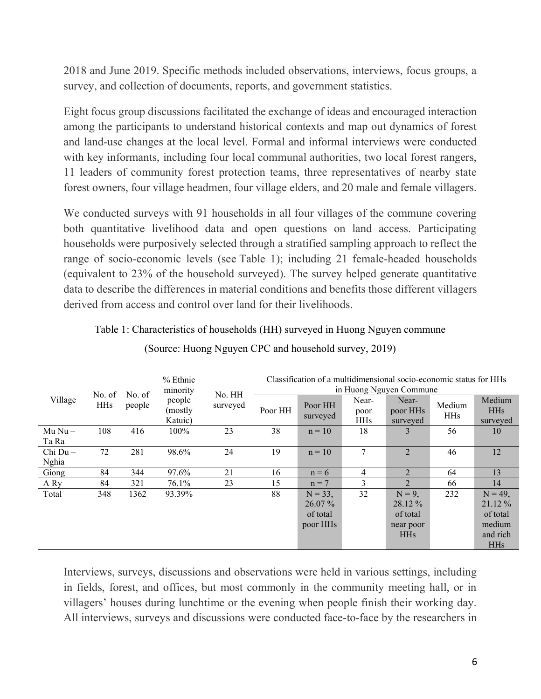2018 and June 2019. Specific methods included observations, interviews, focus groups, a survey, and collection of documents, reports, and government statistics.

Eight focus group discussions facilitated the exchange of ideas and encouraged interaction among the participants to understand historical contexts and map out dynamics of forest and land-use changes at the local level. Formal and informal interviews were conducted with key informants, including four local communal authorities, two local forest rangers, 11 leaders of community forest protection teams, three representatives of nearby state forest owners, four village headmen, four village elders, and 20 male and female villagers.

We conducted surveys with 91 households in all four villages of the commune covering both quantitative livelihood data and open questions on land access. Participating households were purposively selected through a stratified sampling approach to reflect the range of socio-economic levels (see Table 1); including 21 female-headed households (equivalent to 23% of the household surveyed). The survey helped generate quantitative data to describe the differences in material conditions and benefits those different villagers derived from access and control over land for their livelihoods.

| Village    | No. of<br><b>HHs</b> | No. of<br>people | % Ethnic<br>minority<br>people<br>(mostly<br>Katuic) | No. HH<br>surveyed | Classification of a multidimensional socio-economic status for HHs<br>in Huong Nguyen Commune |                     |                             |                               |                      |                                  |
|------------|----------------------|------------------|------------------------------------------------------|--------------------|-----------------------------------------------------------------------------------------------|---------------------|-----------------------------|-------------------------------|----------------------|----------------------------------|
|            |                      |                  |                                                      |                    | Poor HH                                                                                       | Poor HH<br>surveyed | Near-<br>poor<br><b>HHs</b> | Near-<br>poor HHs<br>surveyed | Medium<br><b>HHs</b> | Medium<br><b>HHs</b><br>surveyed |
| $Mu Nu -$  | 108                  | 416              | $100\%$                                              | 23                 | 38                                                                                            | $n = 10$            | 18                          | 3                             | 56                   | 10                               |
| Ta Ra      |                      |                  |                                                      |                    |                                                                                               |                     |                             |                               |                      |                                  |
| $Chi Du -$ | 72                   | 281              | 98.6%                                                | 24                 | 19                                                                                            | $n = 10$            | 7                           | 2                             | 46                   | 12                               |
| Nghia      |                      |                  |                                                      |                    |                                                                                               |                     |                             |                               |                      |                                  |
| Giong      | 84                   | 344              | 97.6%                                                | 21                 | 16                                                                                            | $n = 6$             | 4                           | $\mathfrak{D}$                | 64                   | 13                               |
| A Ry       | 84                   | 321              | 76.1%                                                | 23                 | 15                                                                                            | $n = 7$             | 3                           | $\mathfrak{D}$                | 66                   | 14                               |
| Total      | 348                  | 1362             | 93.39%                                               |                    | 88                                                                                            | $N = 33$ ,          | 32                          | $N = 9$ .                     | 232                  | $N = 49$ ,                       |
|            |                      |                  |                                                      |                    |                                                                                               | 26.07 %             |                             | 28.12 %                       |                      | 21.12 %                          |
|            |                      |                  |                                                      |                    |                                                                                               | of total            |                             | of total                      |                      | of total                         |
|            |                      |                  |                                                      |                    |                                                                                               | poor HHs            |                             | near poor                     |                      | medium                           |
|            |                      |                  |                                                      |                    |                                                                                               |                     |                             | <b>HHs</b>                    |                      | and rich                         |
|            |                      |                  |                                                      |                    |                                                                                               |                     |                             |                               |                      | <b>HHs</b>                       |

Table 1: Characteristics of households (HH) surveyed in Huong Nguyen commune

|  | (Source: Huong Nguyen CPC and household survey, 2019) |  |
|--|-------------------------------------------------------|--|
|--|-------------------------------------------------------|--|

Interviews, surveys, discussions and observations were held in various settings, including in fields, forest, and offices, but most commonly in the community meeting hall, or in villagers' houses during lunchtime or the evening when people finish their working day. All interviews, surveys and discussions were conducted face-to-face by the researchers in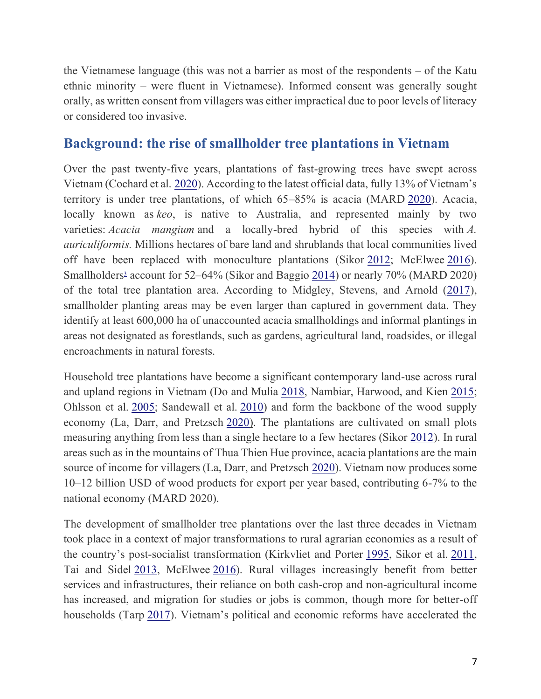the Vietnamese language (this was not a barrier as most of the respondents – of the Katu ethnic minority – were fluent in Vietnamese). Informed consent was generally sought orally, as written consent from villagers was either impractical due to poor levels of literacy or considered too invasive.

### **Background: the rise of smallholder tree plantations in Vietnam**

Over the past twenty-five years, plantations of fast-growing trees have swept across Vietnam (Cochard et al. [2020](https://www.tandfonline.com/doi/full/10.1080/03066150.2022.2029849)). According to the latest official data, fully 13% of Vietnam's territory is under tree plantations, of which 65–85% is acacia (MARD [2020\)](https://www.tandfonline.com/doi/full/10.1080/03066150.2022.2029849). Acacia, locally known as *keo*, is native to Australia, and represented mainly by two varieties: *Acacia mangium* and a locally-bred hybrid of this species with *A. auriculiformis.* Millions hectares of bare land and shrublands that local communities lived off have been replaced with monoculture plantations (Sikor [2012;](https://www.tandfonline.com/doi/full/10.1080/03066150.2022.2029849) McElwee [2016\)](https://www.tandfonline.com/doi/full/10.1080/03066150.2022.2029849). Smallholder[s](https://www.tandfonline.com/doi/full/10.1080/03066150.2022.2029849)<sup>3</sup> account for 52–64% (Sikor and Baggio [2014\)](https://www.tandfonline.com/doi/full/10.1080/03066150.2022.2029849) or nearly 70% (MARD 2020) of the total tree plantation area. According to Midgley, Stevens, and Arnold [\(2017\)](https://www.tandfonline.com/doi/full/10.1080/03066150.2022.2029849), smallholder planting areas may be even larger than captured in government data. They identify at least 600,000 ha of unaccounted acacia smallholdings and informal plantings in areas not designated as forestlands, such as gardens, agricultural land, roadsides, or illegal encroachments in natural forests.

Household tree plantations have become a significant contemporary land-use across rural and upland regions in Vietnam (Do and Mulia [2018,](https://www.tandfonline.com/doi/full/10.1080/03066150.2022.2029849) Nambiar, Harwood, and Kien [2015;](https://www.tandfonline.com/doi/full/10.1080/03066150.2022.2029849) Ohlsson et al. [2005;](https://www.tandfonline.com/doi/full/10.1080/03066150.2022.2029849) Sandewall et al. [2010\)](https://www.tandfonline.com/doi/full/10.1080/03066150.2022.2029849) and form the backbone of the wood supply economy (La, Darr, and Pretzsch [2020\)](https://www.tandfonline.com/doi/full/10.1080/03066150.2022.2029849). The plantations are cultivated on small plots measuring anything from less than a single hectare to a few hectares (Sikor [2012\)](https://www.tandfonline.com/doi/full/10.1080/03066150.2022.2029849). In rural areas such as in the mountains of Thua Thien Hue province, acacia plantations are the main source of income for villagers (La, Darr, and Pretzsch [2020\)](https://www.tandfonline.com/doi/full/10.1080/03066150.2022.2029849). Vietnam now produces some 10–12 billion USD of wood products for export per year based, contributing 6-7% to the national economy (MARD 2020).

The development of smallholder tree plantations over the last three decades in Vietnam took place in a context of major transformations to rural agrarian economies as a result of the country's post-socialist transformation (Kirkvliet and Porter [1995,](https://www.tandfonline.com/doi/full/10.1080/03066150.2022.2029849) Sikor et al. [2011,](https://www.tandfonline.com/doi/full/10.1080/03066150.2022.2029849) Tai and Sidel [2013,](https://www.tandfonline.com/doi/full/10.1080/03066150.2022.2029849) McElwee [2016\)](https://www.tandfonline.com/doi/full/10.1080/03066150.2022.2029849). Rural villages increasingly benefit from better services and infrastructures, their reliance on both cash-crop and non-agricultural income has increased, and migration for studies or jobs is common, though more for better-off households (Tarp [2017](https://www.tandfonline.com/doi/full/10.1080/03066150.2022.2029849)). Vietnam's political and economic reforms have accelerated the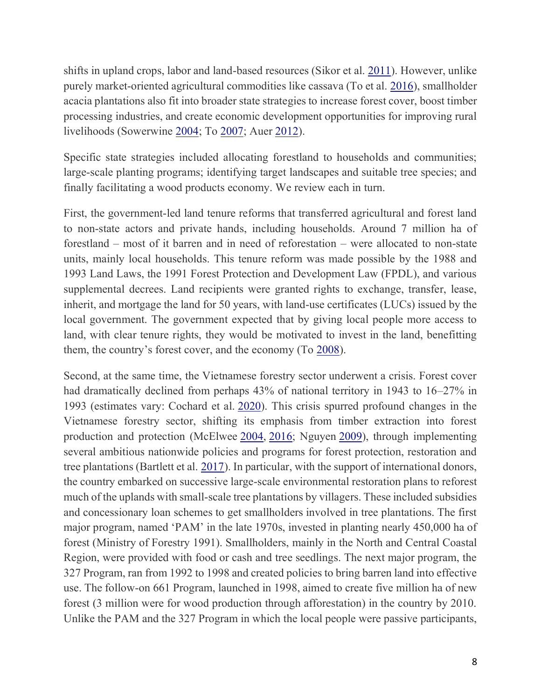shifts in upland crops, labor and land-based resources (Sikor et al. [2011\)](https://www.tandfonline.com/doi/full/10.1080/03066150.2022.2029849). However, unlike purely market-oriented agricultural commodities like cassava (To et al. [2016\)](https://www.tandfonline.com/doi/full/10.1080/03066150.2022.2029849), smallholder acacia plantations also fit into broader state strategies to increase forest cover, boost timber processing industries, and create economic development opportunities for improving rural livelihoods (Sowerwine [2004;](https://www.tandfonline.com/doi/full/10.1080/03066150.2022.2029849) To [2007;](https://www.tandfonline.com/doi/full/10.1080/03066150.2022.2029849) Auer [2012\)](https://www.tandfonline.com/doi/full/10.1080/03066150.2022.2029849).

Specific state strategies included allocating forestland to households and communities; large-scale planting programs; identifying target landscapes and suitable tree species; and finally facilitating a wood products economy. We review each in turn.

First, the government-led land tenure reforms that transferred agricultural and forest land to non-state actors and private hands, including households. Around 7 million ha of forestland – most of it barren and in need of reforestation – were allocated to non-state units, mainly local households. This tenure reform was made possible by the 1988 and 1993 Land Laws, the 1991 Forest Protection and Development Law (FPDL), and various supplemental decrees. Land recipients were granted rights to exchange, transfer, lease, inherit, and mortgage the land for 50 years, with land-use certificates (LUCs) issued by the local government. The government expected that by giving local people more access to land, with clear tenure rights, they would be motivated to invest in the land, benefitting them, the country's forest cover, and the economy (To [2008\)](https://www.tandfonline.com/doi/full/10.1080/03066150.2022.2029849).

Second, at the same time, the Vietnamese forestry sector underwent a crisis. Forest cover had dramatically declined from perhaps 43% of national territory in 1943 to 16–27% in 1993 (estimates vary: Cochard et al. [2020\)](https://www.tandfonline.com/doi/full/10.1080/03066150.2022.2029849). This crisis spurred profound changes in the Vietnamese forestry sector, shifting its emphasis from timber extraction into forest production and protection (McElwee [2004,](https://www.tandfonline.com/doi/full/10.1080/03066150.2022.2029849) [2016;](https://www.tandfonline.com/doi/full/10.1080/03066150.2022.2029849) Nguyen [2009\)](https://www.tandfonline.com/doi/full/10.1080/03066150.2022.2029849), through implementing several ambitious nationwide policies and programs for forest protection, restoration and tree plantations (Bartlett et al. [2017\)](https://www.tandfonline.com/doi/full/10.1080/03066150.2022.2029849). In particular, with the support of international donors, the country embarked on successive large-scale environmental restoration plans to reforest much of the uplands with small-scale tree plantations by villagers. These included subsidies and concessionary loan schemes to get smallholders involved in tree plantations. The first major program, named 'PAM' in the late 1970s, invested in planting nearly 450,000 ha of forest (Ministry of Forestry 1991). Smallholders, mainly in the North and Central Coastal Region, were provided with food or cash and tree seedlings. The next major program, the 327 Program, ran from 1992 to 1998 and created policies to bring barren land into effective use. The follow-on 661 Program, launched in 1998, aimed to create five million ha of new forest (3 million were for wood production through afforestation) in the country by 2010. Unlike the PAM and the 327 Program in which the local people were passive participants,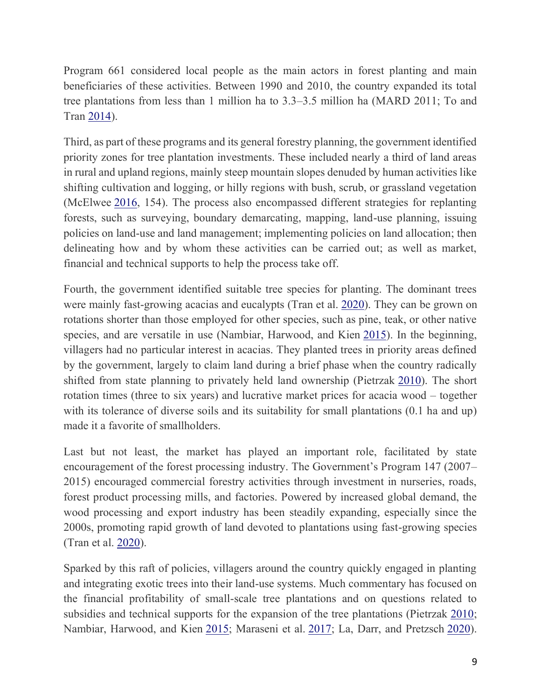Program 661 considered local people as the main actors in forest planting and main beneficiaries of these activities. Between 1990 and 2010, the country expanded its total tree plantations from less than 1 million ha to 3.3–3.5 million ha (MARD 2011; To and Tran [2014\)](https://www.tandfonline.com/doi/full/10.1080/03066150.2022.2029849).

Third, as part of these programs and its general forestry planning, the government identified priority zones for tree plantation investments. These included nearly a third of land areas in rural and upland regions, mainly steep mountain slopes denuded by human activities like shifting cultivation and logging, or hilly regions with bush, scrub, or grassland vegetation (McElwee [2016,](https://www.tandfonline.com/doi/full/10.1080/03066150.2022.2029849) 154). The process also encompassed different strategies for replanting forests, such as surveying, boundary demarcating, mapping, land-use planning, issuing policies on land-use and land management; implementing policies on land allocation; then delineating how and by whom these activities can be carried out; as well as market, financial and technical supports to help the process take off.

Fourth, the government identified suitable tree species for planting. The dominant trees were mainly fast-growing acacias and eucalypts (Tran et al. [2020\)](https://www.tandfonline.com/doi/full/10.1080/03066150.2022.2029849). They can be grown on rotations shorter than those employed for other species, such as pine, teak, or other native species, and are versatile in use (Nambiar, Harwood, and Kien [2015\)](https://www.tandfonline.com/doi/full/10.1080/03066150.2022.2029849). In the beginning, villagers had no particular interest in acacias. They planted trees in priority areas defined by the government, largely to claim land during a brief phase when the country radically shifted from state planning to privately held land ownership (Pietrzak [2010\)](https://www.tandfonline.com/doi/full/10.1080/03066150.2022.2029849). The short rotation times (three to six years) and lucrative market prices for acacia wood – together with its tolerance of diverse soils and its suitability for small plantations  $(0.1 \text{ ha and up})$ made it a favorite of smallholders.

Last but not least, the market has played an important role, facilitated by state encouragement of the forest processing industry. The Government's Program 147 (2007– 2015) encouraged commercial forestry activities through investment in nurseries, roads, forest product processing mills, and factories. Powered by increased global demand, the wood processing and export industry has been steadily expanding, especially since the 2000s, promoting rapid growth of land devoted to plantations using fast-growing species (Tran et al. [2020\)](https://www.tandfonline.com/doi/full/10.1080/03066150.2022.2029849).

Sparked by this raft of policies, villagers around the country quickly engaged in planting and integrating exotic trees into their land-use systems. Much commentary has focused on the financial profitability of small-scale tree plantations and on questions related to subsidies and technical supports for the expansion of the tree plantations (Pietrzak [2010;](https://www.tandfonline.com/doi/full/10.1080/03066150.2022.2029849) Nambiar, Harwood, and Kien [2015;](https://www.tandfonline.com/doi/full/10.1080/03066150.2022.2029849) Maraseni et al. [2017;](https://www.tandfonline.com/doi/full/10.1080/03066150.2022.2029849) La, Darr, and Pretzsch [2020\)](https://www.tandfonline.com/doi/full/10.1080/03066150.2022.2029849).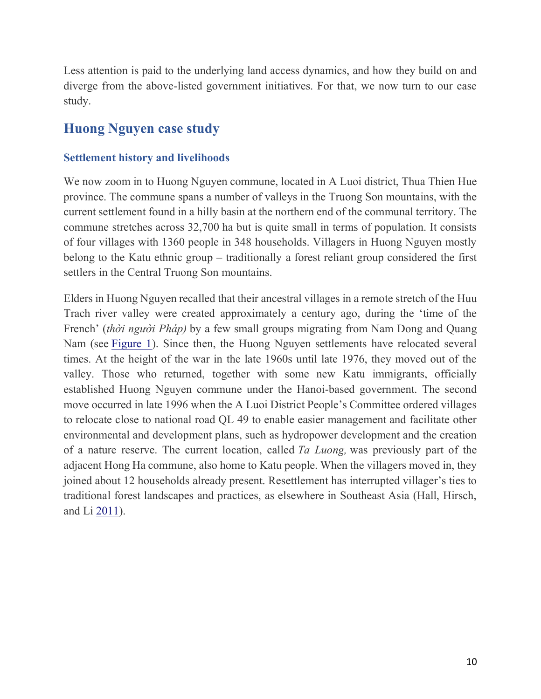Less attention is paid to the underlying land access dynamics, and how they build on and diverge from the above-listed government initiatives. For that, we now turn to our case study.

## **Huong Nguyen case study**

#### **Settlement history and livelihoods**

We now zoom in to Huong Nguyen commune, located in A Luoi district, Thua Thien Hue province. The commune spans a number of valleys in the Truong Son mountains, with the current settlement found in a hilly basin at the northern end of the communal territory. The commune stretches across 32,700 ha but is quite small in terms of population. It consists of four villages with 1360 people in 348 households. Villagers in Huong Nguyen mostly belong to the Katu ethnic group – traditionally a forest reliant group considered the first settlers in the Central Truong Son mountains.

Elders in Huong Nguyen recalled that their ancestral villages in a remote stretch of the Huu Trach river valley were created approximately a century ago, during the 'time of the French' (*thời người Pháp)* by a few small groups migrating from Nam Dong and Quang Nam (see [Figure 1\)](https://www.tandfonline.com/doi/full/10.1080/03066150.2022.2029849#F0001). Since then, the Huong Nguyen settlements have relocated several times. At the height of the war in the late 1960s until late 1976, they moved out of the valley. Those who returned, together with some new Katu immigrants, officially established Huong Nguyen commune under the Hanoi-based government. The second move occurred in late 1996 when the A Luoi District People's Committee ordered villages to relocate close to national road QL 49 to enable easier management and facilitate other environmental and development plans, such as hydropower development and the creation of a nature reserve. The current location, called *Ta Luong,* was previously part of the adjacent Hong Ha commune, also home to Katu people. When the villagers moved in, they joined about 12 households already present. Resettlement has interrupted villager's ties to traditional forest landscapes and practices, as elsewhere in Southeast Asia (Hall, Hirsch, and Li [2011\)](https://www.tandfonline.com/doi/full/10.1080/03066150.2022.2029849).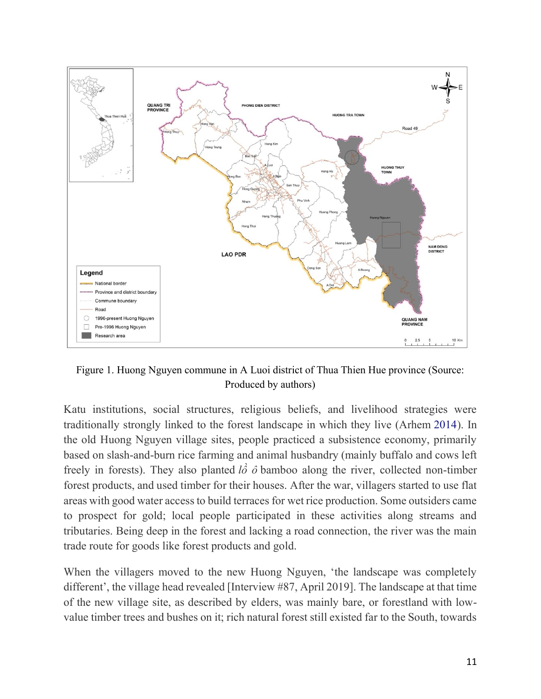

Figure 1. Huong Nguyen commune in A Luoi district of Thua Thien Hue province (Source: Produced by authors)

Katu institutions, social structures, religious beliefs, and livelihood strategies were traditionally strongly linked to the forest landscape in which they live (Arhem [2014\)](https://www.tandfonline.com/doi/full/10.1080/03066150.2022.2029849). In the old Huong Nguyen village sites, people practiced a subsistence economy, primarily based on slash-and-burn rice farming and animal husbandry (mainly buffalo and cows left freely in forests). They also planted  $l\hat{\phi}$   $\hat{\phi}$  bamboo along the river, collected non-timber forest products, and used timber for their houses. After the war, villagers started to use flat areas with good water access to build terraces for wet rice production. Some outsiders came to prospect for gold; local people participated in these activities along streams and tributaries. Being deep in the forest and lacking a road connection, the river was the main trade route for goods like forest products and gold.

When the villagers moved to the new Huong Nguyen, 'the landscape was completely different', the village head revealed [Interview #87, April 2019]. The landscape at that time of the new village site, as described by elders, was mainly bare, or forestland with lowvalue timber trees and bushes on it; rich natural forest still existed far to the South, towards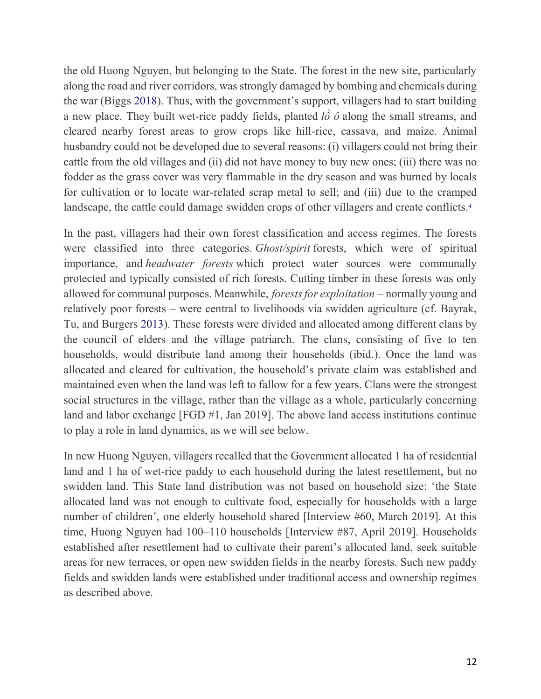the old Huong Nguyen, but belonging to the State. The forest in the new site, particularly along the road and river corridors, was strongly damaged by bombing and chemicals during the war (Biggs [2018](https://www.tandfonline.com/doi/full/10.1080/03066150.2022.2029849)). Thus, with the government's support, villagers had to start building a new place. They built wet-rice paddy fields, planted *lồ ô* along the small streams, and cleared nearby forest areas to grow crops like hill-rice, cassava, and maize. Animal husbandry could not be developed due to several reasons: (i) villagers could not bring their cattle from the old villages and (ii) did not have money to buy new ones; (iii) there was no fodder as the grass cover was very flammable in the dry season and was burned by locals for cultivation or to locate war-related scrap metal to sell; and (iii) due to the cramped landscape, the cattle could damage swidden crops of other villagers and create conflicts[.](https://www.tandfonline.com/doi/full/10.1080/03066150.2022.2029849)<sup>4</sup>

In the past, villagers had their own forest classification and access regimes. The forests were classified into three categories. *Ghost/spirit* forests, which were of spiritual importance, and *headwater forests* which protect water sources were communally protected and typically consisted of rich forests. Cutting timber in these forests was only allowed for communal purposes. Meanwhile, *forests for exploitation* – normally young and relatively poor forests – were central to livelihoods via swidden agriculture (cf. Bayrak, Tu, and Burgers [2013\)](https://www.tandfonline.com/doi/full/10.1080/03066150.2022.2029849). These forests were divided and allocated among different clans by the council of elders and the village patriarch. The clans, consisting of five to ten households, would distribute land among their households (ibid.). Once the land was allocated and cleared for cultivation, the household's private claim was established and maintained even when the land was left to fallow for a few years. Clans were the strongest social structures in the village, rather than the village as a whole, particularly concerning land and labor exchange [FGD #1, Jan 2019]. The above land access institutions continue to play a role in land dynamics, as we will see below.

In new Huong Nguyen, villagers recalled that the Government allocated 1 ha of residential land and 1 ha of wet-rice paddy to each household during the latest resettlement, but no swidden land. This State land distribution was not based on household size: 'the State allocated land was not enough to cultivate food, especially for households with a large number of children', one elderly household shared [Interview #60, March 2019]. At this time, Huong Nguyen had 100–110 households [Interview #87, April 2019]. Households established after resettlement had to cultivate their parent's allocated land, seek suitable areas for new terraces, or open new swidden fields in the nearby forests. Such new paddy fields and swidden lands were established under traditional access and ownership regimes as described above.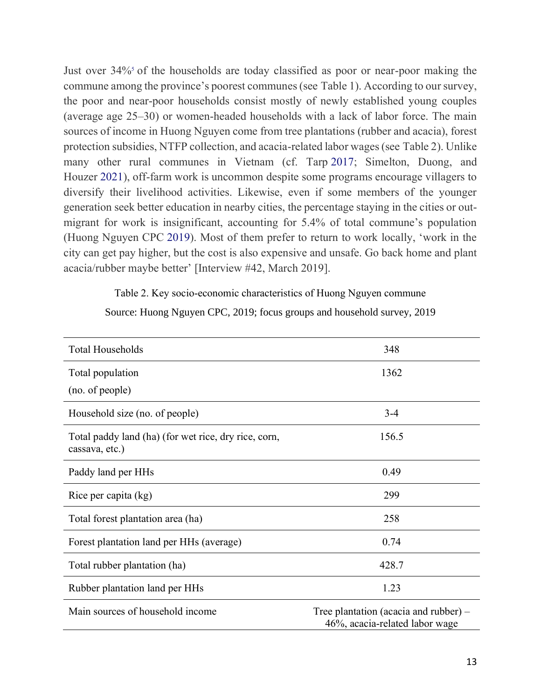Just over 34[%](https://www.tandfonline.com/doi/full/10.1080/03066150.2022.2029849) of the households are today classified as poor or near-poor making the commune among the province's poorest communes (see Table 1). According to our survey, the poor and near-poor households consist mostly of newly established young couples (average age 25–30) or women-headed households with a lack of labor force. The main sources of income in Huong Nguyen come from tree plantations (rubber and acacia), forest protection subsidies, NTFP collection, and acacia-related labor wages (see Table 2). Unlike many other rural communes in Vietnam (cf. Tarp [2017;](https://www.tandfonline.com/doi/full/10.1080/03066150.2022.2029849) Simelton, Duong, and Houzer [2021\)](https://www.tandfonline.com/doi/full/10.1080/03066150.2022.2029849), off-farm work is uncommon despite some programs encourage villagers to diversify their livelihood activities. Likewise, even if some members of the younger generation seek better education in nearby cities, the percentage staying in the cities or outmigrant for work is insignificant, accounting for 5.4% of total commune's population (Huong Nguyen CPC [2019](https://www.tandfonline.com/doi/full/10.1080/03066150.2022.2029849)). Most of them prefer to return to work locally, 'work in the city can get pay higher, but the cost is also expensive and unsafe. Go back home and plant acacia/rubber maybe better' [Interview #42, March 2019].

Table 2. Key socio-economic characteristics of Huong Nguyen commune

Source: Huong Nguyen CPC, 2019; focus groups and household survey, 2019

| <b>Total Households</b>                                                | 348                                                                       |
|------------------------------------------------------------------------|---------------------------------------------------------------------------|
| Total population                                                       | 1362                                                                      |
| (no. of people)                                                        |                                                                           |
| Household size (no. of people)                                         | $3 - 4$                                                                   |
| Total paddy land (ha) (for wet rice, dry rice, corn,<br>cassava, etc.) | 156.5                                                                     |
| Paddy land per HHs                                                     | 0.49                                                                      |
| Rice per capita (kg)                                                   | 299                                                                       |
| Total forest plantation area (ha)                                      | 258                                                                       |
| Forest plantation land per HHs (average)                               | 0.74                                                                      |
| Total rubber plantation (ha)                                           | 428.7                                                                     |
| Rubber plantation land per HHs                                         | 1.23                                                                      |
| Main sources of household income                                       | Tree plantation (acacia and rubber) $-$<br>46%, acacia-related labor wage |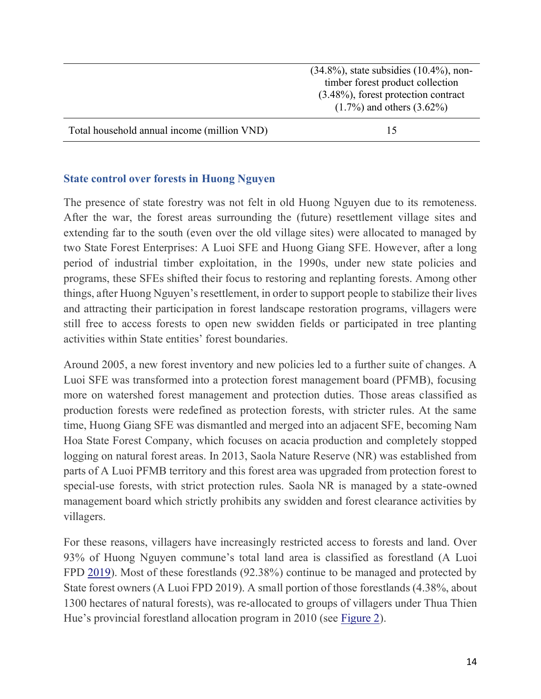|                                             | $(34.8\%)$ , state subsidies $(10.4\%)$ , non-<br>timber forest product collection |
|---------------------------------------------|------------------------------------------------------------------------------------|
|                                             | $(3.48\%)$ , forest protection contract<br>$(1.7\%)$ and others $(3.62\%)$         |
| Total household annual income (million VND) |                                                                                    |

#### **State control over forests in Huong Nguyen**

The presence of state forestry was not felt in old Huong Nguyen due to its remoteness. After the war, the forest areas surrounding the (future) resettlement village sites and extending far to the south (even over the old village sites) were allocated to managed by two State Forest Enterprises: A Luoi SFE and Huong Giang SFE. However, after a long period of industrial timber exploitation, in the 1990s, under new state policies and programs, these SFEs shifted their focus to restoring and replanting forests. Among other things, after Huong Nguyen's resettlement, in order to support people to stabilize their lives and attracting their participation in forest landscape restoration programs, villagers were still free to access forests to open new swidden fields or participated in tree planting activities within State entities' forest boundaries.

Around 2005, a new forest inventory and new policies led to a further suite of changes. A Luoi SFE was transformed into a protection forest management board (PFMB), focusing more on watershed forest management and protection duties. Those areas classified as production forests were redefined as protection forests, with stricter rules. At the same time, Huong Giang SFE was dismantled and merged into an adjacent SFE, becoming Nam Hoa State Forest Company, which focuses on acacia production and completely stopped logging on natural forest areas. In 2013, Saola Nature Reserve (NR) was established from parts of A Luoi PFMB territory and this forest area was upgraded from protection forest to special-use forests, with strict protection rules. Saola NR is managed by a state-owned management board which strictly prohibits any swidden and forest clearance activities by villagers.

For these reasons, villagers have increasingly restricted access to forests and land. Over 93% of Huong Nguyen commune's total land area is classified as forestland (A Luoi FPD [2019\)](https://www.tandfonline.com/doi/full/10.1080/03066150.2022.2029849). Most of these forestlands (92.38%) continue to be managed and protected by State forest owners (A Luoi FPD 2019). A small portion of those forestlands (4.38%, about 1300 hectares of natural forests), was re-allocated to groups of villagers under Thua Thien Hue's provincial forestland allocation program in 2010 (see [Figure 2\)](https://www.tandfonline.com/doi/full/10.1080/03066150.2022.2029849#F0002).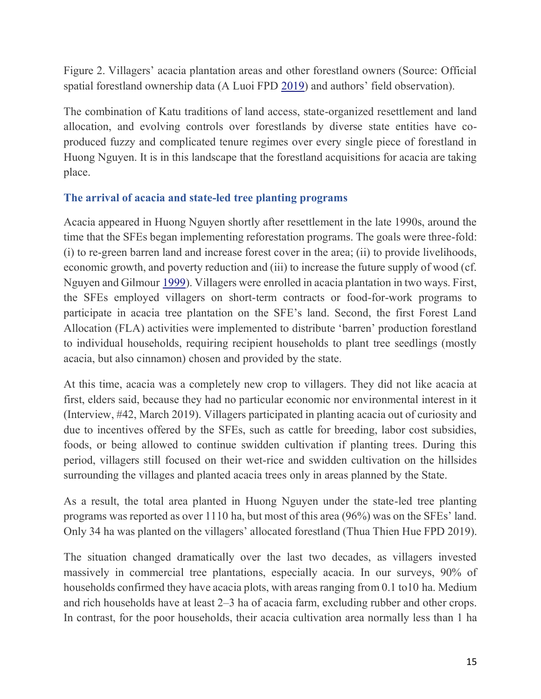Figure 2. Villagers' acacia plantation areas and other forestland owners (Source: Official spatial forestland ownership data (A Luoi FPD [2019](https://www.tandfonline.com/doi/full/10.1080/03066150.2022.2029849)) and authors' field observation).

The combination of Katu traditions of land access, state-organized resettlement and land allocation, and evolving controls over forestlands by diverse state entities have coproduced fuzzy and complicated tenure regimes over every single piece of forestland in Huong Nguyen. It is in this landscape that the forestland acquisitions for acacia are taking place.

#### **The arrival of acacia and state-led tree planting programs**

Acacia appeared in Huong Nguyen shortly after resettlement in the late 1990s, around the time that the SFEs began implementing reforestation programs. The goals were three-fold: (i) to re-green barren land and increase forest cover in the area; (ii) to provide livelihoods, economic growth, and poverty reduction and (iii) to increase the future supply of wood (cf. Nguyen and Gilmour [1999\)](https://www.tandfonline.com/doi/full/10.1080/03066150.2022.2029849). Villagers were enrolled in acacia plantation in two ways. First, the SFEs employed villagers on short-term contracts or food-for-work programs to participate in acacia tree plantation on the SFE's land. Second, the first Forest Land Allocation (FLA) activities were implemented to distribute 'barren' production forestland to individual households, requiring recipient households to plant tree seedlings (mostly acacia, but also cinnamon) chosen and provided by the state.

At this time, acacia was a completely new crop to villagers. They did not like acacia at first, elders said, because they had no particular economic nor environmental interest in it (Interview, #42, March 2019). Villagers participated in planting acacia out of curiosity and due to incentives offered by the SFEs, such as cattle for breeding, labor cost subsidies, foods, or being allowed to continue swidden cultivation if planting trees. During this period, villagers still focused on their wet-rice and swidden cultivation on the hillsides surrounding the villages and planted acacia trees only in areas planned by the State.

As a result, the total area planted in Huong Nguyen under the state-led tree planting programs was reported as over 1110 ha, but most of this area (96%) was on the SFEs' land. Only 34 ha was planted on the villagers' allocated forestland (Thua Thien Hue FPD 2019).

The situation changed dramatically over the last two decades, as villagers invested massively in commercial tree plantations, especially acacia. In our surveys, 90% of households confirmed they have acacia plots, with areas ranging from 0.1 to10 ha. Medium and rich households have at least 2–3 ha of acacia farm, excluding rubber and other crops. In contrast, for the poor households, their acacia cultivation area normally less than 1 ha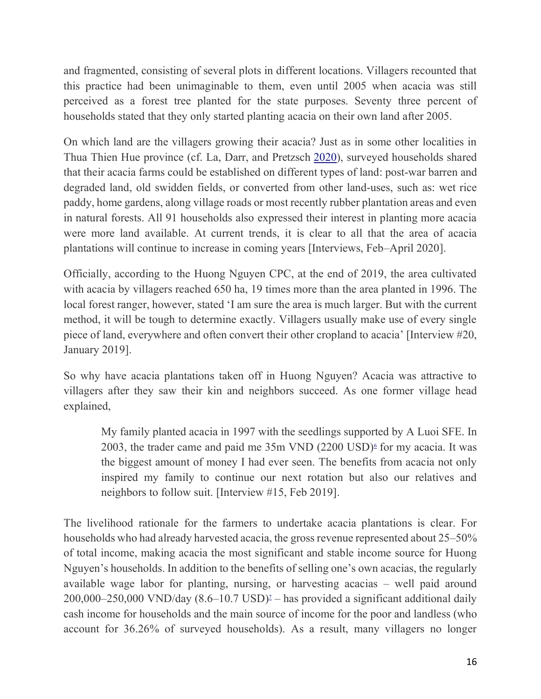and fragmented, consisting of several plots in different locations. Villagers recounted that this practice had been unimaginable to them, even until 2005 when acacia was still perceived as a forest tree planted for the state purposes. Seventy three percent of households stated that they only started planting acacia on their own land after 2005.

On which land are the villagers growing their acacia? Just as in some other localities in Thua Thien Hue province (cf. La, Darr, and Pretzsch [2020\)](https://www.tandfonline.com/doi/full/10.1080/03066150.2022.2029849), surveyed households shared that their acacia farms could be established on different types of land: post-war barren and degraded land, old swidden fields, or converted from other land-uses, such as: wet rice paddy, home gardens, along village roads or most recently rubber plantation areas and even in natural forests. All 91 households also expressed their interest in planting more acacia were more land available. At current trends, it is clear to all that the area of acacia plantations will continue to increase in coming years [Interviews, Feb–April 2020].

Officially, according to the Huong Nguyen CPC, at the end of 2019, the area cultivated with acacia by villagers reached 650 ha, 19 times more than the area planted in 1996. The local forest ranger, however, stated 'I am sure the area is much larger. But with the current method, it will be tough to determine exactly. Villagers usually make use of every single piece of land, everywhere and often convert their other cropland to acacia' [Interview #20, January 2019].

So why have acacia plantations taken off in Huong Nguyen? Acacia was attractive to villagers after they saw their kin and neighbors succeed. As one former village head explained,

My family planted acacia in 1997 with the seedlings supported by A Luoi SFE. In 2003, the trader came and paid me  $35m$  VND  $(2200 \text{ USD})^6$  $(2200 \text{ USD})^6$  $(2200 \text{ USD})^6$  for my acacia. It was the biggest amount of money I had ever seen. The benefits from acacia not only inspired my family to continue our next rotation but also our relatives and neighbors to follow suit. [Interview #15, Feb 2019].

The livelihood rationale for the farmers to undertake acacia plantations is clear. For households who had already harvested acacia, the gross revenue represented about 25–50% of total income, making acacia the most significant and stable income source for Huong Nguyen's households. In addition to the benefits of selling one's own acacias, the regularly available wage labor for planting, nursing, or harvesting acacias – well paid around  $200,000-250,000$  VND/day  $(8.6-10.7 \text{ USD})^2$  $(8.6-10.7 \text{ USD})^2$  $(8.6-10.7 \text{ USD})^2$  – has provided a significant additional daily cash income for households and the main source of income for the poor and landless (who account for 36.26% of surveyed households). As a result, many villagers no longer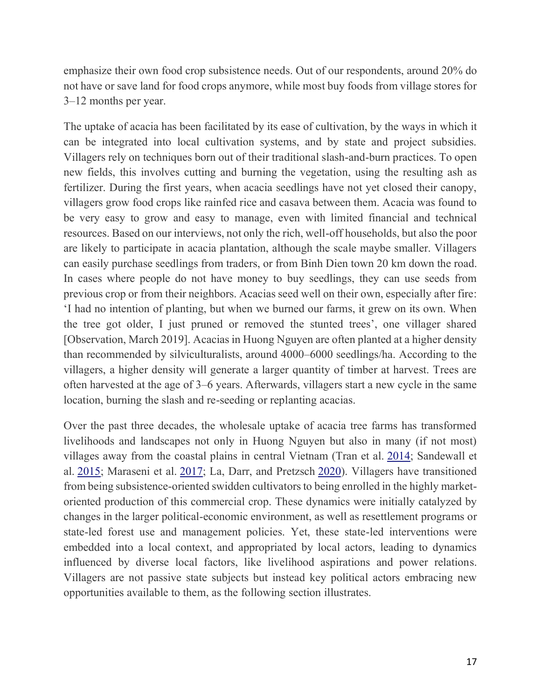emphasize their own food crop subsistence needs. Out of our respondents, around 20% do not have or save land for food crops anymore, while most buy foods from village stores for 3–12 months per year.

The uptake of acacia has been facilitated by its ease of cultivation, by the ways in which it can be integrated into local cultivation systems, and by state and project subsidies. Villagers rely on techniques born out of their traditional slash-and-burn practices. To open new fields, this involves cutting and burning the vegetation, using the resulting ash as fertilizer. During the first years, when acacia seedlings have not yet closed their canopy, villagers grow food crops like rainfed rice and casava between them. Acacia was found to be very easy to grow and easy to manage, even with limited financial and technical resources. Based on our interviews, not only the rich, well-off households, but also the poor are likely to participate in acacia plantation, although the scale maybe smaller. Villagers can easily purchase seedlings from traders, or from Binh Dien town 20 km down the road. In cases where people do not have money to buy seedlings, they can use seeds from previous crop or from their neighbors. Acacias seed well on their own, especially after fire: 'I had no intention of planting, but when we burned our farms, it grew on its own. When the tree got older, I just pruned or removed the stunted trees', one villager shared [Observation, March 2019]. Acacias in Huong Nguyen are often planted at a higher density than recommended by silviculturalists, around 4000–6000 seedlings/ha. According to the villagers, a higher density will generate a larger quantity of timber at harvest. Trees are often harvested at the age of 3–6 years. Afterwards, villagers start a new cycle in the same location, burning the slash and re-seeding or replanting acacias.

Over the past three decades, the wholesale uptake of acacia tree farms has transformed livelihoods and landscapes not only in Huong Nguyen but also in many (if not most) villages away from the coastal plains in central Vietnam (Tran et al. [2014;](https://www.tandfonline.com/doi/full/10.1080/03066150.2022.2029849) Sandewall et al. [2015;](https://www.tandfonline.com/doi/full/10.1080/03066150.2022.2029849) Maraseni et al. [2017;](https://www.tandfonline.com/doi/full/10.1080/03066150.2022.2029849) La, Darr, and Pretzsch [2020\)](https://www.tandfonline.com/doi/full/10.1080/03066150.2022.2029849). Villagers have transitioned from being subsistence-oriented swidden cultivators to being enrolled in the highly marketoriented production of this commercial crop. These dynamics were initially catalyzed by changes in the larger political-economic environment, as well as resettlement programs or state-led forest use and management policies. Yet, these state-led interventions were embedded into a local context, and appropriated by local actors, leading to dynamics influenced by diverse local factors, like livelihood aspirations and power relations. Villagers are not passive state subjects but instead key political actors embracing new opportunities available to them, as the following section illustrates.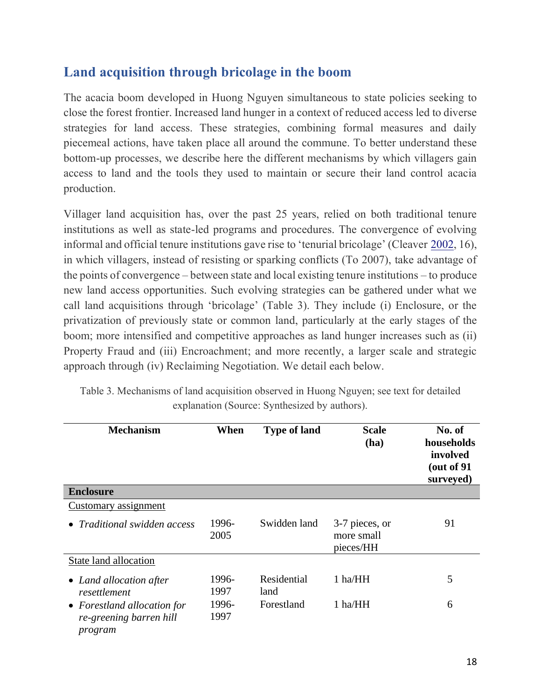## **Land acquisition through bricolage in the boom**

The acacia boom developed in Huong Nguyen simultaneous to state policies seeking to close the forest frontier. Increased land hunger in a context of reduced access led to diverse strategies for land access. These strategies, combining formal measures and daily piecemeal actions, have taken place all around the commune. To better understand these bottom-up processes, we describe here the different mechanisms by which villagers gain access to land and the tools they used to maintain or secure their land control acacia production.

Villager land acquisition has, over the past 25 years, relied on both traditional tenure institutions as well as state-led programs and procedures. The convergence of evolving informal and official tenure institutions gave rise to 'tenurial bricolage' (Cleaver [2002,](https://www.tandfonline.com/doi/full/10.1080/03066150.2022.2029849) 16), in which villagers, instead of resisting or sparking conflicts (To 2007), take advantage of the points of convergence – between state and local existing tenure institutions – to produce new land access opportunities. Such evolving strategies can be gathered under what we call land acquisitions through 'bricolage' (Table 3). They include (i) Enclosure, or the privatization of previously state or common land, particularly at the early stages of the boom; more intensified and competitive approaches as land hunger increases such as (ii) Property Fraud and (iii) Encroachment; and more recently, a larger scale and strategic approach through (iv) Reclaiming Negotiation. We detail each below.

| <b>Mechanism</b>                                                  | When          | <b>Type of land</b> | <b>Scale</b><br>(ha)                      | No. of<br>households<br>involved<br>(out of 91)<br>surveyed) |
|-------------------------------------------------------------------|---------------|---------------------|-------------------------------------------|--------------------------------------------------------------|
| <b>Enclosure</b>                                                  |               |                     |                                           |                                                              |
| Customary assignment                                              |               |                     |                                           |                                                              |
| • Traditional swidden access                                      | 1996-<br>2005 | Swidden land        | 3-7 pieces, or<br>more small<br>pieces/HH | 91                                                           |
| State land allocation                                             |               |                     |                                           |                                                              |
| • Land allocation after<br>resettlement                           | 1996-<br>1997 | Residential<br>land | 1 ha/HH                                   | 5                                                            |
| • Forestland allocation for<br>re-greening barren hill<br>program | 1996-<br>1997 | Forestland          | 1 ha/HH                                   | 6                                                            |

Table 3. Mechanisms of land acquisition observed in Huong Nguyen; see text for detailed explanation (Source: Synthesized by authors).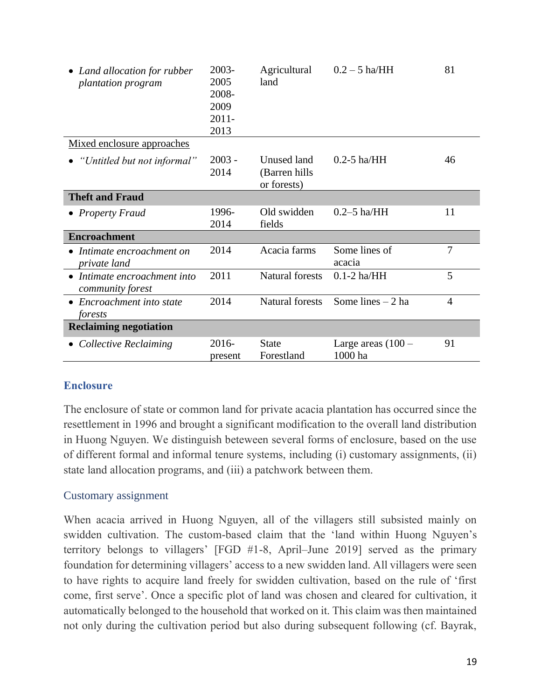| • Land allocation for rubber<br>plantation program | 2003-<br>2005<br>2008-<br>2009<br>$2011 -$<br>2013 | Agricultural<br>land                         | $0.2 - 5$ ha/HH                 | 81             |
|----------------------------------------------------|----------------------------------------------------|----------------------------------------------|---------------------------------|----------------|
| Mixed enclosure approaches                         |                                                    |                                              |                                 |                |
| "Untitled but not informal"                        | $2003 -$<br>2014                                   | Unused land<br>(Barren hills)<br>or forests) | $0.2 - 5$ ha/HH                 | 46             |
| <b>Theft and Fraud</b>                             |                                                    |                                              |                                 |                |
| • Property Fraud                                   | 1996-<br>2014                                      | Old swidden<br>fields                        | $0.2 - 5$ ha/HH                 | 11             |
| <b>Encroachment</b>                                |                                                    |                                              |                                 |                |
| $\bullet$ Intimate encroachment on<br>private land | 2014                                               | Acacia farms                                 | Some lines of<br>acacia         | 7              |
| • Intimate encroachment into<br>community forest   | 2011                                               | <b>Natural forests</b>                       | $0.1-2$ ha/ $HH$                | 5              |
| • Encroachment into state<br>forests               | 2014                                               | <b>Natural forests</b>                       | Some lines $-2$ ha              | $\overline{4}$ |
| <b>Reclaiming negotiation</b>                      |                                                    |                                              |                                 |                |
| • Collective Reclaiming                            | 2016-<br>present                                   | <b>State</b><br>Forestland                   | Large areas $(100 -$<br>1000 ha | 91             |

#### **Enclosure**

The enclosure of state or common land for private acacia plantation has occurred since the resettlement in 1996 and brought a significant modification to the overall land distribution in Huong Nguyen. We distinguish beteween several forms of enclosure, based on the use of different formal and informal tenure systems, including (i) customary assignments, (ii) state land allocation programs, and (iii) a patchwork between them.

#### Customary assignment

When acacia arrived in Huong Nguyen, all of the villagers still subsisted mainly on swidden cultivation. The custom-based claim that the 'land within Huong Nguyen's territory belongs to villagers' [FGD #1-8, April–June 2019] served as the primary foundation for determining villagers' access to a new swidden land. All villagers were seen to have rights to acquire land freely for swidden cultivation, based on the rule of 'first come, first serve'. Once a specific plot of land was chosen and cleared for cultivation, it automatically belonged to the household that worked on it. This claim was then maintained not only during the cultivation period but also during subsequent following (cf. Bayrak,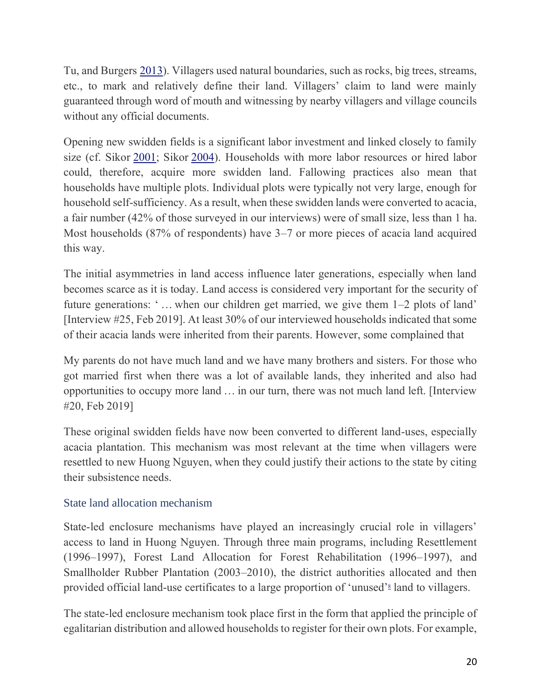Tu, and Burgers [2013\)](https://www.tandfonline.com/doi/full/10.1080/03066150.2022.2029849). Villagers used natural boundaries, such as rocks, big trees, streams, etc., to mark and relatively define their land. Villagers' claim to land were mainly guaranteed through word of mouth and witnessing by nearby villagers and village councils without any official documents.

Opening new swidden fields is a significant labor investment and linked closely to family size (cf. Sikor [2001;](https://www.tandfonline.com/doi/full/10.1080/03066150.2022.2029849) Sikor [2004\)](https://www.tandfonline.com/doi/full/10.1080/03066150.2022.2029849). Households with more labor resources or hired labor could, therefore, acquire more swidden land. Fallowing practices also mean that households have multiple plots. Individual plots were typically not very large, enough for household self-sufficiency. As a result, when these swidden lands were converted to acacia, a fair number (42% of those surveyed in our interviews) were of small size, less than 1 ha. Most households (87% of respondents) have 3–7 or more pieces of acacia land acquired this way.

The initial asymmetries in land access influence later generations, especially when land becomes scarce as it is today. Land access is considered very important for the security of future generations: ' … when our children get married, we give them 1–2 plots of land' [Interview #25, Feb 2019]. At least 30% of our interviewed households indicated that some of their acacia lands were inherited from their parents. However, some complained that

My parents do not have much land and we have many brothers and sisters. For those who got married first when there was a lot of available lands, they inherited and also had opportunities to occupy more land … in our turn, there was not much land left. [Interview #20, Feb 2019]

These original swidden fields have now been converted to different land-uses, especially acacia plantation. This mechanism was most relevant at the time when villagers were resettled to new Huong Nguyen, when they could justify their actions to the state by citing their subsistence needs.

#### State land allocation mechanism

State-led enclosure mechanisms have played an increasingly crucial role in villagers' access to land in Huong Nguyen. Through three main programs, including Resettlement (1996–1997), Forest Land Allocation for Forest Rehabilitation (1996–1997), and Smallholder Rubber Plantation (2003–2010), the district authorities allocated and then provided official land-use certificates to a large proportion of ['](https://www.tandfonline.com/doi/full/10.1080/03066150.2022.2029849)unused'<sup>8</sup> land to villagers.

The state-led enclosure mechanism took place first in the form that applied the principle of egalitarian distribution and allowed households to register for their own plots. For example,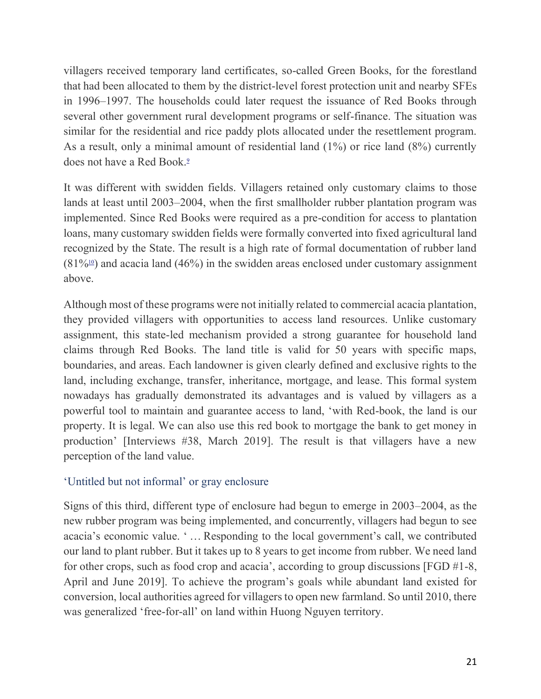villagers received temporary land certificates, so-called Green Books, for the forestland that had been allocated to them by the district-level forest protection unit and nearby SFEs in 1996–1997. The households could later request the issuance of Red Books through several other government rural development programs or self-finance. The situation was similar for the residential and rice paddy plots allocated under the resettlement program. As a result, only a minimal amount of residential land (1%) or rice land (8%) currently does not have a Red Book[.](https://www.tandfonline.com/doi/full/10.1080/03066150.2022.2029849)<sup>9</sup>

It was different with swidden fields. Villagers retained only customary claims to those lands at least until 2003–2004, when the first smallholder rubber plantation program was implemented. Since Red Books were required as a pre-condition for access to plantation loans, many customary swidden fields were formally converted into fixed agricultural land recognized by the State. The result is a high rate of formal documentation of rubber land  $(81\%$ <sup>[10](https://www.tandfonline.com/doi/full/10.1080/03066150.2022.2029849)</sup>) and acacia land (46%) in the swidden areas enclosed under customary assignment above.

Although most of these programs were not initially related to commercial acacia plantation, they provided villagers with opportunities to access land resources. Unlike customary assignment, this state-led mechanism provided a strong guarantee for household land claims through Red Books. The land title is valid for 50 years with specific maps, boundaries, and areas. Each landowner is given clearly defined and exclusive rights to the land, including exchange, transfer, inheritance, mortgage, and lease. This formal system nowadays has gradually demonstrated its advantages and is valued by villagers as a powerful tool to maintain and guarantee access to land, 'with Red-book, the land is our property. It is legal. We can also use this red book to mortgage the bank to get money in production' [Interviews #38, March 2019]. The result is that villagers have a new perception of the land value.

#### 'Untitled but not informal' or gray enclosure

Signs of this third, different type of enclosure had begun to emerge in 2003–2004, as the new rubber program was being implemented, and concurrently, villagers had begun to see acacia's economic value. ' … Responding to the local government's call, we contributed our land to plant rubber. But it takes up to 8 years to get income from rubber. We need land for other crops, such as food crop and acacia', according to group discussions [FGD #1-8, April and June 2019]. To achieve the program's goals while abundant land existed for conversion, local authorities agreed for villagers to open new farmland. So until 2010, there was generalized 'free-for-all' on land within Huong Nguyen territory.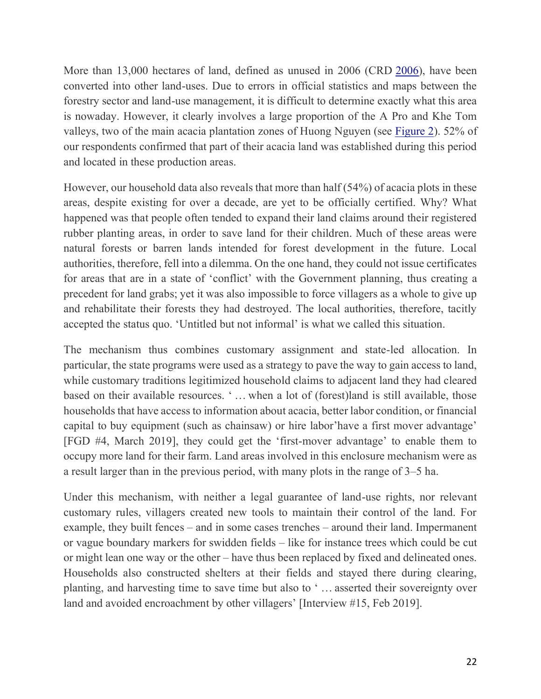More than 13,000 hectares of land, defined as unused in 2006 (CRD [2006\)](https://www.tandfonline.com/doi/full/10.1080/03066150.2022.2029849), have been converted into other land-uses. Due to errors in official statistics and maps between the forestry sector and land-use management, it is difficult to determine exactly what this area is nowaday. However, it clearly involves a large proportion of the A Pro and Khe Tom valleys, two of the main acacia plantation zones of Huong Nguyen (see [Figure 2\)](https://www.tandfonline.com/doi/full/10.1080/03066150.2022.2029849#F0002). 52% of our respondents confirmed that part of their acacia land was established during this period and located in these production areas.

However, our household data also reveals that more than half (54%) of acacia plots in these areas, despite existing for over a decade, are yet to be officially certified. Why? What happened was that people often tended to expand their land claims around their registered rubber planting areas, in order to save land for their children. Much of these areas were natural forests or barren lands intended for forest development in the future. Local authorities, therefore, fell into a dilemma. On the one hand, they could not issue certificates for areas that are in a state of 'conflict' with the Government planning, thus creating a precedent for land grabs; yet it was also impossible to force villagers as a whole to give up and rehabilitate their forests they had destroyed. The local authorities, therefore, tacitly accepted the status quo. 'Untitled but not informal' is what we called this situation.

The mechanism thus combines customary assignment and state-led allocation. In particular, the state programs were used as a strategy to pave the way to gain access to land, while customary traditions legitimized household claims to adjacent land they had cleared based on their available resources. ' … when a lot of (forest)land is still available, those households that have access to information about acacia, better labor condition, or financial capital to buy equipment (such as chainsaw) or hire labor'have a first mover advantage' [FGD #4, March 2019], they could get the 'first-mover advantage' to enable them to occupy more land for their farm. Land areas involved in this enclosure mechanism were as a result larger than in the previous period, with many plots in the range of 3–5 ha.

Under this mechanism, with neither a legal guarantee of land-use rights, nor relevant customary rules, villagers created new tools to maintain their control of the land. For example, they built fences – and in some cases trenches – around their land. Impermanent or vague boundary markers for swidden fields – like for instance trees which could be cut or might lean one way or the other – have thus been replaced by fixed and delineated ones. Households also constructed shelters at their fields and stayed there during clearing, planting, and harvesting time to save time but also to ' … asserted their sovereignty over land and avoided encroachment by other villagers' [Interview #15, Feb 2019].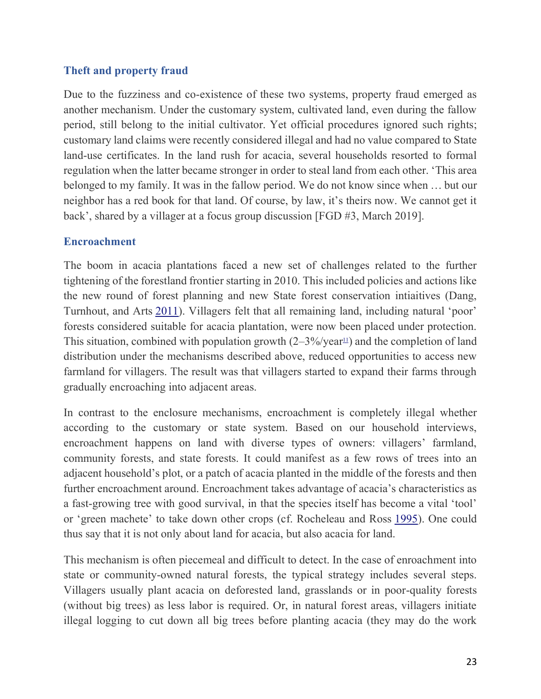#### **Theft and property fraud**

Due to the fuzziness and co-existence of these two systems, property fraud emerged as another mechanism. Under the customary system, cultivated land, even during the fallow period, still belong to the initial cultivator. Yet official procedures ignored such rights; customary land claims were recently considered illegal and had no value compared to State land-use certificates. In the land rush for acacia, several households resorted to formal regulation when the latter became stronger in order to steal land from each other. 'This area belonged to my family. It was in the fallow period. We do not know since when … but our neighbor has a red book for that land. Of course, by law, it's theirs now. We cannot get it back', shared by a villager at a focus group discussion [FGD #3, March 2019].

#### **Encroachment**

The boom in acacia plantations faced a new set of challenges related to the further tightening of the forestland frontier starting in 2010. This included policies and actions like the new round of forest planning and new State forest conservation intiaitives (Dang, Turnhout, and Arts [2011](https://www.tandfonline.com/doi/full/10.1080/03066150.2022.2029849)). Villagers felt that all remaining land, including natural 'poor' forests considered suitable for acacia plantation, were now been placed under protection. This situation, combined with population growth  $(2-3\%/\text{year}^{11})$  $(2-3\%/\text{year}^{11})$  $(2-3\%/\text{year}^{11})$  and the completion of land distribution under the mechanisms described above, reduced opportunities to access new farmland for villagers. The result was that villagers started to expand their farms through gradually encroaching into adjacent areas.

In contrast to the enclosure mechanisms, encroachment is completely illegal whether according to the customary or state system. Based on our household interviews, encroachment happens on land with diverse types of owners: villagers' farmland, community forests, and state forests. It could manifest as a few rows of trees into an adjacent household's plot, or a patch of acacia planted in the middle of the forests and then further encroachment around. Encroachment takes advantage of acacia's characteristics as a fast-growing tree with good survival, in that the species itself has become a vital 'tool' or 'green machete' to take down other crops (cf. Rocheleau and Ross [1995\)](https://www.tandfonline.com/doi/full/10.1080/03066150.2022.2029849). One could thus say that it is not only about land for acacia, but also acacia for land.

This mechanism is often piecemeal and difficult to detect. In the case of enroachment into state or community-owned natural forests, the typical strategy includes several steps. Villagers usually plant acacia on deforested land, grasslands or in poor-quality forests (without big trees) as less labor is required. Or, in natural forest areas, villagers initiate illegal logging to cut down all big trees before planting acacia (they may do the work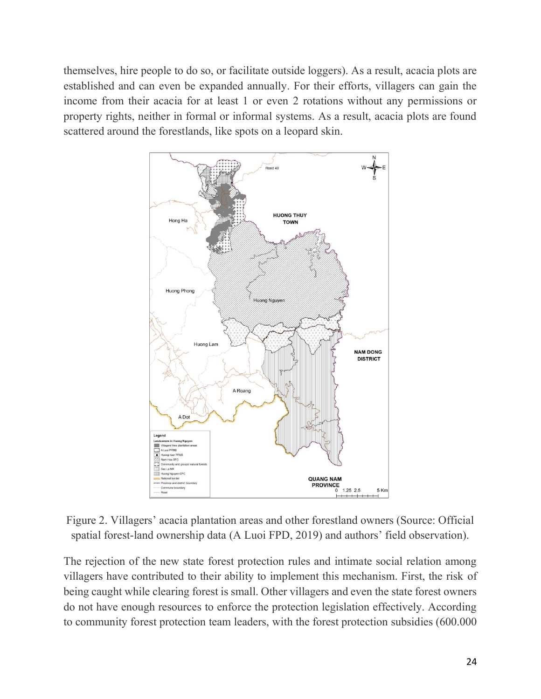themselves, hire people to do so, or facilitate outside loggers). As a result, acacia plots are established and can even be expanded annually. For their efforts, villagers can gain the income from their acacia for at least 1 or even 2 rotations without any permissions or property rights, neither in formal or informal systems. As a result, acacia plots are found scattered around the forestlands, like spots on a leopard skin.



Figure 2. Villagers' acacia plantation areas and other forestland owners (Source: Official spatial forest-land ownership data (A Luoi FPD, 2019) and authors' field observation).

The rejection of the new state forest protection rules and intimate social relation among villagers have contributed to their ability to implement this mechanism. First, the risk of being caught while clearing forest is small. Other villagers and even the state forest owners do not have enough resources to enforce the protection legislation effectively. According to community forest protection team leaders, with the forest protection subsidies (600.000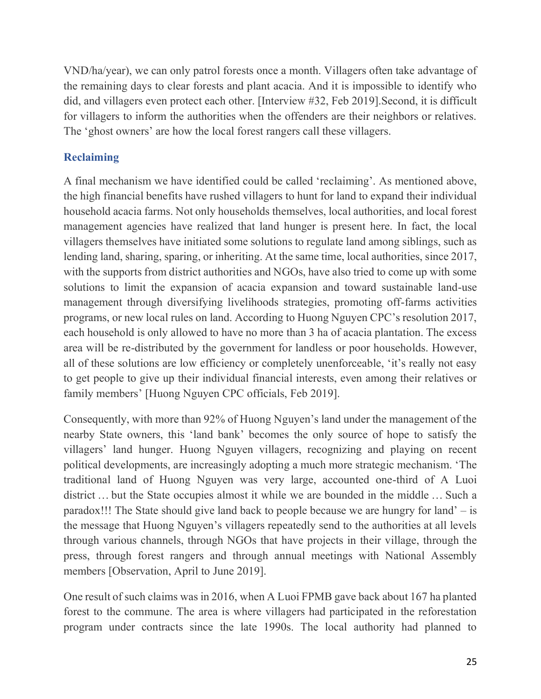VND/ha/year), we can only patrol forests once a month. Villagers often take advantage of the remaining days to clear forests and plant acacia. And it is impossible to identify who did, and villagers even protect each other. [Interview #32, Feb 2019].Second, it is difficult for villagers to inform the authorities when the offenders are their neighbors or relatives. The 'ghost owners' are how the local forest rangers call these villagers.

### **Reclaiming**

A final mechanism we have identified could be called 'reclaiming'. As mentioned above, the high financial benefits have rushed villagers to hunt for land to expand their individual household acacia farms. Not only households themselves, local authorities, and local forest management agencies have realized that land hunger is present here. In fact, the local villagers themselves have initiated some solutions to regulate land among siblings, such as lending land, sharing, sparing, or inheriting. At the same time, local authorities, since 2017, with the supports from district authorities and NGOs, have also tried to come up with some solutions to limit the expansion of acacia expansion and toward sustainable land-use management through diversifying livelihoods strategies, promoting off-farms activities programs, or new local rules on land. According to Huong Nguyen CPC's resolution 2017, each household is only allowed to have no more than 3 ha of acacia plantation. The excess area will be re-distributed by the government for landless or poor households. However, all of these solutions are low efficiency or completely unenforceable, 'it's really not easy to get people to give up their individual financial interests, even among their relatives or family members' [Huong Nguyen CPC officials, Feb 2019].

Consequently, with more than 92% of Huong Nguyen's land under the management of the nearby State owners, this 'land bank' becomes the only source of hope to satisfy the villagers' land hunger. Huong Nguyen villagers, recognizing and playing on recent political developments, are increasingly adopting a much more strategic mechanism. 'The traditional land of Huong Nguyen was very large, accounted one-third of A Luoi district … but the State occupies almost it while we are bounded in the middle … Such a paradox!!! The State should give land back to people because we are hungry for land' – is the message that Huong Nguyen's villagers repeatedly send to the authorities at all levels through various channels, through NGOs that have projects in their village, through the press, through forest rangers and through annual meetings with National Assembly members [Observation, April to June 2019].

One result of such claims was in 2016, when A Luoi FPMB gave back about 167 ha planted forest to the commune. The area is where villagers had participated in the reforestation program under contracts since the late 1990s. The local authority had planned to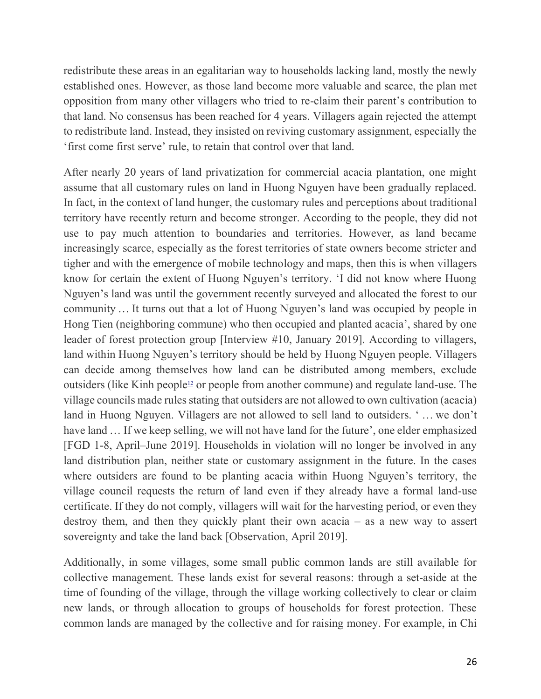redistribute these areas in an egalitarian way to households lacking land, mostly the newly established ones. However, as those land become more valuable and scarce, the plan met opposition from many other villagers who tried to re-claim their parent's contribution to that land. No consensus has been reached for 4 years. Villagers again rejected the attempt to redistribute land. Instead, they insisted on reviving customary assignment, especially the 'first come first serve' rule, to retain that control over that land.

After nearly 20 years of land privatization for commercial acacia plantation, one might assume that all customary rules on land in Huong Nguyen have been gradually replaced. In fact, in the context of land hunger, the customary rules and perceptions about traditional territory have recently return and become stronger. According to the people, they did not use to pay much attention to boundaries and territories. However, as land became increasingly scarce, especially as the forest territories of state owners become stricter and tigher and with the emergence of mobile technology and maps, then this is when villagers know for certain the extent of Huong Nguyen's territory. 'I did not know where Huong Nguyen's land was until the government recently surveyed and allocated the forest to our community … It turns out that a lot of Huong Nguyen's land was occupied by people in Hong Tien (neighboring commune) who then occupied and planted acacia', shared by one leader of forest protection group [Interview #10, January 2019]. According to villagers, land within Huong Nguyen's territory should be held by Huong Nguyen people. Villagers can decide among themselves how land can be distributed among members, exclude outsiders (like Kinh people<sup>[12](https://www.tandfonline.com/doi/full/10.1080/03066150.2022.2029849)</sup> or people from another commune) and regulate land-use. The village councils made rules stating that outsiders are not allowed to own cultivation (acacia) land in Huong Nguyen. Villagers are not allowed to sell land to outsiders. ' … we don't have land ... If we keep selling, we will not have land for the future', one elder emphasized [FGD 1-8, April–June 2019]. Households in violation will no longer be involved in any land distribution plan, neither state or customary assignment in the future. In the cases where outsiders are found to be planting acacia within Huong Nguyen's territory, the village council requests the return of land even if they already have a formal land-use certificate. If they do not comply, villagers will wait for the harvesting period, or even they destroy them, and then they quickly plant their own acacia – as a new way to assert sovereignty and take the land back [Observation, April 2019].

Additionally, in some villages, some small public common lands are still available for collective management. These lands exist for several reasons: through a set-aside at the time of founding of the village, through the village working collectively to clear or claim new lands, or through allocation to groups of households for forest protection. These common lands are managed by the collective and for raising money. For example, in Chi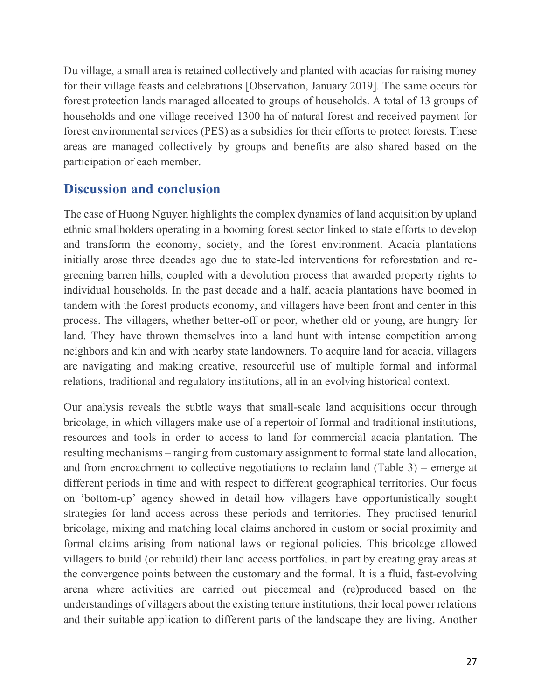Du village, a small area is retained collectively and planted with acacias for raising money for their village feasts and celebrations [Observation, January 2019]. The same occurs for forest protection lands managed allocated to groups of households. A total of 13 groups of households and one village received 1300 ha of natural forest and received payment for forest environmental services (PES) as a subsidies for their efforts to protect forests. These areas are managed collectively by groups and benefits are also shared based on the participation of each member.

# **Discussion and conclusion**

The case of Huong Nguyen highlights the complex dynamics of land acquisition by upland ethnic smallholders operating in a booming forest sector linked to state efforts to develop and transform the economy, society, and the forest environment. Acacia plantations initially arose three decades ago due to state-led interventions for reforestation and regreening barren hills, coupled with a devolution process that awarded property rights to individual households. In the past decade and a half, acacia plantations have boomed in tandem with the forest products economy, and villagers have been front and center in this process. The villagers, whether better-off or poor, whether old or young, are hungry for land. They have thrown themselves into a land hunt with intense competition among neighbors and kin and with nearby state landowners. To acquire land for acacia, villagers are navigating and making creative, resourceful use of multiple formal and informal relations, traditional and regulatory institutions, all in an evolving historical context.

Our analysis reveals the subtle ways that small-scale land acquisitions occur through bricolage, in which villagers make use of a repertoir of formal and traditional institutions, resources and tools in order to access to land for commercial acacia plantation. The resulting mechanisms – ranging from customary assignment to formal state land allocation, and from encroachment to collective negotiations to reclaim land (Table 3) – emerge at different periods in time and with respect to different geographical territories. Our focus on 'bottom-up' agency showed in detail how villagers have opportunistically sought strategies for land access across these periods and territories. They practised tenurial bricolage, mixing and matching local claims anchored in custom or social proximity and formal claims arising from national laws or regional policies. This bricolage allowed villagers to build (or rebuild) their land access portfolios, in part by creating gray areas at the convergence points between the customary and the formal. It is a fluid, fast-evolving arena where activities are carried out piecemeal and (re)produced based on the understandings of villagers about the existing tenure institutions, their local power relations and their suitable application to different parts of the landscape they are living. Another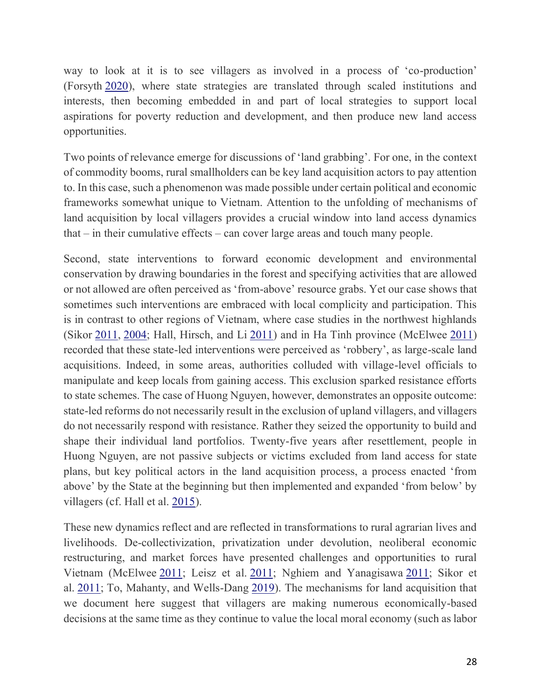way to look at it is to see villagers as involved in a process of 'co-production' (Forsyth [2020\)](https://www.tandfonline.com/doi/full/10.1080/03066150.2022.2029849), where state strategies are translated through scaled institutions and interests, then becoming embedded in and part of local strategies to support local aspirations for poverty reduction and development, and then produce new land access opportunities.

Two points of relevance emerge for discussions of 'land grabbing'. For one, in the context of commodity booms, rural smallholders can be key land acquisition actors to pay attention to. In this case, such a phenomenon was made possible under certain political and economic frameworks somewhat unique to Vietnam. Attention to the unfolding of mechanisms of land acquisition by local villagers provides a crucial window into land access dynamics that – in their cumulative effects – can cover large areas and touch many people.

Second, state interventions to forward economic development and environmental conservation by drawing boundaries in the forest and specifying activities that are allowed or not allowed are often perceived as 'from-above' resource grabs. Yet our case shows that sometimes such interventions are embraced with local complicity and participation. This is in contrast to other regions of Vietnam, where case studies in the northwest highlands (Sikor [2011,](https://www.tandfonline.com/doi/full/10.1080/03066150.2022.2029849) [2004;](https://www.tandfonline.com/doi/full/10.1080/03066150.2022.2029849) Hall, Hirsch, and Li [2011\)](https://www.tandfonline.com/doi/full/10.1080/03066150.2022.2029849) and in Ha Tinh province (McElwee [2011\)](https://www.tandfonline.com/doi/full/10.1080/03066150.2022.2029849) recorded that these state-led interventions were perceived as 'robbery', as large-scale land acquisitions. Indeed, in some areas, authorities colluded with village-level officials to manipulate and keep locals from gaining access. This exclusion sparked resistance efforts to state schemes. The case of Huong Nguyen, however, demonstrates an opposite outcome: state-led reforms do not necessarily result in the exclusion of upland villagers, and villagers do not necessarily respond with resistance. Rather they seized the opportunity to build and shape their individual land portfolios. Twenty-five years after resettlement, people in Huong Nguyen, are not passive subjects or victims excluded from land access for state plans, but key political actors in the land acquisition process, a process enacted 'from above' by the State at the beginning but then implemented and expanded 'from below' by villagers (cf. Hall et al. [2015\)](https://www.tandfonline.com/doi/full/10.1080/03066150.2022.2029849).

These new dynamics reflect and are reflected in transformations to rural agrarian lives and livelihoods. De-collectivization, privatization under devolution, neoliberal economic restructuring, and market forces have presented challenges and opportunities to rural Vietnam (McElwee [2011;](https://www.tandfonline.com/doi/full/10.1080/03066150.2022.2029849) Leisz et al. [2011;](https://www.tandfonline.com/doi/full/10.1080/03066150.2022.2029849) Nghiem and Yanagisawa [2011;](https://www.tandfonline.com/doi/full/10.1080/03066150.2022.2029849) Sikor et al. [2011;](https://www.tandfonline.com/doi/full/10.1080/03066150.2022.2029849) To, Mahanty, and Wells-Dang [2019\)](https://www.tandfonline.com/doi/full/10.1080/03066150.2022.2029849). The mechanisms for land acquisition that we document here suggest that villagers are making numerous economically-based decisions at the same time as they continue to value the local moral economy (such as labor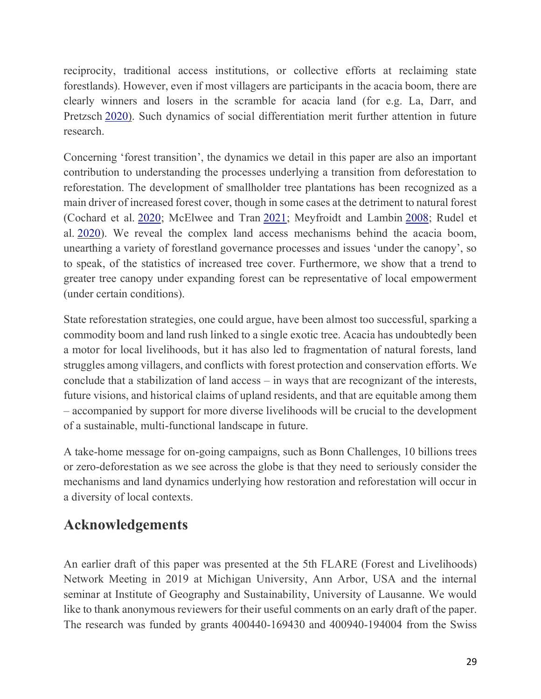reciprocity, traditional access institutions, or collective efforts at reclaiming state forestlands). However, even if most villagers are participants in the acacia boom, there are clearly winners and losers in the scramble for acacia land (for e.g. La, Darr, and Pretzsch [2020\)](https://www.tandfonline.com/doi/full/10.1080/03066150.2022.2029849). Such dynamics of social differentiation merit further attention in future research.

Concerning 'forest transition', the dynamics we detail in this paper are also an important contribution to understanding the processes underlying a transition from deforestation to reforestation. The development of smallholder tree plantations has been recognized as a main driver of increased forest cover, though in some cases at the detriment to natural forest (Cochard et al. [2020;](https://www.tandfonline.com/doi/full/10.1080/03066150.2022.2029849) McElwee and Tran [2021;](https://www.tandfonline.com/doi/full/10.1080/03066150.2022.2029849) Meyfroidt and Lambin [2008;](https://www.tandfonline.com/doi/full/10.1080/03066150.2022.2029849) Rudel et al. [2020\)](https://www.tandfonline.com/doi/full/10.1080/03066150.2022.2029849). We reveal the complex land access mechanisms behind the acacia boom, unearthing a variety of forestland governance processes and issues 'under the canopy', so to speak, of the statistics of increased tree cover. Furthermore, we show that a trend to greater tree canopy under expanding forest can be representative of local empowerment (under certain conditions).

State reforestation strategies, one could argue, have been almost too successful, sparking a commodity boom and land rush linked to a single exotic tree. Acacia has undoubtedly been a motor for local livelihoods, but it has also led to fragmentation of natural forests, land struggles among villagers, and conflicts with forest protection and conservation efforts. We conclude that a stabilization of land access – in ways that are recognizant of the interests, future visions, and historical claims of upland residents, and that are equitable among them – accompanied by support for more diverse livelihoods will be crucial to the development of a sustainable, multi-functional landscape in future.

A take-home message for on-going campaigns, such as Bonn Challenges, 10 billions trees or zero-deforestation as we see across the globe is that they need to seriously consider the mechanisms and land dynamics underlying how restoration and reforestation will occur in a diversity of local contexts.

# **Acknowledgements**

An earlier draft of this paper was presented at the 5th FLARE (Forest and Livelihoods) Network Meeting in 2019 at Michigan University, Ann Arbor, USA and the internal seminar at Institute of Geography and Sustainability, University of Lausanne. We would like to thank anonymous reviewers for their useful comments on an early draft of the paper. The research was funded by grants 400440-169430 and 400940-194004 from the Swiss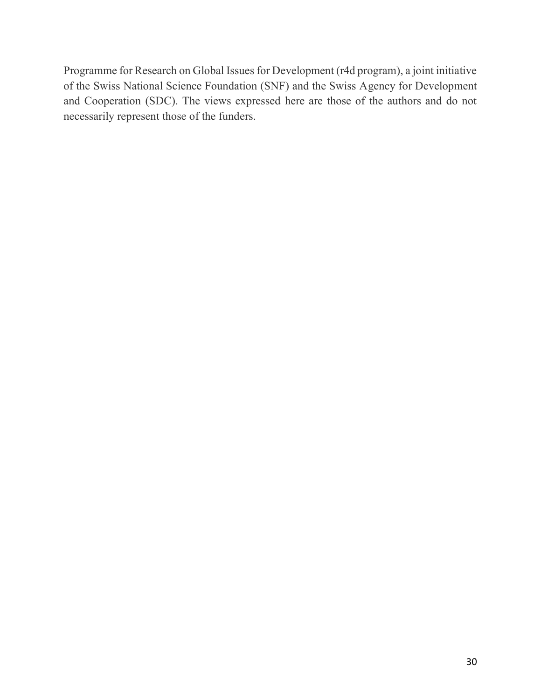Programme for Research on Global Issues for Development (r4d program), a joint initiative of the Swiss National Science Foundation (SNF) and the Swiss Agency for Development and Cooperation (SDC). The views expressed here are those of the authors and do not necessarily represent those of the funders.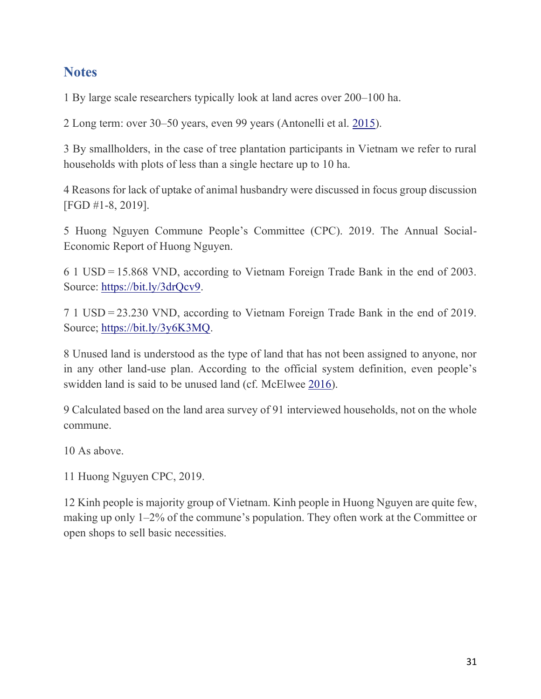### **Notes**

1 By large scale researchers typically look at land acres over 200–100 ha.

2 Long term: over 30–50 years, even 99 years (Antonelli et al. [2015\)](https://www.tandfonline.com/doi/full/10.1080/03066150.2022.2029849).

3 By smallholders, in the case of tree plantation participants in Vietnam we refer to rural households with plots of less than a single hectare up to 10 ha.

4 Reasons for lack of uptake of animal husbandry were discussed in focus group discussion [FGD #1-8, 2019].

5 Huong Nguyen Commune People's Committee (CPC). 2019. The Annual Social-Economic Report of Huong Nguyen.

6 1 USD = 15.868 VND, according to Vietnam Foreign Trade Bank in the end of 2003. Source: [https://bit.ly/3drQcv9.](https://bit.ly/3drQcv9)

7 1 USD = 23.230 VND, according to Vietnam Foreign Trade Bank in the end of 2019. Source; [https://bit.ly/3y6K3MQ.](https://bit.ly/3y6K3MQ)

8 Unused land is understood as the type of land that has not been assigned to anyone, nor in any other land-use plan. According to the official system definition, even people's swidden land is said to be unused land (cf. McElwee [2016\)](https://www.tandfonline.com/doi/full/10.1080/03066150.2022.2029849).

9 Calculated based on the land area survey of 91 interviewed households, not on the whole commune.

10 As above.

11 Huong Nguyen CPC, 2019.

12 Kinh people is majority group of Vietnam. Kinh people in Huong Nguyen are quite few, making up only 1–2% of the commune's population. They often work at the Committee or open shops to sell basic necessities.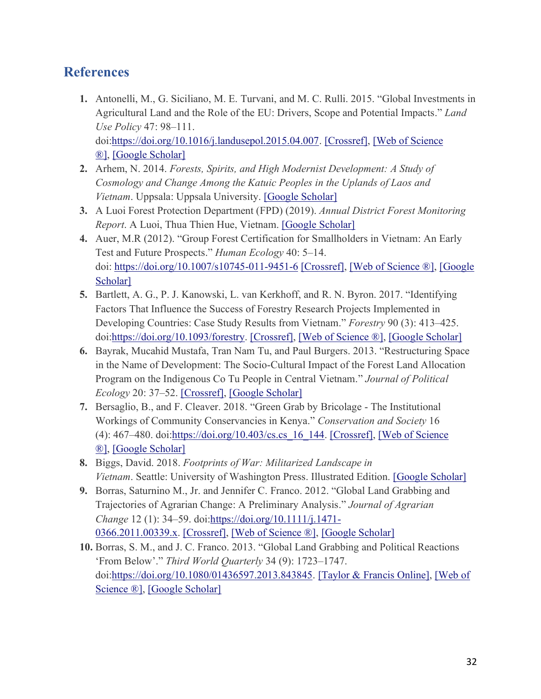## **References**

- **1.** Antonelli, M., G. Siciliano, M. E. Turvani, and M. C. Rulli. 2015. "Global Investments in Agricultural Land and the Role of the EU: Drivers, Scope and Potential Impacts." *Land Use Policy* 47: 98–111. doi[:https://doi.org/10.1016/j.landusepol.2015.04.007.](https://doi.org/10.1016/j.landusepol.2015.04.007) [\[Crossref\],](https://www.tandfonline.com/servlet/linkout?suffix=CIT0001&dbid=16&doi=10.1080%2F03066150.2022.2029849&key=10.1016%2Fj.landusepol.2015.04.007) [\[Web of Science](https://www.tandfonline.com/servlet/linkout?suffix=CIT0001&dbid=128&doi=10.1080%2F03066150.2022.2029849&key=000358807000009)  [®\],](https://www.tandfonline.com/servlet/linkout?suffix=CIT0001&dbid=128&doi=10.1080%2F03066150.2022.2029849&key=000358807000009) [\[Google Scholar\]](http://scholar.google.com/scholar_lookup?hl=en&volume=47&publication_year=2015&pages=98-111&author=M.+Antonelli&author=G.+Siciliano&author=M.+E.+Turvani&author=M.+C.+Rulli&title=Global+Investments+in+Agricultural+Land+and+the+Role+of+the+EU%3A+Drivers%2C+Scope+and+Potential+Impacts&doi=10.1016%2Fj.landusepol.2015.04.007)
- **2.** Arhem, N. 2014. *Forests, Spirits, and High Modernist Development: A Study of Cosmology and Change Among the Katuic Peoples in the Uplands of Laos and Vietnam*. Uppsala: Uppsala University. [\[Google Scholar\]](http://scholar.google.com/scholar_lookup?hl=en&publication_year=2014&author=N.+Arhem&title=Forests%2C+Spirits%2C+and+High+Modernist+Development%3A+A+Study+of+Cosmology+and+Change+Among+the+Katuic+Peoples+in+the+Uplands+of+Laos+and+Vietnam)
- **3.** A Luoi Forest Protection Department (FPD) (2019). *Annual District Forest Monitoring Report*. A Luoi, Thua Thien Hue, Vietnam. [\[Google Scholar\]](http://scholar.google.com/scholar_lookup?hl=en&publication_year=2019&author=A+Luoi+Forest+Protection+Department+%28FPD%29&title=Annual+District+Forest+Monitoring+Report)
- **4.** Auer, M.R (2012). "Group Forest Certification for Smallholders in Vietnam: An Early Test and Future Prospects." *Human Ecology* 40: 5–14. doi: <https://doi.org/10.1007/s10745-011-9451-6> [\[Crossref\],](https://www.tandfonline.com/servlet/linkout?suffix=CIT0102&dbid=16&doi=10.1080%2F03066150.2022.2029849&key=10.1007%2Fs10745-011-9451-6) [\[Web of Science ®\],](https://www.tandfonline.com/servlet/linkout?suffix=CIT0102&dbid=128&doi=10.1080%2F03066150.2022.2029849&key=000302748900002) [\[Google](http://scholar.google.com/scholar_lookup?hl=en&volume=40&publication_year=2012&pages=5-14&author=M.R+Auer&title=Group+Forest+Certification+for+Smallholders+in+Vietnam%3A+An+Early+Test+and+Future+Prospects&doi=10.1007%2Fs10745-011-9451-6)  [Scholar\]](http://scholar.google.com/scholar_lookup?hl=en&volume=40&publication_year=2012&pages=5-14&author=M.R+Auer&title=Group+Forest+Certification+for+Smallholders+in+Vietnam%3A+An+Early+Test+and+Future+Prospects&doi=10.1007%2Fs10745-011-9451-6)
- **5.** Bartlett, A. G., P. J. Kanowski, L. van Kerkhoff, and R. N. Byron. 2017. "Identifying Factors That Influence the Success of Forestry Research Projects Implemented in Developing Countries: Case Study Results from Vietnam." *Forestry* 90 (3): 413–425. doi[:https://doi.org/10.1093/forestry.](https://doi.org/10.1093/forestry) [\[Crossref\],](https://www.tandfonline.com/servlet/linkout?suffix=CIT0004&dbid=16&doi=10.1080%2F03066150.2022.2029849&key=10.1093%2Fforestry%2Fcpw067) [\[Web of Science ®\],](https://www.tandfonline.com/servlet/linkout?suffix=CIT0004&dbid=128&doi=10.1080%2F03066150.2022.2029849&key=000402133100009) [\[Google Scholar\]](http://scholar.google.com/scholar_lookup?hl=en&volume=90&publication_year=2017&pages=413-425&issue=3&author=A.+G.+Bartlett&author=P.+J.+Kanowski&author=L.+van+Kerkhoff&author=R.+N.+Byron&title=Identifying+Factors+That+Influence+the+Success+of+Forestry+Research+Projects+Implemented+in+Developing+Countries%3A+Case+Study+Results+from+Vietnam&doi=10.1093%2Fforestry)
- **6.** Bayrak, Mucahid Mustafa, Tran Nam Tu, and Paul Burgers. 2013. "Restructuring Space in the Name of Development: The Socio-Cultural Impact of the Forest Land Allocation Program on the Indigenous Co Tu People in Central Vietnam." *Journal of Political Ecology* 20: 37–52. [\[Crossref\],](https://www.tandfonline.com/servlet/linkout?suffix=CIT0005&dbid=16&doi=10.1080%2F03066150.2022.2029849&key=10.2458%2Fv20i1.21745) [\[Google Scholar\]](http://scholar.google.com/scholar_lookup?hl=en&volume=20&publication_year=2013&pages=37-52&author=Mucahid+Mustafa+Bayrak&author=Tran+Nam+Tu&author=Paul+Burgers&title=Restructuring+Space+in+the+Name+of+Development%3A+The+Socio-Cultural+Impact+of+the+Forest+Land+Allocation+Program+on+the+Indigenous+Co+Tu+People+in+Central+Vietnam)
- **7.** Bersaglio, B., and F. Cleaver. 2018. "Green Grab by Bricolage The Institutional Workings of Community Conservancies in Kenya." *Conservation and Society* 16 (4): 467–480. doi[:https://doi.org/10.403/cs.cs\\_16\\_144.](https://doi.org/10.403/cs.cs_16_144) [\[Crossref\],](https://www.tandfonline.com/servlet/linkout?suffix=CIT0006&dbid=16&doi=10.1080%2F03066150.2022.2029849&key=10.4103%2Fcs.cs_16_144) [\[Web of Science](https://www.tandfonline.com/servlet/linkout?suffix=CIT0006&dbid=128&doi=10.1080%2F03066150.2022.2029849&key=000445891400008)  [®\],](https://www.tandfonline.com/servlet/linkout?suffix=CIT0006&dbid=128&doi=10.1080%2F03066150.2022.2029849&key=000445891400008) [\[Google Scholar\]](http://scholar.google.com/scholar_lookup?hl=en&volume=16&publication_year=2018&pages=467-480&issue=4&author=B.+Bersaglio&author=F.+Cleaver&title=Green+Grab+by+Bricolage+-+The+Institutional+Workings+of+Community+Conservancies+in+Kenya&doi=10.403%2Fcs.cs_16_144)
- **8.** Biggs, David. 2018. *Footprints of War: Militarized Landscape in Vietnam*. Seattle: University of Washington Press. Illustrated Edition. [\[Google Scholar\]](http://scholar.google.com/scholar_lookup?hl=en&publication_year=2018&author=David.+Biggs&title=Footprints+of+War%3A+Militarized+Landscape+in+Vietnam)
- **9.** Borras, Saturnino M., Jr. and Jennifer C. Franco. 2012. "Global Land Grabbing and Trajectories of Agrarian Change: A Preliminary Analysis." *Journal of Agrarian Change* 12 (1): 34–59. doi[:https://doi.org/10.1111/j.1471-](https://doi.org/10.1111/j.1471-0366.2011.00339.x) [0366.2011.00339.x.](https://doi.org/10.1111/j.1471-0366.2011.00339.x) [\[Crossref\],](https://www.tandfonline.com/servlet/linkout?suffix=CIT0008&dbid=16&doi=10.1080%2F03066150.2022.2029849&key=10.1111%2Fj.1471-0366.2011.00339.x) [\[Web of Science ®\],](https://www.tandfonline.com/servlet/linkout?suffix=CIT0008&dbid=128&doi=10.1080%2F03066150.2022.2029849&key=000298015100002) [\[Google Scholar\]](http://scholar.google.com/scholar_lookup?hl=en&volume=12&publication_year=2012&pages=34-59&issue=1&author=Saturnino+M.+Borras&author=Jennifer+C.+Franco&title=Global+Land+Grabbing+and+Trajectories+of+Agrarian+Change%3A+A+Preliminary+Analysis&doi=10.1111%2Fj.1471-0366.2011.00339.x)
- **10.** Borras, S. M., and J. C. Franco. 2013. "Global Land Grabbing and Political Reactions 'From Below'." *Third World Quarterly* 34 (9): 1723–1747. doi[:https://doi.org/10.1080/01436597.2013.843845.](https://doi.org/10.1080/01436597.2013.843845) [\[Taylor & Francis Online\],](https://www.tandfonline.com/doi/10.1080/01436597.2013.843845) [\[Web of](https://www.tandfonline.com/servlet/linkout?suffix=CIT0009&dbid=128&doi=10.1080%2F03066150.2022.2029849&key=000327180100010)  [Science ®\],](https://www.tandfonline.com/servlet/linkout?suffix=CIT0009&dbid=128&doi=10.1080%2F03066150.2022.2029849&key=000327180100010) [\[Google Scholar\]](http://scholar.google.com/scholar_lookup?hl=en&volume=34&publication_year=2013&pages=1723-1747&issue=9&author=S.+M.+Borras&author=J.+C.+Franco&title=Global+Land+Grabbing+and+Political+Reactions+%E2%80%98From+Below%E2%80%99&doi=10.1080%2F01436597.2013.843845)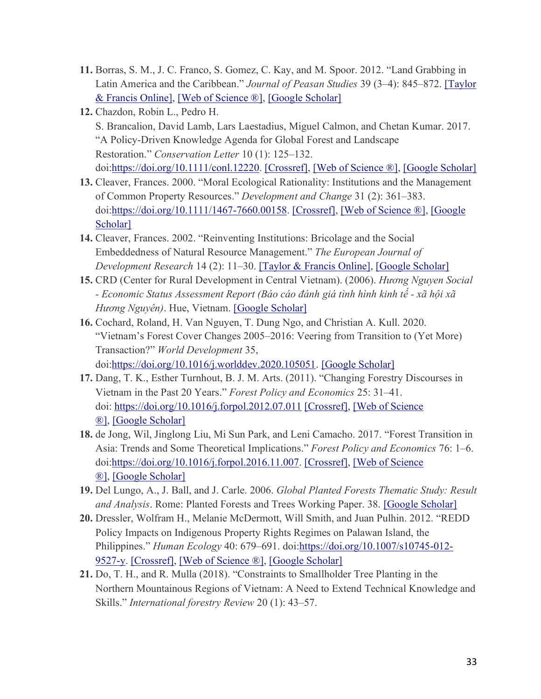- **11.** Borras, S. M., J. C. Franco, S. Gomez, C. Kay, and M. Spoor. 2012. "Land Grabbing in Latin America and the Caribbean." *Journal of Peasan Studies* 39 (3–4): 845–872. [\[Taylor](https://www.tandfonline.com/doi/10.1080/03066150.2012.679931)  [& Francis Online\],](https://www.tandfonline.com/doi/10.1080/03066150.2012.679931) [\[Web of Science ®\],](https://www.tandfonline.com/servlet/linkout?suffix=CIT0010&dbid=128&doi=10.1080%2F03066150.2022.2029849&key=000304477300010) [\[Google Scholar\]](http://scholar.google.com/scholar_lookup?hl=en&volume=39&publication_year=2012&pages=845-872&issue=3%E2%80%934&author=S.+M.+Borras&author=J.+C.+Franco&author=S.+Gomez&author=C.+Kay&author=M.+Spoor&title=Land+Grabbing+in+Latin+America+and+the+Caribbean)
- **12.** Chazdon, Robin L., Pedro H. S. Brancalion, David Lamb, Lars Laestadius, Miguel Calmon, and Chetan Kumar. 2017. "A Policy-Driven Knowledge Agenda for Global Forest and Landscape Restoration." *Conservation Letter* 10 (1): 125–132. doi[:https://doi.org/10.1111/conl.12220.](https://doi.org/10.1111/conl.12220) [\[Crossref\],](https://www.tandfonline.com/servlet/linkout?suffix=CIT0011&dbid=16&doi=10.1080%2F03066150.2022.2029849&key=10.1111%2Fconl.12220) [\[Web of Science ®\],](https://www.tandfonline.com/servlet/linkout?suffix=CIT0011&dbid=128&doi=10.1080%2F03066150.2022.2029849&key=000396046700015) [\[Google Scholar\]](http://scholar.google.com/scholar_lookup?hl=en&volume=10&publication_year=2017&pages=125-132&issue=1&author=Robin+L.+Chazdon&author=Pedro+H.+S.+Brancalion&author=David+Lamb&author=Lars+Laestadius&author=Miguel+Calmon&author=Chetan+Kumar&title=A+Policy-Driven+Knowledge+Agenda+for+Global+Forest+and+Landscape+Restoration&doi=10.1111%2Fconl.12220)
- **13.** Cleaver, Frances. 2000. "Moral Ecological Rationality: Institutions and the Management of Common Property Resources." *Development and Change* 31 (2): 361–383. doi[:https://doi.org/10.1111/1467-7660.00158.](https://doi.org/10.1111/1467-7660.00158) [\[Crossref\],](https://www.tandfonline.com/servlet/linkout?suffix=CIT0012&dbid=16&doi=10.1080%2F03066150.2022.2029849&key=10.1111%2F1467-7660.00158) [\[Web of Science ®\],](https://www.tandfonline.com/servlet/linkout?suffix=CIT0012&dbid=128&doi=10.1080%2F03066150.2022.2029849&key=000086528200001) [\[Google](http://scholar.google.com/scholar_lookup?hl=en&volume=31&publication_year=2000&pages=361-383&issue=2&author=Frances.+Cleaver&title=Moral+Ecological+Rationality%3A+Institutions+and+the+Management+of+Common+Property+Resources&doi=10.1111%2F1467-7660.00158)  [Scholar\]](http://scholar.google.com/scholar_lookup?hl=en&volume=31&publication_year=2000&pages=361-383&issue=2&author=Frances.+Cleaver&title=Moral+Ecological+Rationality%3A+Institutions+and+the+Management+of+Common+Property+Resources&doi=10.1111%2F1467-7660.00158)
- **14.** Cleaver, Frances. 2002. "Reinventing Institutions: Bricolage and the Social Embeddedness of Natural Resource Management." *The European Journal of Development Research* 14 (2): 11–30. [\[Taylor & Francis Online\],](https://www.tandfonline.com/doi/10.1080/714000425) [\[Google Scholar\]](http://scholar.google.com/scholar_lookup?hl=en&volume=14&publication_year=2002&pages=11-30&issue=2&author=Frances.+Cleaver&title=Reinventing+Institutions%3A+Bricolage+and+the+Social+Embeddedness+of+Natural+Resource+Management)
- **15.** CRD (Center for Rural Development in Central Vietnam). (2006). *Hương Nguyen Social - Economic Status Assessment Report (Báo cáo đánh giá tình hình kinh tế - xã hội xã Hương Nguyên)*. Hue, Vietnam. [\[Google Scholar\]](http://scholar.google.com/scholar_lookup?hl=en&publication_year=2006&author=CRD+%28Center+for+Rural+Development+in+Central+Vietnam%29.&title=H%C6%B0%C6%A1ng+Nguyen+Social+-+Economic+Status+Assessment+Report+%28B%C3%A1o+c%C3%A1o+%C4%91%C3%A1nh+gi%C3%A1+t%C3%ACnh+h%C3%ACnh+kinh+t%E1%BA%BF+-+x%C3%A3+h%E1%BB%99i+x%C3%A3+H%C6%B0%C6%A1ng+Nguy%C3%AAn%29)
- **16.** Cochard, Roland, H. Van Nguyen, T. Dung Ngo, and Christian A. Kull. 2020. "Vietnam's Forest Cover Changes 2005–2016: Veering from Transition to (Yet More) Transaction?" *World Development* 35, doi[:https://doi.org/10.1016/j.worlddev.2020.105051.](https://doi.org/10.1016/j.worlddev.2020.105051) [\[Google Scholar\]](http://scholar.google.com/scholar_lookup?hl=en&volume=35&publication_year=2020&author=Roland+Cochard&author=H.+Van+Nguyen&author=T.+Dung+Ngo&author=Christian+A.+Kull&title=Vietnam%E2%80%99s+Forest+Cover+Changes+2005%E2%80%932016%3A+Veering+from+Transition+to+%28Yet+More%29+Transaction%3F&doi=10.1016%2Fj.worlddev.2020.105051)
- **17.** Dang, T. K., Esther Turnhout, B. J. M. Arts. (2011). "Changing Forestry Discourses in Vietnam in the Past 20 Years." *Forest Policy and Economics* 25: 31–41. doi: <https://doi.org/10.1016/j.forpol.2012.07.011> [\[Crossref\],](https://www.tandfonline.com/servlet/linkout?suffix=CIT0104&dbid=16&doi=10.1080%2F03066150.2022.2029849&key=10.1016%2Fj.forpol.2012.07.011) [Web of Science] [®\],](https://www.tandfonline.com/servlet/linkout?suffix=CIT0104&dbid=128&doi=10.1080%2F03066150.2022.2029849&key=000311927500004) [\[Google Scholar\]](http://scholar.google.com/scholar_lookup?hl=en&volume=25&publication_year=2011&pages=31-41&author=T.+K.+Dang&author=Esther+Turnhout&author=B.+J.+M.+Arts&title=Changing+Forestry+Discourses+in+Vietnam+in+the+Past+20+Years&doi=10.1016%2Fj.forpol.2012.07.011)
- **18.** de Jong, Wil, Jinglong Liu, Mi Sun Park, and Leni Camacho. 2017. "Forest Transition in Asia: Trends and Some Theoretical Implications." *Forest Policy and Economics* 76: 1–6. doi[:https://doi.org/10.1016/j.forpol.2016.11.007.](https://doi.org/10.1016/j.forpol.2016.11.007) [\[Crossref\],](https://www.tandfonline.com/servlet/linkout?suffix=CIT0016&dbid=16&doi=10.1080%2F03066150.2022.2029849&key=10.1016%2Fj.forpol.2016.11.007) [\[Web of Science](https://www.tandfonline.com/servlet/linkout?suffix=CIT0016&dbid=128&doi=10.1080%2F03066150.2022.2029849&key=000394075700001)  [®\],](https://www.tandfonline.com/servlet/linkout?suffix=CIT0016&dbid=128&doi=10.1080%2F03066150.2022.2029849&key=000394075700001) [\[Google Scholar\]](http://scholar.google.com/scholar_lookup?hl=en&volume=76&publication_year=2017&pages=1-6&author=Wil+de+Jong&author=Jinglong+Liu&author=Mi+Sun+Park&author=Leni+Camacho&title=Forest+Transition+in+Asia%3A+Trends+and+Some+Theoretical+Implications&doi=10.1016%2Fj.forpol.2016.11.007)
- **19.** Del Lungo, A., J. Ball, and J. Carle. 2006. *Global Planted Forests Thematic Study: Result and Analysis*. Rome: Planted Forests and Trees Working Paper. 38. [\[Google Scholar\]](http://scholar.google.com/scholar?hl=en&q=Del+Lungo%2C+A.%2C+J.+Ball%2C+and+J.+Carle.+2006.+Global+Planted+Forests+Thematic+Study%3A+Result+and+Analysis.+Rome%3A+Planted+Forests+and+Trees+Working+Paper.+38.)
- **20.** Dressler, Wolfram H., Melanie McDermott, Will Smith, and Juan Pulhin. 2012. "REDD Policy Impacts on Indigenous Property Rights Regimes on Palawan Island, the Philippines." *Human Ecology* 40: 679–691. doi[:https://doi.org/10.1007/s10745-012-](https://doi.org/10.1007/s10745-012-9527-y) [9527-y.](https://doi.org/10.1007/s10745-012-9527-y) [\[Crossref\],](https://www.tandfonline.com/servlet/linkout?suffix=CIT0018&dbid=16&doi=10.1080%2F03066150.2022.2029849&key=10.1007%2Fs10745-012-9527-y) [\[Web of Science ®\],](https://www.tandfonline.com/servlet/linkout?suffix=CIT0018&dbid=128&doi=10.1080%2F03066150.2022.2029849&key=000309863900003) [\[Google Scholar\]](http://scholar.google.com/scholar_lookup?hl=en&volume=40&publication_year=2012&pages=679-691&author=Wolfram+H.+Dressler&author=Melanie+McDermott&author=Will+Smith&author=Juan+Pulhin&title=REDD+Policy+Impacts+on+Indigenous+Property+Rights+Regimes+on+Palawan+Island%2C+the+Philippines&doi=10.1007%2Fs10745-012-9527-y)
- **21.** Do, T. H., and R. Mulla (2018). "Constraints to Smallholder Tree Planting in the Northern Mountainous Regions of Vietnam: A Need to Extend Technical Knowledge and Skills." *International forestry Review* 20 (1): 43–57.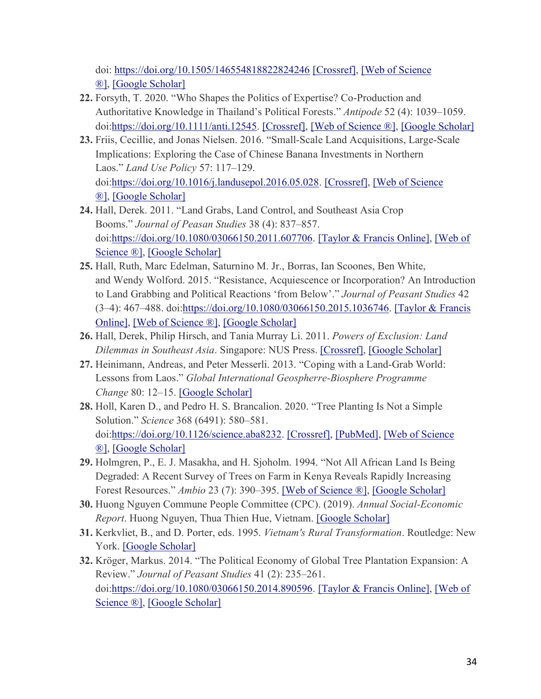doi: <https://doi.org/10.1505/146554818822824246> [\[Crossref\],](https://www.tandfonline.com/servlet/linkout?suffix=CIT0105&dbid=16&doi=10.1080%2F03066150.2022.2029849&key=10.1505%2F146554818822824246) [\[Web of Science](https://www.tandfonline.com/servlet/linkout?suffix=CIT0105&dbid=128&doi=10.1080%2F03066150.2022.2029849&key=000431064600004)  [®\],](https://www.tandfonline.com/servlet/linkout?suffix=CIT0105&dbid=128&doi=10.1080%2F03066150.2022.2029849&key=000431064600004) [\[Google Scholar\]](http://scholar.google.com/scholar_lookup?hl=en&volume=20&publication_year=2018&pages=43-57&issue=1&author=T.+H.+Do&author=R.+Mulla&title=Constraints+to+Smallholder+Tree+Planting+in+the+Northern+Mountainous+Regions+of+Vietnam%3A+A+Need+to+Extend+Technical+Knowledge+and+Skills&doi=10.1505%2F146554818822824246)

- **22.** Forsyth, T. 2020. "Who Shapes the Politics of Expertise? Co-Production and Authoritative Knowledge in Thailand's Political Forests." *Antipode* 52 (4): 1039–1059. doi[:https://doi.org/10.1111/anti.12545.](https://doi.org/10.1111/anti.12545) [\[Crossref\],](https://www.tandfonline.com/servlet/linkout?suffix=CIT0019&dbid=16&doi=10.1080%2F03066150.2022.2029849&key=10.1111%2Fanti.12545) [\[Web of Science ®\],](https://www.tandfonline.com/servlet/linkout?suffix=CIT0019&dbid=128&doi=10.1080%2F03066150.2022.2029849&key=000538310600007) [\[Google Scholar\]](http://scholar.google.com/scholar_lookup?hl=en&volume=52&publication_year=2020&pages=1039-1059&issue=4&author=T.+Forsyth&title=Who+Shapes+the+Politics+of+Expertise%3F+Co-Production+and+Authoritative+Knowledge+in+Thailand%E2%80%99s+Political+Forests&doi=10.1111%2Fanti.12545)
- **23.** Friis, Cecillie, and Jonas Nielsen. 2016. "Small-Scale Land Acquisitions, Large-Scale Implications: Exploring the Case of Chinese Banana Investments in Northern Laos." *Land Use Policy* 57: 117–129. doi[:https://doi.org/10.1016/j.landusepol.2016.05.028.](https://doi.org/10.1016/j.landusepol.2016.05.028) [\[Crossref\],](https://www.tandfonline.com/servlet/linkout?suffix=CIT0020&dbid=16&doi=10.1080%2F03066150.2022.2029849&key=10.1016%2Fj.landusepol.2016.05.028) [\[Web of Science](https://www.tandfonline.com/servlet/linkout?suffix=CIT0020&dbid=128&doi=10.1080%2F03066150.2022.2029849&key=000382341200011)  [®\],](https://www.tandfonline.com/servlet/linkout?suffix=CIT0020&dbid=128&doi=10.1080%2F03066150.2022.2029849&key=000382341200011) [\[Google Scholar\]](http://scholar.google.com/scholar_lookup?hl=en&volume=57&publication_year=2016&pages=117-129&author=Cecillie+Friis&author=Jonas+Nielsen&title=Small-Scale+Land+Acquisitions%2C+Large-Scale+Implications%3A+Exploring+the+Case+of+Chinese+Banana+Investments+in+Northern+Laos&doi=10.1016%2Fj.landusepol.2016.05.028)
- **24.** Hall, Derek. 2011. "Land Grabs, Land Control, and Southeast Asia Crop Booms." *Journal of Peasan Studies* 38 (4): 837–857. doi[:https://doi.org/10.1080/03066150.2011.607706.](https://doi.org/10.1080/03066150.2011.607706) [\[Taylor & Francis Online\],](https://www.tandfonline.com/doi/10.1080/03066150.2011.607706) [\[Web of](https://www.tandfonline.com/servlet/linkout?suffix=CIT0021&dbid=128&doi=10.1080%2F03066150.2022.2029849&key=000299224500009)  [Science ®\],](https://www.tandfonline.com/servlet/linkout?suffix=CIT0021&dbid=128&doi=10.1080%2F03066150.2022.2029849&key=000299224500009) [\[Google Scholar\]](http://scholar.google.com/scholar_lookup?hl=en&volume=38&publication_year=2011&pages=837-857&issue=4&author=Derek.+Hall&title=Land+Grabs%2C+Land+Control%2C+and+Southeast+Asia+Crop+Booms&doi=10.1080%2F03066150.2011.607706)
- **25.** Hall, Ruth, Marc Edelman, Saturnino M. Jr., Borras, Ian Scoones, Ben White, and Wendy Wolford. 2015. "Resistance, Acquiescence or Incorporation? An Introduction to Land Grabbing and Political Reactions 'from Below'." *Journal of Peasant Studies* 42 (3–4): 467–488. doi[:https://doi.org/10.1080/03066150.2015.1036746.](https://doi.org/10.1080/03066150.2015.1036746) [\[Taylor & Francis](https://www.tandfonline.com/doi/10.1080/03066150.2015.1036746)  [Online\],](https://www.tandfonline.com/doi/10.1080/03066150.2015.1036746) [\[Web of Science ®\],](https://www.tandfonline.com/servlet/linkout?suffix=CIT0022&dbid=128&doi=10.1080%2F03066150.2022.2029849&key=000354438600001) [\[Google Scholar\]](http://scholar.google.com/scholar_lookup?hl=en&volume=42&publication_year=2015&pages=467-488.&issue=3%E2%80%934&author=Ruth+Hall&author=Marc+Edelman&author=Saturnino+M.+Borras&author=Ian+Scoones&author=Ben+White&author=Wendy+Wolford&title=Resistance%2C+Acquiescence+or+Incorporation%3F+An+Introduction+to+Land+Grabbing+and+Political+Reactions+%E2%80%98from+Below%E2%80%99&doi=10.1080%2F03066150.2015.1036746)
- **26.** Hall, Derek, Philip Hirsch, and Tania Murray Li. 2011. *Powers of Exclusion: Land Dilemmas in Southeast Asia*. Singapore: NUS Press. [\[Crossref\],](https://www.tandfonline.com/servlet/linkout?suffix=CIT0023&dbid=16&doi=10.1080%2F03066150.2022.2029849&key=10.1007%2F978-94-6091-573-4) [\[Google Scholar\]](http://scholar.google.com/scholar_lookup?hl=en&publication_year=2011&author=Derek+Hall&author=Philip+Hirsch&author=Tania+Murray+Li&title=Powers+of+Exclusion%3A+Land+Dilemmas+in+Southeast+Asia)
- **27.** Heinimann, Andreas, and Peter Messerli. 2013. "Coping with a Land-Grab World: Lessons from Laos." *Global International Geospherre-Biosphere Programme Change* 80: 12–15. [\[Google Scholar\]](http://scholar.google.com/scholar_lookup?hl=en&volume=80&publication_year=2013&pages=12-15&author=Andreas+Heinimann&author=Peter+Messerli&title=Coping+with+a+Land-Grab+World%3A+Lessons+from+Laos)
- **28.** Holl, Karen D., and Pedro H. S. Brancalion. 2020. "Tree Planting Is Not a Simple Solution." *Science* 368 (6491): 580–581. doi[:https://doi.org/10.1126/science.aba8232.](https://doi.org/10.1126/science.aba8232) [\[Crossref\],](https://www.tandfonline.com/servlet/linkout?suffix=CIT0025&dbid=16&doi=10.1080%2F03066150.2022.2029849&key=10.1126%2Fscience.aba8232) [\[PubMed\],](https://www.tandfonline.com/servlet/linkout?suffix=CIT0025&dbid=8&doi=10.1080%2F03066150.2022.2029849&key=32381704) [\[Web of Science](https://www.tandfonline.com/servlet/linkout?suffix=CIT0025&dbid=128&doi=10.1080%2F03066150.2022.2029849&key=000531182900030)  [®\],](https://www.tandfonline.com/servlet/linkout?suffix=CIT0025&dbid=128&doi=10.1080%2F03066150.2022.2029849&key=000531182900030) [\[Google Scholar\]](http://scholar.google.com/scholar_lookup?hl=en&volume=368&publication_year=2020&pages=580-581&issue=6491&author=Karen+D.+Holl&author=Pedro+H.+S.+Brancalion&title=Tree+Planting+Is+Not+a+Simple+Solution&doi=10.1126%2Fscience.aba8232)
- **29.** Holmgren, P., E. J. Masakha, and H. Sjoholm. 1994. "Not All African Land Is Being Degraded: A Recent Survey of Trees on Farm in Kenya Reveals Rapidly Increasing Forest Resources." *Ambio* 23 (7): 390–395. [\[Web of Science ®\],](https://www.tandfonline.com/servlet/linkout?suffix=CIT0026&dbid=128&doi=10.1080%2F03066150.2022.2029849&key=A1994PY69800002) [\[Google Scholar\]](http://scholar.google.com/scholar_lookup?hl=en&volume=23&publication_year=1994&pages=390-395&issue=7&author=P.+Holmgren&author=E.+J.+Masakha&author=H.+Sjoholm&title=Not+All+African+Land+Is+Being+Degraded%3A+A+Recent+Survey+of+Trees+on+Farm+in+Kenya+Reveals+Rapidly+Increasing+Forest+Resources)
- **30.** Huong Nguyen Commune People Committee (CPC). (2019). *Annual Social-Economic Report*. Huong Nguyen, Thua Thien Hue, Vietnam. [\[Google Scholar\]](http://scholar.google.com/scholar_lookup?hl=en&publication_year=2019&author=Huong+Nguyen+Commune+People+Committee+%28CPC%29.&title=Annual+Social-Economic+Report)
- **31.** Kerkvliet, B., and D. Porter, eds. 1995. *Vietnam's Rural Transformation*. Routledge: New York. [\[Google Scholar\]](http://scholar.google.com/scholar_lookup?hl=en&publication_year=1995&author=B.+Kerkvliet&author=D.+Porter&title=Vietnam%27s+Rural+Transformation)
- **32.** Kröger, Markus. 2014. "The Political Economy of Global Tree Plantation Expansion: A Review." *Journal of Peasant Studies* 41 (2): 235–261. doi[:https://doi.org/10.1080/03066150.2014.890596.](https://doi.org/10.1080/03066150.2014.890596) [\[Taylor & Francis Online\],](https://www.tandfonline.com/doi/10.1080/03066150.2014.890596) [\[Web of](https://www.tandfonline.com/servlet/linkout?suffix=CIT0027&dbid=128&doi=10.1080%2F03066150.2022.2029849&key=000334032800004)  [Science ®\],](https://www.tandfonline.com/servlet/linkout?suffix=CIT0027&dbid=128&doi=10.1080%2F03066150.2022.2029849&key=000334032800004) [\[Google Scholar\]](http://scholar.google.com/scholar_lookup?hl=en&volume=41&publication_year=2014&pages=235-261&issue=2&author=Markus.+Kr%C3%B6ger&title=The+Political+Economy+of+Global+Tree+Plantation+Expansion%3A+A+Review&doi=10.1080%2F03066150.2014.890596)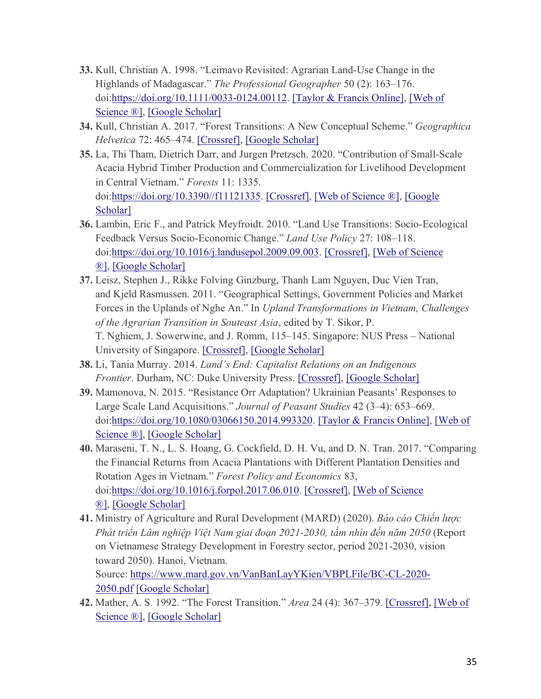- **33.** Kull, Christian A. 1998. "Leimavo Revisited: Agrarian Land-Use Change in the Highlands of Madagascar." *The Professional Geographer* 50 (2): 163–176. doi[:https://doi.org/10.1111/0033-0124.00112.](https://doi.org/10.1111/0033-0124.00112) [\[Taylor & Francis Online\],](https://www.tandfonline.com/doi/10.1111/0033-0124.00112) [\[Web of](https://www.tandfonline.com/servlet/linkout?suffix=CIT0028&dbid=128&doi=10.1080%2F03066150.2022.2029849&key=000081437200001)  [Science ®\],](https://www.tandfonline.com/servlet/linkout?suffix=CIT0028&dbid=128&doi=10.1080%2F03066150.2022.2029849&key=000081437200001) [\[Google Scholar\]](http://scholar.google.com/scholar_lookup?hl=en&volume=50&publication_year=1998&pages=163-176&issue=2&author=Christian+A.+Kull&title=Leimavo+Revisited%3A+Agrarian+Land-Use+Change+in+the+Highlands+of+Madagascar&doi=10.1111%2F0033-0124.00112)
- **34.** Kull, Christian A. 2017. "Forest Transitions: A New Conceptual Scheme." *Geographica Helvetica* 72: 465–474. [\[Crossref\],](https://www.tandfonline.com/servlet/linkout?suffix=CIT0029&dbid=16&doi=10.1080%2F03066150.2022.2029849&key=10.5194%2Fgh-72-465-2017) [\[Google Scholar\]](http://scholar.google.com/scholar_lookup?hl=en&volume=72&publication_year=2017&pages=465-474&author=Christian+A.+Kull&title=Forest+Transitions%3A+A+New+Conceptual+Scheme)
- **35.** La, Thi Tham, Dietrich Darr, and Jurgen Pretzsch. 2020. "Contribution of Small-Scale Acacia Hybrid Timber Production and Commercialization for Livelihood Development in Central Vietnam." *Forests* 11: 1335. doi[:https://doi.org/10.3390//f11121335.](https://doi.org/10.3390/f11121335) [\[Crossref\],](https://www.tandfonline.com/servlet/linkout?suffix=CIT0030&dbid=16&doi=10.1080%2F03066150.2022.2029849&key=10.3390%2Ff11121335) [\[Web of Science ®\],](https://www.tandfonline.com/servlet/linkout?suffix=CIT0030&dbid=128&doi=10.1080%2F03066150.2022.2029849&key=000602097400001) [\[Google](http://scholar.google.com/scholar_lookup?hl=en&volume=11&publication_year=2020&pages=1335&author=Thi+Tham+La&author=Dietrich+Darr&author=Jurgen+Pretzsch&title=Contribution+of+Small-Scale+Acacia+Hybrid+Timber+Production+and+Commercialization+for+Livelihood+Development+in+Central+Vietnam&doi=10.3390%2F%2Ff11121335)  [Scholar\]](http://scholar.google.com/scholar_lookup?hl=en&volume=11&publication_year=2020&pages=1335&author=Thi+Tham+La&author=Dietrich+Darr&author=Jurgen+Pretzsch&title=Contribution+of+Small-Scale+Acacia+Hybrid+Timber+Production+and+Commercialization+for+Livelihood+Development+in+Central+Vietnam&doi=10.3390%2F%2Ff11121335)
- **36.** Lambin, Eric F., and Patrick Meyfroidt. 2010. "Land Use Transitions: Socio-Ecological Feedback Versus Socio-Economic Change." *Land Use Policy* 27: 108–118. doi[:https://doi.org/10.1016/j.landusepol.2009.09.003.](https://doi.org/10.1016/j.landusepol.2009.09.003) [\[Crossref\],](https://www.tandfonline.com/servlet/linkout?suffix=CIT0031&dbid=16&doi=10.1080%2F03066150.2022.2029849&key=10.1016%2Fj.landusepol.2009.09.003) [\[Web of Science](https://www.tandfonline.com/servlet/linkout?suffix=CIT0031&dbid=128&doi=10.1080%2F03066150.2022.2029849&key=000273110500003)  [®\],](https://www.tandfonline.com/servlet/linkout?suffix=CIT0031&dbid=128&doi=10.1080%2F03066150.2022.2029849&key=000273110500003) [\[Google Scholar\]](http://scholar.google.com/scholar_lookup?hl=en&volume=27&publication_year=2010&pages=108-118&author=Eric+F.+Lambin&author=Patrick+Meyfroidt&title=Land+Use+Transitions%3A+Socio-Ecological+Feedback+Versus+Socio-Economic+Change&doi=10.1016%2Fj.landusepol.2009.09.003)
- **37.** Leisz, Stephen J., Rikke Folving Ginzburg, Thanh Lam Nguyen, Duc Vien Tran, and Kjeld Rasmussen. 2011. "Geographical Settings, Government Policies and Market Forces in the Uplands of Nghe An." In *Upland Transformations in Vietnam, Challenges of the Agrarian Transition in Souteast Asia*, edited by T. Sikor, P. T. Nghiem, J. Sowerwine, and J. Romm, 115–145. Singapore: NUS Press – National University of Singapore. [\[Crossref\],](https://www.tandfonline.com/servlet/linkout?suffix=CIT0032&dbid=16&doi=10.1080%2F03066150.2022.2029849&key=10.2307%2Fj.ctv1ntj0w.11) [\[Google Scholar\]](http://scholar.google.com/scholar_lookup?hl=en&publication_year=2011&pages=115-145&author=Stephen+J.+Leisz&author=Rikke+Folving+Ginzburg&author=Thanh+Lam+Nguyen&author=Duc+Vien+Tran&author=Kjeld+Rasmussen&title=Geographical+Settings%2C+Government+Policies+and+Market+Forces+in+the+Uplands+of+Nghe+An)
- **38.** Li, Tania Murray. 2014. *Land's End: Capitalist Relations on an Indigenous Frontier*. Durham, NC: Duke University Press. [\[Crossref\],](https://www.tandfonline.com/servlet/linkout?suffix=CIT0033&dbid=16&doi=10.1080%2F03066150.2022.2029849&key=10.1215%2F9780822376460) [\[Google Scholar\]](http://scholar.google.com/scholar_lookup?hl=en&publication_year=2014&author=Tania+Murray+Li&title=Land%E2%80%99s+End%3A+Capitalist+Relations+on+an+Indigenous+Frontier)
- **39.** Mamonova, N. 2015. "Resistance Orr Adaptation? Ukrainian Peasants' Responses to Large Scale Land Acquisitions." *Journal of Peasant Studies* 42 (3–4): 653–669. doi[:https://doi.org/10.1080/03066150.2014.993320.](https://doi.org/10.1080/03066150.2014.993320) [\[Taylor & Francis Online\],](https://www.tandfonline.com/doi/10.1080/03066150.2014.993320) [\[Web of](https://www.tandfonline.com/servlet/linkout?suffix=CIT0034&dbid=128&doi=10.1080%2F03066150.2022.2029849&key=000354439100004)  [Science ®\],](https://www.tandfonline.com/servlet/linkout?suffix=CIT0034&dbid=128&doi=10.1080%2F03066150.2022.2029849&key=000354439100004) [\[Google Scholar\]](http://scholar.google.com/scholar_lookup?hl=en&volume=42&publication_year=2015&pages=653-669&issue=3%E2%80%934&author=N.+Mamonova&title=Resistance+Orr+Adaptation%3F+Ukrainian+Peasants%E2%80%99+Responses+to+Large+Scale+Land+Acquisitions&doi=10.1080%2F03066150.2014.993320)
- **40.** Maraseni, T. N., L. S. Hoang, G. Cockfield, D. H. Vu, and D. N. Tran. 2017. "Comparing the Financial Returns from Acacia Plantations with Different Plantation Densities and Rotation Ages in Vietnam." *Forest Policy and Economics* 83, doi[:https://doi.org/10.1016/j.forpol.2017.06.010.](https://doi.org/10.1016/j.forpol.2017.06.010) [\[Crossref\],](https://www.tandfonline.com/servlet/linkout?suffix=CIT0035&dbid=16&doi=10.1080%2F03066150.2022.2029849&key=10.1016%2Fj.forpol.2017.06.010) [\[Web of Science](https://www.tandfonline.com/servlet/linkout?suffix=CIT0035&dbid=128&doi=10.1080%2F03066150.2022.2029849&key=000413611000009)  [®\],](https://www.tandfonline.com/servlet/linkout?suffix=CIT0035&dbid=128&doi=10.1080%2F03066150.2022.2029849&key=000413611000009) [\[Google Scholar\]](http://scholar.google.com/scholar_lookup?hl=en&volume=83&publication_year=2017&author=T.+N.+Maraseni&author=L.+S.+Hoang&author=G.+Cockfield&author=D.+H.+Vu&author=D.+N.+Tran&title=Comparing+the+Financial+Returns+from+Acacia+Plantations+with+Different+Plantation+Densities+and+Rotation+Ages+in+Vietnam&doi=10.1016%2Fj.forpol.2017.06.010)
- **41.** Ministry of Agriculture and Rural Development (MARD) (2020). *Báo cáo Chiến lược Phát triển Lâm nghiệp Việt Nam giai đoạn 2021-2030, tầm nhìn đến năm 2050* (Report on Vietnamese Strategy Development in Forestry sector, period 2021-2030, vision toward 2050). Hanoi, Vietnam.

Source: [https://www.mard.gov.vn/VanBanLayYKien/VBPLFile/BC-CL-2020-](https://www.mard.gov.vn/VanBanLayYKien/VBPLFile/BC-CL-2020-2050.pdf) [2050.pdf](https://www.mard.gov.vn/VanBanLayYKien/VBPLFile/BC-CL-2020-2050.pdf) [\[Google Scholar\]](http://scholar.google.com/scholar?hl=en&q=Ministry+of+Agriculture+and+Rural+Development+%28MARD%29+%282020%29.+B%C3%A1o+c%C3%A1o+Chi%E1%BA%BFn+l%C6%B0%E1%BB%A3c+Ph%C3%A1t+tri%E1%BB%83n+L%C3%A2m+nghi%E1%BB%87p+Vi%E1%BB%87t+Nam+giai+%C4%91o%E1%BA%A1n+2021-2030%2C+t%E1%BA%A7m+nh%C3%ACn+%C4%91%E1%BA%BFn+n%C4%83m+2050+%28Report+on+Vietnamese+Strategy+Development+in+Forestry+sector%2C+period+2021-2030%2C+vision+toward+2050%29.+Hanoi%2C+Vietnam.+Source%3A+https%3A%2F%2Fwww.mard.gov.vn%2FVanBanLayYKien%2FVBPLFile%2FBC-CL-2020-2050.pdf)

**42.** Mather, A. S. 1992. "The Forest Transition." *Area* 24 (4): 367–379. [\[Crossref\],](https://www.tandfonline.com/servlet/linkout?suffix=CIT0036&dbid=16&doi=10.1080%2F03066150.2022.2029849&key=10.2307%2F20003181) [\[Web of](https://www.tandfonline.com/servlet/linkout?suffix=CIT0036&dbid=128&doi=10.1080%2F03066150.2022.2029849&key=A1992KK55100004)  [Science ®\],](https://www.tandfonline.com/servlet/linkout?suffix=CIT0036&dbid=128&doi=10.1080%2F03066150.2022.2029849&key=A1992KK55100004) [\[Google Scholar\]](http://scholar.google.com/scholar_lookup?hl=en&volume=24&publication_year=1992&pages=367-379&issue=4&author=A.+S.+Mather&title=The+Forest+Transition)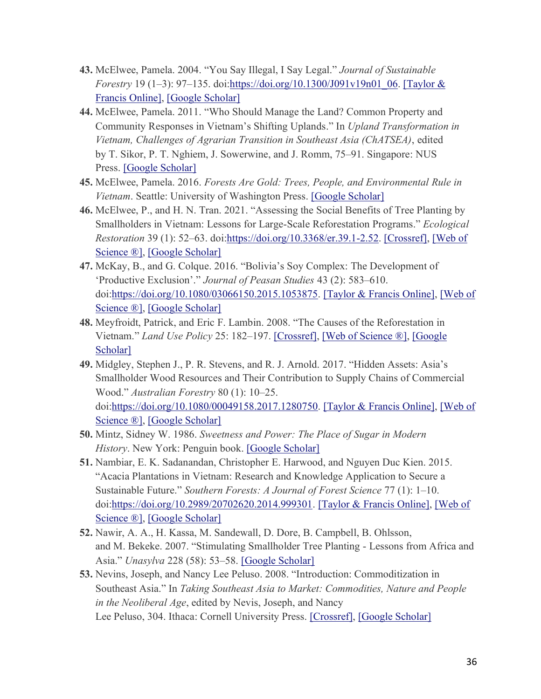- **43.** McElwee, Pamela. 2004. "You Say Illegal, I Say Legal." *Journal of Sustainable Forestry* 19 (1–3): 97–135. doi[:https://doi.org/10.1300/J091v19n01\\_06.](https://doi.org/10.1300/J091v19n01_06) [Taylor & [Francis Online\],](https://www.tandfonline.com/doi/10.1300/J091v19n01_06) [\[Google Scholar\]](http://scholar.google.com/scholar_lookup?hl=en&volume=19&publication_year=2004&pages=97-135&issue=1%E2%80%933&author=Pamela.+McElwee&title=You+Say+Illegal%2C+I+Say+Legal&doi=10.1300%2FJ091v19n01_06)
- **44.** McElwee, Pamela. 2011. "Who Should Manage the Land? Common Property and Community Responses in Vietnam's Shifting Uplands." In *Upland Transformation in Vietnam, Challenges of Agrarian Transition in Southeast Asia (ChATSEA)*, edited by T. Sikor, P. T. Nghiem, J. Sowerwine, and J. Romm, 75–91. Singapore: NUS Press. [\[Google Scholar\]](http://scholar.google.com/scholar_lookup?hl=en&publication_year=2011&pages=75-91&author=Pamela.+McElwee&title=Who+Should+Manage+the+Land%3F+Common+Property+and+Community+Responses+in+Vietnam%E2%80%99s+Shifting+Uplands)
- **45.** McElwee, Pamela. 2016. *Forests Are Gold: Trees, People, and Environmental Rule in Vietnam*. Seattle: University of Washington Press. [\[Google Scholar\]](http://scholar.google.com/scholar_lookup?hl=en&publication_year=2016&author=Pamela.+McElwee&title=Forests+Are+Gold%3A+Trees%2C+People%2C+and+Environmental+Rule+in+Vietnam)
- **46.** McElwee, P., and H. N. Tran. 2021. "Assessing the Social Benefits of Tree Planting by Smallholders in Vietnam: Lessons for Large-Scale Reforestation Programs." *Ecological Restoration* 39 (1): 52–63. doi[:https://doi.org/10.3368/er.39.1-2.52.](https://doi.org/10.3368/er.39.1-2.52) [\[Crossref\],](https://www.tandfonline.com/servlet/linkout?suffix=CIT0042&dbid=16&doi=10.1080%2F03066150.2022.2029849&key=10.3368%2Fer.39.1-2.52) [\[Web of](https://www.tandfonline.com/servlet/linkout?suffix=CIT0042&dbid=128&doi=10.1080%2F03066150.2022.2029849&key=000660568400007)  [Science ®\],](https://www.tandfonline.com/servlet/linkout?suffix=CIT0042&dbid=128&doi=10.1080%2F03066150.2022.2029849&key=000660568400007) [\[Google Scholar\]](http://scholar.google.com/scholar_lookup?hl=en&volume=39&publication_year=2021&pages=52-63&issue=1&author=P.+McElwee&author=H.+N.+Tran&title=Assessing+the+Social+Benefits+of+Tree+Planting+by+Smallholders+in+Vietnam%3A+Lessons+for+Large-Scale+Reforestation+Programs&doi=10.3368%2Fer.39.1-2.52)
- **47.** McKay, B., and G. Colque. 2016. "Bolivia's Soy Complex: The Development of 'Productive Exclusion'." *Journal of Peasan Studies* 43 (2): 583–610. doi[:https://doi.org/10.1080/03066150.2015.1053875.](https://doi.org/10.1080/03066150.2015.1053875) [\[Taylor & Francis Online\],](https://www.tandfonline.com/doi/10.1080/03066150.2015.1053875) [\[Web of](https://www.tandfonline.com/servlet/linkout?suffix=CIT0044&dbid=128&doi=10.1080%2F03066150.2022.2029849&key=000373811300015)  [Science ®\],](https://www.tandfonline.com/servlet/linkout?suffix=CIT0044&dbid=128&doi=10.1080%2F03066150.2022.2029849&key=000373811300015) [\[Google Scholar\]](http://scholar.google.com/scholar_lookup?hl=en&volume=43&publication_year=2016&pages=583-610&issue=2&author=B.+McKay&author=G.+Colque&title=Bolivia%E2%80%99s+Soy+Complex%3A+The+Development+of+%E2%80%98Productive+Exclusion%E2%80%99&doi=10.1080%2F03066150.2015.1053875)
- **48.** Meyfroidt, Patrick, and Eric F. Lambin. 2008. "The Causes of the Reforestation in Vietnam." *Land Use Policy* 25: 182–197. [\[Crossref\],](https://www.tandfonline.com/servlet/linkout?suffix=CIT0045&dbid=16&doi=10.1080%2F03066150.2022.2029849&key=10.1016%2Fj.landusepol.2007.06.001) [\[Web of Science ®\],](https://www.tandfonline.com/servlet/linkout?suffix=CIT0045&dbid=128&doi=10.1080%2F03066150.2022.2029849&key=000253622700004) [\[Google](http://scholar.google.com/scholar_lookup?hl=en&volume=25&publication_year=2008&pages=182-197&author=Patrick+Meyfroidt&author=Eric+F.+Lambin&title=The+Causes+of+the+Reforestation+in+Vietnam)  [Scholar\]](http://scholar.google.com/scholar_lookup?hl=en&volume=25&publication_year=2008&pages=182-197&author=Patrick+Meyfroidt&author=Eric+F.+Lambin&title=The+Causes+of+the+Reforestation+in+Vietnam)
- **49.** Midgley, Stephen J., P. R. Stevens, and R. J. Arnold. 2017. "Hidden Assets: Asia's Smallholder Wood Resources and Their Contribution to Supply Chains of Commercial Wood." *Australian Forestry* 80 (1): 10–25. doi[:https://doi.org/10.1080/00049158.2017.1280750.](https://doi.org/10.1080/00049158.2017.1280750) [\[Taylor & Francis Online\],](https://www.tandfonline.com/doi/10.1080/00049158.2017.1280750) [\[Web of](https://www.tandfonline.com/servlet/linkout?suffix=CIT0046&dbid=128&doi=10.1080%2F03066150.2022.2029849&key=000398103000002)  Science <sup>®</sup>], [\[Google Scholar\]](http://scholar.google.com/scholar_lookup?hl=en&volume=80&publication_year=2017&pages=10-25&issue=1&author=Stephen+J.+Midgley&author=P.+R.+Stevens&author=R.+J.+Arnold&title=Hidden+Assets%3A+Asia%E2%80%99s+Smallholder+Wood+Resources+and+Their+Contribution+to+Supply+Chains+of+Commercial+Wood&doi=10.1080%2F00049158.2017.1280750)
- **50.** Mintz, Sidney W. 1986. *Sweetness and Power: The Place of Sugar in Modern History*. New York: Penguin book. [\[Google Scholar\]](http://scholar.google.com/scholar_lookup?hl=en&publication_year=1986&author=Sidney+W.+Mintz&title=Sweetness+and+Power%3A+The+Place+of+Sugar+in+Modern+History)
- **51.** Nambiar, E. K. Sadanandan, Christopher E. Harwood, and Nguyen Duc Kien. 2015. "Acacia Plantations in Vietnam: Research and Knowledge Application to Secure a Sustainable Future." *Southern Forests: A Journal of Forest Science* 77 (1): 1–10. doi[:https://doi.org/10.2989/20702620.2014.999301.](https://doi.org/10.2989/20702620.2014.999301) [\[Taylor & Francis Online\],](https://www.tandfonline.com/doi/10.2989/20702620.2014.999301) [\[Web of](https://www.tandfonline.com/servlet/linkout?suffix=CIT0048&dbid=128&doi=10.1080%2F03066150.2022.2029849&key=000351415300003)  [Science ®\],](https://www.tandfonline.com/servlet/linkout?suffix=CIT0048&dbid=128&doi=10.1080%2F03066150.2022.2029849&key=000351415300003) [\[Google Scholar\]](http://scholar.google.com/scholar_lookup?hl=en&volume=77&publication_year=2015&pages=1-10&issue=1&author=E.+K.+Sadanandan+Nambiar&author=Christopher+E.+Harwood&author=Nguyen+Duc+Kien&title=Acacia+Plantations+in+Vietnam%3A+Research+and+Knowledge+Application+to+Secure+a+Sustainable+Future&doi=10.2989%2F20702620.2014.999301)
- **52.** Nawir, A. A., H. Kassa, M. Sandewall, D. Dore, B. Campbell, B. Ohlsson, and M. Bekeke. 2007. "Stimulating Smallholder Tree Planting - Lessons from Africa and Asia." *Unasylva* 228 (58): 53–58. [\[Google Scholar\]](http://scholar.google.com/scholar_lookup?hl=en&volume=228&publication_year=2007&pages=53-58&issue=58&author=A.+A.+Nawir&author=H.+Kassa&author=M.+Sandewall&author=D.+Dore&author=B.+Campbell&author=B.+Ohlsson&author=M.+Bekeke&title=Stimulating+Smallholder+Tree+Planting+-+Lessons+from+Africa+and+Asia)
- **53.** Nevins, Joseph, and Nancy Lee Peluso. 2008. "Introduction: Commoditization in Southeast Asia." In *Taking Southeast Asia to Market: Commodities, Nature and People in the Neoliberal Age*, edited by Nevis, Joseph, and Nancy Lee Peluso, 304. Ithaca: Cornell University Press. [\[Crossref\],](https://www.tandfonline.com/servlet/linkout?suffix=CIT0050&dbid=16&doi=10.1080%2F03066150.2022.2029849&key=10.7591%2F9781501732270) [\[Google Scholar\]](http://scholar.google.com/scholar_lookup?hl=en&publication_year=2008&pages=304&author=Joseph+Nevins&author=Nancy+Lee+Peluso&title=Introduction%3A+Commoditization+in+Southeast+Asia)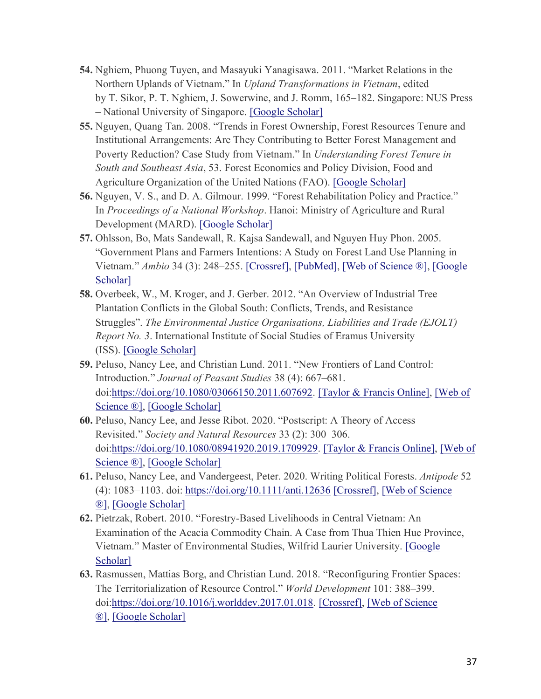- **54.** Nghiem, Phuong Tuyen, and Masayuki Yanagisawa. 2011. "Market Relations in the Northern Uplands of Vietnam." In *Upland Transformations in Vietnam*, edited by T. Sikor, P. T. Nghiem, J. Sowerwine, and J. Romm, 165–182. Singapore: NUS Press – National University of Singapore. [\[Google Scholar\]](http://scholar.google.com/scholar_lookup?hl=en&publication_year=2011&pages=165-182&author=Phuong+Tuyen+Nghiem&author=Masayuki+Yanagisawa&title=Market+Relations+in+the+Northern+Uplands+of+Vietnam)
- **55.** Nguyen, Quang Tan. 2008. "Trends in Forest Ownership, Forest Resources Tenure and Institutional Arrangements: Are They Contributing to Better Forest Management and Poverty Reduction? Case Study from Vietnam." In *Understanding Forest Tenure in South and Southeast Asia*, 53. Forest Economics and Policy Division, Food and Agriculture Organization of the United Nations (FAO). [\[Google Scholar\]](http://scholar.google.com/scholar_lookup?hl=en&publication_year=2008&pages=53&author=Quang+Tan.+Nguyen&title=Trends+in+Forest+Ownership%2C+Forest+Resources+Tenure+and+Institutional+Arrangements%3A+Are+They+Contributing+to+Better+Forest+Management+and+Poverty+Reduction%3F+Case+Study+from+Vietnam)
- **56.** Nguyen, V. S., and D. A. Gilmour. 1999. "Forest Rehabilitation Policy and Practice." In *Proceedings of a National Workshop*. Hanoi: Ministry of Agriculture and Rural Development (MARD). [\[Google Scholar\]](http://scholar.google.com/scholar?hl=en&q=Nguyen%2C+V.+S.%2C+and+D.+A.+Gilmour.+1999.+%E2%80%9CForest+Rehabilitation+Policy+and+Practice.%E2%80%9D+In+Proceedings+of+a+National+Workshop.+Hanoi%3A+Ministry+of+Agriculture+and+Rural+Development+%28MARD%29.)
- **57.** Ohlsson, Bo, Mats Sandewall, R. Kajsa Sandewall, and Nguyen Huy Phon. 2005. "Government Plans and Farmers Intentions: A Study on Forest Land Use Planning in Vietnam." *Ambio* 34 (3): 248–255. [\[Crossref\],](https://www.tandfonline.com/servlet/linkout?suffix=CIT0054&dbid=16&doi=10.1080%2F03066150.2022.2029849&key=10.1579%2F0044-7447-34.3.248) [\[PubMed\],](https://www.tandfonline.com/servlet/linkout?suffix=CIT0054&dbid=8&doi=10.1080%2F03066150.2022.2029849&key=16042284) [\[Web of Science ®\],](https://www.tandfonline.com/servlet/linkout?suffix=CIT0054&dbid=128&doi=10.1080%2F03066150.2022.2029849&key=000229688200011) [Google [Scholar\]](http://scholar.google.com/scholar_lookup?hl=en&volume=34&publication_year=2005&pages=248-255&issue=3&author=Bo+Ohlsson&author=Mats+Sandewall&author=R.+Kajsa+Sandewall&author=Nguyen+Huy+Phon&title=Government+Plans+and+Farmers+Intentions%3A+A+Study+on+Forest+Land+Use+Planning+in+Vietnam)
- **58.** Overbeek, W., M. Kroger, and J. Gerber. 2012. "An Overview of Industrial Tree Plantation Conflicts in the Global South: Conflicts, Trends, and Resistance Struggles". *The Environmental Justice Organisations, Liabilities and Trade (EJOLT) Report No. 3*. International Institute of Social Studies of Eramus University (ISS). [\[Google Scholar\]](http://scholar.google.com/scholar?hl=en&q=Overbeek%2C+W.%2C+M.+Kroger%2C+and+J.+Gerber.+2012.+%E2%80%9CAn+Overview+of+Industrial+Tree+Plantation+Conflicts+in+the+Global+South%3A+Conflicts%2C+Trends%2C+and+Resistance+Struggles%E2%80%9D.+The+Environmental+Justice+Organisations%2C+Liabilities+and+Trade+%28EJOLT%29+Report+No.+3.+International+Institute+of+Social+Studies+of+Eramus+University+%28ISS%29.)
- **59.** Peluso, Nancy Lee, and Christian Lund. 2011. "New Frontiers of Land Control: Introduction." *Journal of Peasant Studies* 38 (4): 667–681. doi[:https://doi.org/10.1080/03066150.2011.607692.](https://doi.org/10.1080/03066150.2011.607692) [\[Taylor & Francis Online\],](https://www.tandfonline.com/doi/10.1080/03066150.2011.607692) [\[Web of](https://www.tandfonline.com/servlet/linkout?suffix=CIT0056&dbid=128&doi=10.1080%2F03066150.2022.2029849&key=000299224500001)  [Science ®\],](https://www.tandfonline.com/servlet/linkout?suffix=CIT0056&dbid=128&doi=10.1080%2F03066150.2022.2029849&key=000299224500001) [\[Google Scholar\]](http://scholar.google.com/scholar_lookup?hl=en&volume=38&publication_year=2011&pages=667-681&issue=4&author=Nancy+Lee+Peluso&author=Christian+Lund&title=New+Frontiers+of+Land+Control%3A+Introduction&doi=10.1080%2F03066150.2011.607692)
- **60.** Peluso, Nancy Lee, and Jesse Ribot. 2020. "Postscript: A Theory of Access Revisited." *Society and Natural Resources* 33 (2): 300–306. doi[:https://doi.org/10.1080/08941920.2019.1709929.](https://doi.org/10.1080/08941920.2019.1709929) [\[Taylor & Francis Online\],](https://www.tandfonline.com/doi/10.1080/08941920.2019.1709929) [\[Web of](https://www.tandfonline.com/servlet/linkout?suffix=CIT0057&dbid=128&doi=10.1080%2F03066150.2022.2029849&key=000510324500010)  [Science ®\],](https://www.tandfonline.com/servlet/linkout?suffix=CIT0057&dbid=128&doi=10.1080%2F03066150.2022.2029849&key=000510324500010) [\[Google Scholar\]](http://scholar.google.com/scholar_lookup?hl=en&volume=33&publication_year=2020&pages=300-306&issue=2&author=Nancy+Lee+Peluso&author=Jesse+Ribot&title=Postscript%3A+A+Theory+of+Access+Revisited&doi=10.1080%2F08941920.2019.1709929)
- **61.** Peluso, Nancy Lee, and Vandergeest, Peter. 2020. Writing Political Forests. *Antipode* 52 (4): 1083–1103. doi: <https://doi.org/10.1111/anti.12636> [\[Crossref\],](https://www.tandfonline.com/servlet/linkout?suffix=CIT0109&dbid=16&doi=10.1080%2F03066150.2022.2029849&key=10.1111%2Fanti.12636) [\[Web of Science](https://www.tandfonline.com/servlet/linkout?suffix=CIT0109&dbid=128&doi=10.1080%2F03066150.2022.2029849&key=000531680300001)  [®\],](https://www.tandfonline.com/servlet/linkout?suffix=CIT0109&dbid=128&doi=10.1080%2F03066150.2022.2029849&key=000531680300001) [\[Google Scholar\]](http://scholar.google.com/scholar_lookup?hl=en&volume=52&publication_year=2020&pages=1083-1103&issue=4&author=Nancy+Lee+Peluso&author=Peter.+Vandergeest&title=Writing+Political+Forests&doi=10.1111%2Fanti.12636)
- **62.** Pietrzak, Robert. 2010. "Forestry-Based Livelihoods in Central Vietnam: An Examination of the Acacia Commodity Chain. A Case from Thua Thien Hue Province, Vietnam." Master of Environmental Studies, Wilfrid Laurier University. [\[Google](http://scholar.google.com/scholar?hl=en&q=Pietrzak%2C+Robert.+2010.+%E2%80%9CForestry-Based+Livelihoods+in+Central+Vietnam%3A+An+Examination+of+the+Acacia+Commodity+Chain.+A+Case+from+Thua+Thien+Hue+Province%2C+Vietnam.%E2%80%9D+Master+of+Environmental+Studies%2C+Wilfrid+Laurier+University.)  [Scholar\]](http://scholar.google.com/scholar?hl=en&q=Pietrzak%2C+Robert.+2010.+%E2%80%9CForestry-Based+Livelihoods+in+Central+Vietnam%3A+An+Examination+of+the+Acacia+Commodity+Chain.+A+Case+from+Thua+Thien+Hue+Province%2C+Vietnam.%E2%80%9D+Master+of+Environmental+Studies%2C+Wilfrid+Laurier+University.)
- **63.** Rasmussen, Mattias Borg, and Christian Lund. 2018. "Reconfiguring Frontier Spaces: The Territorialization of Resource Control." *World Development* 101: 388–399. doi[:https://doi.org/10.1016/j.worlddev.2017.01.018.](https://doi.org/10.1016/j.worlddev.2017.01.018) [\[Crossref\],](https://www.tandfonline.com/servlet/linkout?suffix=CIT0059&dbid=16&doi=10.1080%2F03066150.2022.2029849&key=10.1016%2Fj.worlddev.2017.01.018) [\[Web of Science](https://www.tandfonline.com/servlet/linkout?suffix=CIT0059&dbid=128&doi=10.1080%2F03066150.2022.2029849&key=000415391700027)  [®\],](https://www.tandfonline.com/servlet/linkout?suffix=CIT0059&dbid=128&doi=10.1080%2F03066150.2022.2029849&key=000415391700027) [\[Google Scholar\]](http://scholar.google.com/scholar_lookup?hl=en&volume=101&publication_year=2018&pages=388-399&author=Mattias+Borg+Rasmussen&author=Christian+Lund&title=Reconfiguring+Frontier+Spaces%3A+The+Territorialization+of+Resource+Control&doi=10.1016%2Fj.worlddev.2017.01.018)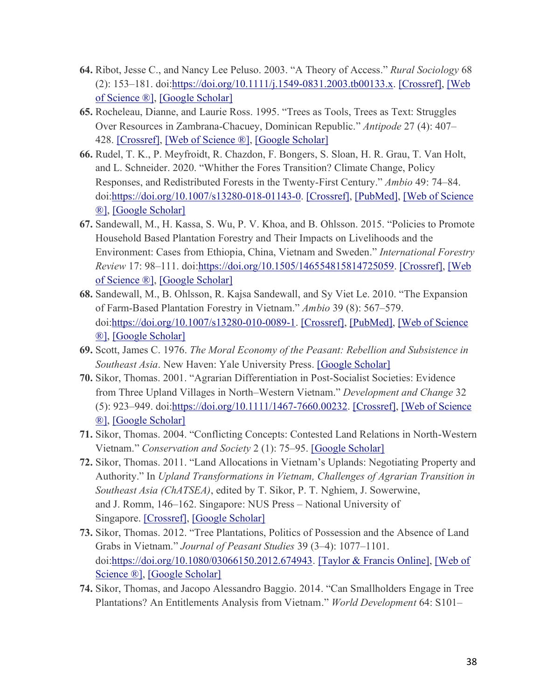- **64.** Ribot, Jesse C., and Nancy Lee Peluso. 2003. "A Theory of Access." *Rural Sociology* 68 (2): 153–181. doi[:https://doi.org/10.1111/j.1549-0831.2003.tb00133.x.](https://doi.org/10.1111/j.1549-0831.2003.tb00133.x) [\[Crossref\],](https://www.tandfonline.com/servlet/linkout?suffix=CIT0060&dbid=16&doi=10.1080%2F03066150.2022.2029849&key=10.1111%2Fj.1549-0831.2003.tb00133.x) [\[Web](https://www.tandfonline.com/servlet/linkout?suffix=CIT0060&dbid=128&doi=10.1080%2F03066150.2022.2029849&key=000182830200001)  [of Science ®\],](https://www.tandfonline.com/servlet/linkout?suffix=CIT0060&dbid=128&doi=10.1080%2F03066150.2022.2029849&key=000182830200001) [\[Google Scholar\]](http://scholar.google.com/scholar_lookup?hl=en&volume=68&publication_year=2003&pages=153-181&issue=2&author=Jesse+C.+Ribot&author=Nancy+Lee+Peluso&title=A+Theory+of+Access&doi=10.1111%2Fj.1549-0831.2003.tb00133.x)
- **65.** Rocheleau, Dianne, and Laurie Ross. 1995. "Trees as Tools, Trees as Text: Struggles Over Resources in Zambrana-Chacuey, Dominican Republic." *Antipode* 27 (4): 407– 428. [\[Crossref\],](https://www.tandfonline.com/servlet/linkout?suffix=CIT0061&dbid=16&doi=10.1080%2F03066150.2022.2029849&key=10.1111%2Fj.1467-8330.1995.tb00287.x) [\[Web of Science ®\],](https://www.tandfonline.com/servlet/linkout?suffix=CIT0061&dbid=128&doi=10.1080%2F03066150.2022.2029849&key=A1995RY80900006) [\[Google Scholar\]](http://scholar.google.com/scholar_lookup?hl=en&volume=27&publication_year=1995&pages=407-428&issue=4&author=Dianne+Rocheleau&author=Laurie+Ross&title=Trees+as+Tools%2C+Trees+as+Text%3A+Struggles+Over+Resources+in+Zambrana-Chacuey%2C+Dominican+Republic)
- **66.** Rudel, T. K., P. Meyfroidt, R. Chazdon, F. Bongers, S. Sloan, H. R. Grau, T. Van Holt, and L. Schneider. 2020. "Whither the Fores Transition? Climate Change, Policy Responses, and Redistributed Forests in the Twenty-First Century." *Ambio* 49: 74–84. doi[:https://doi.org/10.1007/s13280-018-01143-0.](https://doi.org/10.1007/s13280-018-01143-0) [\[Crossref\],](https://www.tandfonline.com/servlet/linkout?suffix=CIT0062&dbid=16&doi=10.1080%2F03066150.2022.2029849&key=10.1007%2Fs13280-018-01143-0) [\[PubMed\],](https://www.tandfonline.com/servlet/linkout?suffix=CIT0062&dbid=8&doi=10.1080%2F03066150.2022.2029849&key=30666613) [\[Web of Science](https://www.tandfonline.com/servlet/linkout?suffix=CIT0062&dbid=128&doi=10.1080%2F03066150.2022.2029849&key=000500070800006)  [®\],](https://www.tandfonline.com/servlet/linkout?suffix=CIT0062&dbid=128&doi=10.1080%2F03066150.2022.2029849&key=000500070800006) [\[Google Scholar\]](http://scholar.google.com/scholar_lookup?hl=en&volume=49&publication_year=2020&pages=74-84&author=T.+K.+Rudel&author=P.+Meyfroidt&author=R.+Chazdon&author=F.+Bongers&author=S.+Sloan&author=H.+R.+Grau&author=T.+Van+Holt&author=L.+Schneider&title=Whither+the+Fores+Transition%3F+Climate+Change%2C+Policy+Responses%2C+and+Redistributed+Forests+in+the+Twenty-First+Century&doi=10.1007%2Fs13280-018-01143-0)
- **67.** Sandewall, M., H. Kassa, S. Wu, P. V. Khoa, and B. Ohlsson. 2015. "Policies to Promote Household Based Plantation Forestry and Their Impacts on Livelihoods and the Environment: Cases from Ethiopia, China, Vietnam and Sweden." *International Forestry Review* 17: 98–111. doi[:https://doi.org/10.1505/146554815814725059.](https://doi.org/10.1505/146554815814725059) [\[Crossref\],](https://www.tandfonline.com/servlet/linkout?suffix=CIT0063&dbid=16&doi=10.1080%2F03066150.2022.2029849&key=10.1505%2F146554815814725059) [\[Web](https://www.tandfonline.com/servlet/linkout?suffix=CIT0063&dbid=128&doi=10.1080%2F03066150.2022.2029849&key=000351674300009)  [of Science ®\],](https://www.tandfonline.com/servlet/linkout?suffix=CIT0063&dbid=128&doi=10.1080%2F03066150.2022.2029849&key=000351674300009) [\[Google Scholar\]](http://scholar.google.com/scholar_lookup?hl=en&volume=17&publication_year=2015&pages=98-111&author=M.+Sandewall&author=H.+Kassa&author=S.+Wu&author=P.+V.+Khoa&author=B.+Ohlsson&title=Policies+to+Promote+Household+Based+Plantation+Forestry+and+Their+Impacts+on+Livelihoods+and+the+Environment%3A+Cases+from+Ethiopia%2C+China%2C+Vietnam+and+Sweden&doi=10.1505%2F146554815814725059)
- **68.** Sandewall, M., B. Ohlsson, R. Kajsa Sandewall, and Sy Viet Le. 2010. "The Expansion of Farm-Based Plantation Forestry in Vietnam." *Ambio* 39 (8): 567–579. doi[:https://doi.org/10.1007/s13280-010-0089-1.](https://doi.org/10.1007/s13280-010-0089-1) [\[Crossref\],](https://www.tandfonline.com/servlet/linkout?suffix=CIT0064&dbid=16&doi=10.1080%2F03066150.2022.2029849&key=10.1007%2Fs13280-010-0089-1) [\[PubMed\],](https://www.tandfonline.com/servlet/linkout?suffix=CIT0064&dbid=8&doi=10.1080%2F03066150.2022.2029849&key=21141776) [\[Web of Science](https://www.tandfonline.com/servlet/linkout?suffix=CIT0064&dbid=128&doi=10.1080%2F03066150.2022.2029849&key=000283502300004)  [®\],](https://www.tandfonline.com/servlet/linkout?suffix=CIT0064&dbid=128&doi=10.1080%2F03066150.2022.2029849&key=000283502300004) [\[Google Scholar\]](http://scholar.google.com/scholar_lookup?hl=en&volume=39&publication_year=2010&pages=567-579&issue=8&author=M.+Sandewall&author=B.+Ohlsson&author=R.+Kajsa+Sandewall&author=Sy+Viet+Le&title=The+Expansion+of+Farm-Based+Plantation+Forestry+in+Vietnam&doi=10.1007%2Fs13280-010-0089-1)
- **69.** Scott, James C. 1976. *The Moral Economy of the Peasant: Rebellion and Subsistence in Southeast Asia*. New Haven: Yale University Press. [\[Google Scholar\]](http://scholar.google.com/scholar_lookup?hl=en&publication_year=1976&author=James+C.+Scott&title=The+Moral+Economy+of+the+Peasant%3A+Rebellion+and+Subsistence+in+Southeast+Asia)
- **70.** Sikor, Thomas. 2001. "Agrarian Differentiation in Post-Socialist Societies: Evidence from Three Upland Villages in North–Western Vietnam." *Development and Change* 32 (5): 923–949. doi[:https://doi.org/10.1111/1467-7660.00232.](https://doi.org/10.1111/1467-7660.00232) [\[Crossref\],](https://www.tandfonline.com/servlet/linkout?suffix=CIT0066&dbid=16&doi=10.1080%2F03066150.2022.2029849&key=10.1111%2F1467-7660.00232) [\[Web of Science](https://www.tandfonline.com/servlet/linkout?suffix=CIT0066&dbid=128&doi=10.1080%2F03066150.2022.2029849&key=000172740600005)  [®\],](https://www.tandfonline.com/servlet/linkout?suffix=CIT0066&dbid=128&doi=10.1080%2F03066150.2022.2029849&key=000172740600005) [\[Google Scholar\]](http://scholar.google.com/scholar_lookup?hl=en&volume=32&publication_year=2001&pages=923-949&issue=5&author=Thomas.+Sikor&title=Agrarian+Differentiation+in+Post-Socialist+Societies%3A+Evidence+from+Three+Upland+Villages+in+North%E2%80%93Western+Vietnam&doi=10.1111%2F1467-7660.00232)
- **71.** Sikor, Thomas. 2004. "Conflicting Concepts: Contested Land Relations in North-Western Vietnam." *Conservation and Society* 2 (1): 75–95. [\[Google Scholar\]](http://scholar.google.com/scholar_lookup?hl=en&volume=2&publication_year=2004&pages=75-95&issue=1&author=Thomas.+Sikor&title=Conflicting+Concepts%3A+Contested+Land+Relations+in+North-Western+Vietnam)
- **72.** Sikor, Thomas. 2011. "Land Allocations in Vietnam's Uplands: Negotiating Property and Authority." In *Upland Transformations in Vietnam, Challenges of Agrarian Transition in Southeast Asia (ChATSEA)*, edited by T. Sikor, P. T. Nghiem, J. Sowerwine, and J. Romm, 146–162. Singapore: NUS Press – National University of Singapore. [\[Crossref\],](https://www.tandfonline.com/servlet/linkout?suffix=CIT0068&dbid=16&doi=10.1080%2F03066150.2022.2029849&key=10.2307%2Fj.ctv1ntj0w.12) [\[Google Scholar\]](http://scholar.google.com/scholar_lookup?hl=en&publication_year=2011&pages=146-162&author=Thomas.+Sikor&title=Land+Allocations+in+Vietnam%E2%80%99s+Uplands%3A+Negotiating+Property+and+Authority)
- **73.** Sikor, Thomas. 2012. "Tree Plantations, Politics of Possession and the Absence of Land Grabs in Vietnam." *Journal of Peasant Studies* 39 (3–4): 1077–1101. doi[:https://doi.org/10.1080/03066150.2012.674943.](https://doi.org/10.1080/03066150.2012.674943) [\[Taylor & Francis Online\],](https://www.tandfonline.com/doi/10.1080/03066150.2012.674943) [\[Web of](https://www.tandfonline.com/servlet/linkout?suffix=CIT0069&dbid=128&doi=10.1080%2F03066150.2022.2029849&key=000304477300018)  [Science ®\],](https://www.tandfonline.com/servlet/linkout?suffix=CIT0069&dbid=128&doi=10.1080%2F03066150.2022.2029849&key=000304477300018) [\[Google Scholar\]](http://scholar.google.com/scholar_lookup?hl=en&volume=39&publication_year=2012&pages=1077-1101&issue=3%E2%80%934&author=Thomas.+Sikor&title=Tree+Plantations%2C+Politics+of+Possession+and+the+Absence+of+Land+Grabs+in+Vietnam&doi=10.1080%2F03066150.2012.674943)
- **74.** Sikor, Thomas, and Jacopo Alessandro Baggio. 2014. "Can Smallholders Engage in Tree Plantations? An Entitlements Analysis from Vietnam." *World Development* 64: S101–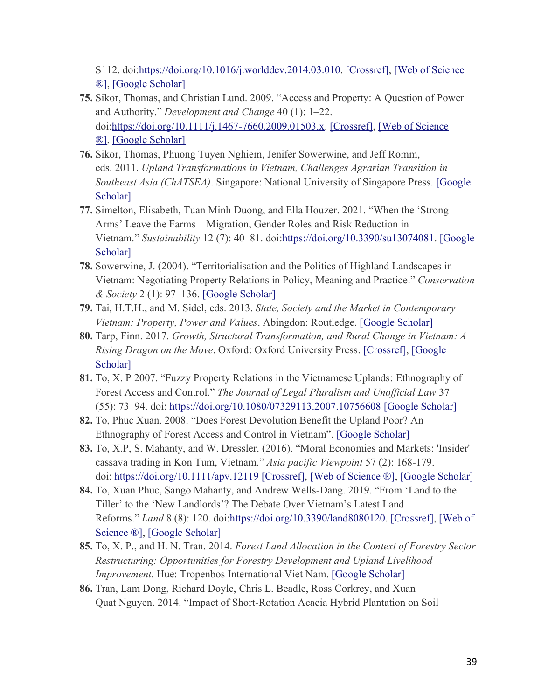S112. doi[:https://doi.org/10.1016/j.worlddev.2014.03.010.](https://doi.org/10.1016/j.worlddev.2014.03.010) [\[Crossref\],](https://www.tandfonline.com/servlet/linkout?suffix=CIT0070&dbid=16&doi=10.1080%2F03066150.2022.2029849&key=10.1016%2Fj.worlddev.2014.03.010) [\[Web of Science](https://www.tandfonline.com/servlet/linkout?suffix=CIT0070&dbid=128&doi=10.1080%2F03066150.2022.2029849&key=000347512100009)  [®\],](https://www.tandfonline.com/servlet/linkout?suffix=CIT0070&dbid=128&doi=10.1080%2F03066150.2022.2029849&key=000347512100009) [\[Google Scholar\]](http://scholar.google.com/scholar_lookup?hl=en&volume=64&publication_year=2014&pages=S101-S112&author=Thomas+Sikor&author=Jacopo+Alessandro+Baggio&title=Can+Smallholders+Engage+in+Tree+Plantations%3F+An+Entitlements+Analysis+from+Vietnam&doi=10.1016%2Fj.worlddev.2014.03.010)

- **75.** Sikor, Thomas, and Christian Lund. 2009. "Access and Property: A Question of Power and Authority." *Development and Change* 40 (1): 1–22. doi[:https://doi.org/10.1111/j.1467-7660.2009.01503.x.](https://doi.org/10.1111/j.1467-7660.2009.01503.x) [\[Crossref\],](https://www.tandfonline.com/servlet/linkout?suffix=CIT0071&dbid=16&doi=10.1080%2F03066150.2022.2029849&key=10.1111%2Fj.1467-7660.2009.01503.x) [\[Web of Science](https://www.tandfonline.com/servlet/linkout?suffix=CIT0071&dbid=128&doi=10.1080%2F03066150.2022.2029849&key=000265186300001)  [®\],](https://www.tandfonline.com/servlet/linkout?suffix=CIT0071&dbid=128&doi=10.1080%2F03066150.2022.2029849&key=000265186300001) [\[Google Scholar\]](http://scholar.google.com/scholar_lookup?hl=en&volume=40&publication_year=2009&pages=1-22&issue=1&author=Thomas+Sikor&author=Christian+Lund&title=Access+and+Property%3A+A+Question+of+Power+and+Authority&doi=10.1111%2Fj.1467-7660.2009.01503.x)
- **76.** Sikor, Thomas, Phuong Tuyen Nghiem, Jenifer Sowerwine, and Jeff Romm, eds. 2011. *Upland Transformations in Vietnam, Challenges Agrarian Transition in Southeast Asia (ChATSEA)*. Singapore: National University of Singapore Press. [\[Google](http://scholar.google.com/scholar_lookup?hl=en&publication_year=2011&author=Thomas+Sikor&author=Phuong+Tuyen+Nghiem&author=Jenifer+Sowerwine&author=Jeff+Romm&title=Upland+Transformations+in+Vietnam%2C+Challenges+Agrarian+Transition+in+Southeast+Asia+%28ChATSEA%29)  [Scholar\]](http://scholar.google.com/scholar_lookup?hl=en&publication_year=2011&author=Thomas+Sikor&author=Phuong+Tuyen+Nghiem&author=Jenifer+Sowerwine&author=Jeff+Romm&title=Upland+Transformations+in+Vietnam%2C+Challenges+Agrarian+Transition+in+Southeast+Asia+%28ChATSEA%29)
- **77.** Simelton, Elisabeth, Tuan Minh Duong, and Ella Houzer. 2021. "When the 'Strong Arms' Leave the Farms – Migration, Gender Roles and Risk Reduction in Vietnam." *Sustainability* 12 (7): 40–81. doi[:https://doi.org/10.3390/su13074081.](https://doi.org/10.3390/su13074081) [\[Google](http://scholar.google.com/scholar_lookup?hl=en&volume=12&publication_year=2021&pages=40-81&issue=7&author=Elisabeth+Simelton&author=Tuan+Minh+Duong&author=Ella+Houzer&title=When+the+%E2%80%98Strong+Arms%E2%80%99+Leave+the+Farms+%E2%80%93+Migration%2C+Gender+Roles+and+Risk+Reduction+in+Vietnam&doi=10.3390%2Fsu13074081)  [Scholar\]](http://scholar.google.com/scholar_lookup?hl=en&volume=12&publication_year=2021&pages=40-81&issue=7&author=Elisabeth+Simelton&author=Tuan+Minh+Duong&author=Ella+Houzer&title=When+the+%E2%80%98Strong+Arms%E2%80%99+Leave+the+Farms+%E2%80%93+Migration%2C+Gender+Roles+and+Risk+Reduction+in+Vietnam&doi=10.3390%2Fsu13074081)
- **78.** Sowerwine, J. (2004). "Territorialisation and the Politics of Highland Landscapes in Vietnam: Negotiating Property Relations in Policy, Meaning and Practice." *Conservation & Society* 2 (1): 97–136. [\[Google Scholar\]](http://scholar.google.com/scholar_lookup?hl=en&volume=2&publication_year=2004&pages=97-136&issue=1&author=J.+Sowerwine&title=Territorialisation+and+the+Politics+of+Highland+Landscapes+in+Vietnam%3A+Negotiating+Property+Relations+in+Policy%2C+Meaning+and+Practice)
- **79.** Tai, H.T.H., and M. Sidel, eds. 2013. *State, Society and the Market in Contemporary Vietnam: Property, Power and Values*. Abingdon: Routledge. [\[Google Scholar\]](http://scholar.google.com/scholar_lookup?hl=en&publication_year=2013&author=H.T.H.+Tai&author=M.+Sidel&title=State%2C+Society+and+the+Market+in+Contemporary+Vietnam%3A+Property%2C+Power+and+Values)
- **80.** Tarp, Finn. 2017. *Growth, Structural Transformation, and Rural Change in Vietnam: A Rising Dragon on the Move*. Oxford: Oxford University Press. [\[Crossref\],](https://www.tandfonline.com/servlet/linkout?suffix=CIT0074&dbid=16&doi=10.1080%2F03066150.2022.2029849&key=10.1093%2Facprof%3Aoso%2F9780198796961.001.0001) [\[Google](http://scholar.google.com/scholar_lookup?hl=en&publication_year=2017&author=Finn.+Tarp&title=Growth%2C+Structural+Transformation%2C+and+Rural+Change+in+Vietnam%3A+A+Rising+Dragon+on+the+Move)  [Scholar\]](http://scholar.google.com/scholar_lookup?hl=en&publication_year=2017&author=Finn.+Tarp&title=Growth%2C+Structural+Transformation%2C+and+Rural+Change+in+Vietnam%3A+A+Rising+Dragon+on+the+Move)
- **81.** To, X. P 2007. "Fuzzy Property Relations in the Vietnamese Uplands: Ethnography of Forest Access and Control." *The Journal of Legal Pluralism and Unofficial Law* 37 (55): 73–94. doi: <https://doi.org/10.1080/07329113.2007.10756608> [Google [Scholar\]](http://scholar.google.com/scholar_lookup?hl=en&volume=37&publication_year=2007&pages=73-94&issue=55&author=X.+P+To&title=Fuzzy+Property+Relations+in+the+Vietnamese+Uplands%3A+Ethnography+of+Forest+Access+and+Control&doi=10.1080%2F07329113.2007.10756608)
- **82.** To, Phuc Xuan. 2008. "Does Forest Devolution Benefit the Upland Poor? An Ethnography of Forest Access and Control in Vietnam". [\[Google Scholar\]](http://scholar.google.com/scholar?hl=en&q=To%2C+Phuc+Xuan.+2008.+%E2%80%9CDoes+Forest+Devolution+Benefit+the+Upland+Poor%3F+An+Ethnography+of+Forest+Access+and+Control+in+Vietnam%E2%80%9D.)
- **83.** To, X.P, S. Mahanty, and W. Dressler. (2016). "Moral Economies and Markets: 'Insider' cassava trading in Kon Tum, Vietnam." *Asia pacific Viewpoint* 57 (2): 168-179. doi: <https://doi.org/10.1111/apv.12119> [\[Crossref\],](https://www.tandfonline.com/servlet/linkout?suffix=CIT0113&dbid=16&doi=10.1080%2F03066150.2022.2029849&key=10.1111%2Fapv.12119) [\[Web of Science ®\],](https://www.tandfonline.com/servlet/linkout?suffix=CIT0113&dbid=128&doi=10.1080%2F03066150.2022.2029849&key=000380953500003) [\[Google Scholar\]](http://scholar.google.com/scholar_lookup?hl=en&volume=57&publication_year=2016&pages=168-179&issue=2&author=X.P+To&author=S.+Mahanty&author=W.+Dressler&title=Moral+Economies+and+Markets%3A+%27Insider%27+cassava+trading+in+Kon+Tum%2C+Vietnam&doi=10.1111%2Fapv.12119)
- **84.** To, Xuan Phuc, Sango Mahanty, and Andrew Wells-Dang. 2019. "From 'Land to the Tiller' to the 'New Landlords'? The Debate Over Vietnam's Latest Land Reforms." *Land* 8 (8): 120. doi[:https://doi.org/10.3390/land8080120.](https://doi.org/10.3390/land8080120) [\[Crossref\],](https://www.tandfonline.com/servlet/linkout?suffix=CIT0077&dbid=16&doi=10.1080%2F03066150.2022.2029849&key=10.3390%2Fland8080120) [\[Web of](https://www.tandfonline.com/servlet/linkout?suffix=CIT0077&dbid=128&doi=10.1080%2F03066150.2022.2029849&key=000482939700014)  [Science ®\],](https://www.tandfonline.com/servlet/linkout?suffix=CIT0077&dbid=128&doi=10.1080%2F03066150.2022.2029849&key=000482939700014) [\[Google Scholar\]](http://scholar.google.com/scholar_lookup?hl=en&volume=8&publication_year=2019&pages=120&issue=8&author=Xuan+Phuc+To&author=Sango+Mahanty&author=Andrew+Wells-Dang&title=From+%E2%80%98Land+to+the+Tiller%E2%80%99+to+the+%E2%80%98New+Landlords%E2%80%99%3F+The+Debate+Over+Vietnam%E2%80%99s+Latest+Land+Reforms&doi=10.3390%2Fland8080120)
- **85.** To, X. P., and H. N. Tran. 2014. *Forest Land Allocation in the Context of Forestry Sector Restructuring: Opportunities for Forestry Development and Upland Livelihood Improvement*. Hue: Tropenbos International Viet Nam. [\[Google Scholar\]](http://scholar.google.com/scholar_lookup?hl=en&publication_year=2014&author=X.+P.+To&author=H.+N.+Tran&title=Forest+Land+Allocation+in+the+Context+of+Forestry+Sector+Restructuring%3A+Opportunities+for+Forestry+Development+and+Upland+Livelihood+Improvement)
- **86.** Tran, Lam Dong, Richard Doyle, Chris L. Beadle, Ross Corkrey, and Xuan Quat Nguyen. 2014. "Impact of Short-Rotation Acacia Hybrid Plantation on Soil